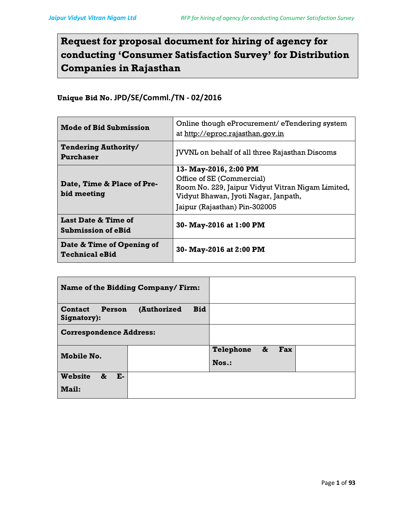# Request for proposal document for hiring of agency for conducting 'Consumer Satisfaction Survey' for Distribution Companies in Rajasthan

# Unique Bid No. JPD/SE/Comml./TN - 02/2016

| <b>Mode of Bid Submission</b>                      | Online though eProcurement/eTendering system<br>at http://eproc.rajasthan.qov.in |  |
|----------------------------------------------------|----------------------------------------------------------------------------------|--|
| <b>Tendering Authority/</b><br>Purchaser           | <b>JVVNL</b> on behalf of all three Rajasthan Discoms                            |  |
|                                                    | 13- May-2016, 2:00 PM                                                            |  |
| Date, Time & Place of Pre-<br>bid meeting          | Office of SE (Commercial)                                                        |  |
|                                                    | Room No. 229, Jaipur Vidyut Vitran Nigam Limited,                                |  |
|                                                    | Vidyut Bhawan, Jyoti Nagar, Janpath,                                             |  |
|                                                    | Jaipur (Rajasthan) Pin-302005                                                    |  |
| Last Date & Time of<br><b>Submission of eBid</b>   | 30- May-2016 at 1:00 PM                                                          |  |
| Date & Time of Opening of<br><b>Technical eBid</b> | 30- May-2016 at 2:00 PM                                                          |  |

| Name of the Bidding Company/Firm:                      |  |                  |          |  |
|--------------------------------------------------------|--|------------------|----------|--|
| (Authorized<br><b>Contact</b><br>Person<br>Signatory): |  |                  |          |  |
| <b>Correspondence Address:</b>                         |  |                  |          |  |
| Mobile No.                                             |  | <b>Telephone</b> | &<br>Fax |  |
|                                                        |  | $N$ os.:         |          |  |
| <b>Website</b><br>&<br>$E-$                            |  |                  |          |  |
| <b>Mail:</b>                                           |  |                  |          |  |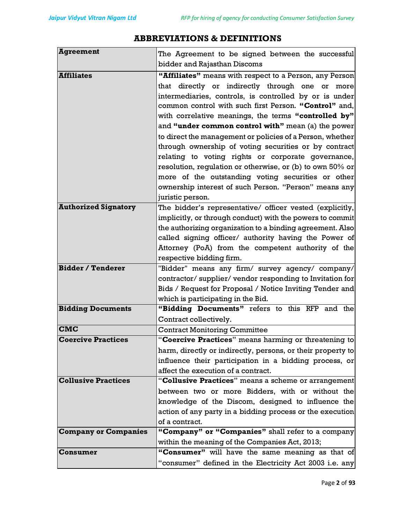| The Agreement to be signed between the successful<br>bidder and Rajasthan Discoms                             |  |  |  |
|---------------------------------------------------------------------------------------------------------------|--|--|--|
| "Affiliates" means with respect to a Person, any Person                                                       |  |  |  |
| more                                                                                                          |  |  |  |
| intermediaries, controls, is controlled by or is under                                                        |  |  |  |
|                                                                                                               |  |  |  |
| common control with such first Person. "Control" and,<br>with correlative meanings, the terms "controlled by" |  |  |  |
| and "under common control with" mean (a) the power                                                            |  |  |  |
| to direct the management or policies of a Person, whether                                                     |  |  |  |
| through ownership of voting securities or by contract                                                         |  |  |  |
| relating to voting rights or corporate governance,                                                            |  |  |  |
| resolution, regulation or otherwise, or (b) to own 50% or                                                     |  |  |  |
| more of the outstanding voting securities or other                                                            |  |  |  |
| ownership interest of such Person. "Person" means any                                                         |  |  |  |
|                                                                                                               |  |  |  |
|                                                                                                               |  |  |  |
| The bidder's representative/ officer vested (explicitly,                                                      |  |  |  |
| implicitly, or through conduct) with the powers to commit                                                     |  |  |  |
| the authorizing organization to a binding agreement. Also                                                     |  |  |  |
| called signing officer/ authority having the Power of                                                         |  |  |  |
| Attorney (PoA) from the competent authority of the                                                            |  |  |  |
| respective bidding firm.<br>"Bidder" means any firm/ survey agency/ company/                                  |  |  |  |
|                                                                                                               |  |  |  |
| contractor/supplier/vendor responding to Invitation for                                                       |  |  |  |
| Bids / Request for Proposal / Notice Inviting Tender and<br>which is participating in the Bid.                |  |  |  |
|                                                                                                               |  |  |  |
| "Bidding Documents" refers to this RFP and the<br>Contract collectively.                                      |  |  |  |
|                                                                                                               |  |  |  |
|                                                                                                               |  |  |  |
| <b>Contract Monitoring Committee</b><br>"Coercive Practices" means harming or threatening to                  |  |  |  |
| harm, directly or indirectly, persons, or their property to                                                   |  |  |  |
|                                                                                                               |  |  |  |
| influence their participation in a bidding process, or                                                        |  |  |  |
|                                                                                                               |  |  |  |
| "Collusive Practices" means a scheme or arrangement                                                           |  |  |  |
| between two or more Bidders, with or without the                                                              |  |  |  |
| knowledge of the Discom, designed to influence the                                                            |  |  |  |
|                                                                                                               |  |  |  |
| action of any party in a bidding process or the execution                                                     |  |  |  |
| "Company" or "Companies" shall refer to a company                                                             |  |  |  |
|                                                                                                               |  |  |  |
| "Consumer" will have the same meaning as that of                                                              |  |  |  |
|                                                                                                               |  |  |  |

# ABBREVIATIONS & DEFINITIONS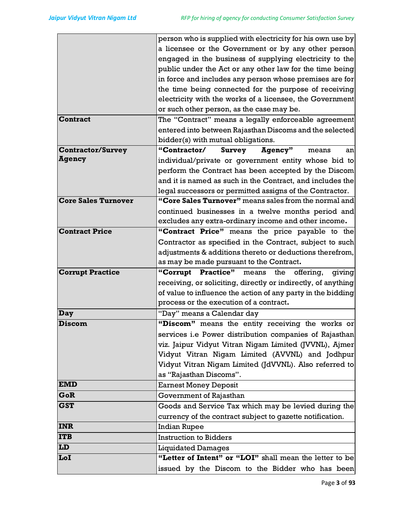|                            | person who is supplied with electricity for his own use by    |  |  |
|----------------------------|---------------------------------------------------------------|--|--|
|                            | a licensee or the Government or by any other person           |  |  |
|                            | engaged in the business of supplying electricity to the       |  |  |
|                            | public under the Act or any other law for the time being      |  |  |
|                            | in force and includes any person whose premises are for       |  |  |
|                            | the time being connected for the purpose of receiving         |  |  |
|                            | electricity with the works of a licensee, the Government      |  |  |
|                            | or such other person, as the case may be.                     |  |  |
| <b>Contract</b>            | The "Contract" means a legally enforceable agreement          |  |  |
|                            | entered into between Rajasthan Discoms and the selected       |  |  |
|                            | bidder(s) with mutual obligations.                            |  |  |
| <b>Contractor/Survey</b>   | "Contractor/ Survey<br>Agency"<br>means<br>an                 |  |  |
| <b>Agency</b>              | individual/private or government entity whose bid to          |  |  |
|                            | perform the Contract has been accepted by the Discom          |  |  |
|                            | and it is named as such in the Contract, and includes the     |  |  |
|                            | legal successors or permitted assigns of the Contractor.      |  |  |
| <b>Core Sales Turnover</b> | "Core Sales Turnover" means sales from the normal and         |  |  |
|                            | continued businesses in a twelve months period and            |  |  |
|                            | excludes any extra-ordinary income and other income.          |  |  |
| <b>Contract Price</b>      | "Contract Price" means the price payable to the               |  |  |
|                            | Contractor as specified in the Contract, subject to such      |  |  |
|                            | adjustments & additions thereto or deductions therefrom,      |  |  |
|                            | as may be made pursuant to the Contract.                      |  |  |
| <b>Corrupt Practice</b>    | "Corrupt Practice" means<br>the<br>offering,<br>giving        |  |  |
|                            | receiving, or soliciting, directly or indirectly, of anything |  |  |
|                            | of value to influence the action of any party in the bidding  |  |  |
|                            | process or the execution of a contract.                       |  |  |
| Day                        | "Day" means a Calendar day                                    |  |  |
| <b>Discom</b>              | "Discom" means the entity receiving the works or              |  |  |
|                            | services i.e Power distribution companies of Rajasthan        |  |  |
|                            | viz. Jaipur Vidyut Vitran Nigam Limited (JVVNL), Ajmer        |  |  |
|                            | Vidyut Vitran Nigam Limited (AVVNL) and Jodhpur               |  |  |
|                            | Vidyut Vitran Nigam Limited (JdVVNL). Also referred to        |  |  |
|                            | as "Rajasthan Discoms".                                       |  |  |
| <b>EMD</b>                 | <b>Earnest Money Deposit</b>                                  |  |  |
| GoR                        | Government of Rajasthan                                       |  |  |
| <b>GST</b>                 | Goods and Service Tax which may be levied during the          |  |  |
|                            | currency of the contract subject to gazette notification.     |  |  |
| <b>INR</b>                 | <b>Indian Rupee</b>                                           |  |  |
| <b>ITB</b>                 | <b>Instruction to Bidders</b>                                 |  |  |
| LD                         | <b>Liquidated Damages</b>                                     |  |  |
| LoI                        | "Letter of Intent" or "LOI" shall mean the letter to be       |  |  |
|                            | issued by the Discom to the Bidder who has been               |  |  |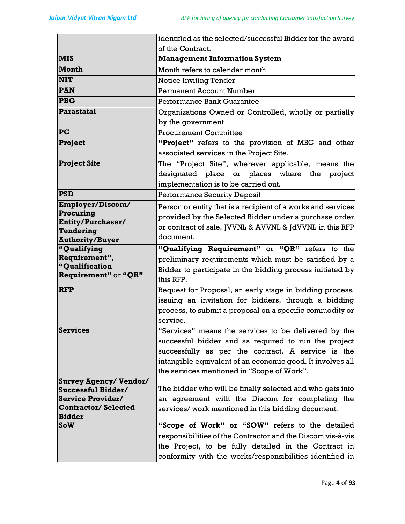|                                                | identified as the selected/successful Bidder for the award   |  |  |
|------------------------------------------------|--------------------------------------------------------------|--|--|
|                                                | of the Contract.                                             |  |  |
| <b>MIS</b>                                     | <b>Management Information System</b>                         |  |  |
| Month                                          | Month refers to calendar month                               |  |  |
| <b>NIT</b>                                     | <b>Notice Inviting Tender</b>                                |  |  |
| <b>PAN</b>                                     | <b>Permanent Account Number</b>                              |  |  |
| <b>PBG</b>                                     | Performance Bank Guarantee                                   |  |  |
| Parastatal                                     | Organizations Owned or Controlled, wholly or partially       |  |  |
|                                                | by the government                                            |  |  |
| PC                                             | <b>Procurement Committee</b>                                 |  |  |
| Project                                        | "Project" refers to the provision of MBC and other           |  |  |
|                                                | associated services in the Project Site.                     |  |  |
| <b>Project Site</b>                            | The "Project Site", wherever applicable, means the           |  |  |
|                                                | designated place or places where the<br>project              |  |  |
|                                                | implementation is to be carried out.                         |  |  |
| <b>PSD</b>                                     | <b>Performance Security Deposit</b>                          |  |  |
| Employer/Discom/                               | Person or entity that is a recipient of a works and services |  |  |
| Procuring                                      | provided by the Selected Bidder under a purchase order       |  |  |
| Entity/Purchaser/<br>Tendering                 | or contract of sale. JVVNL & AVVNL & JdVVNL in this RFP      |  |  |
| <b>Authority/Buyer</b>                         | document.                                                    |  |  |
| "Qualifying                                    | "Qualifying Requirement" or "QR" refers to the               |  |  |
| Requirement",                                  | preliminary requirements which must be satisfied by a        |  |  |
| "Qualification                                 | Bidder to participate in the bidding process initiated by    |  |  |
| Requirement" or "QR"                           | this RFP.                                                    |  |  |
| <b>RFP</b>                                     | Request for Proposal, an early stage in bidding process,     |  |  |
|                                                | issuing an invitation for bidders, through a bidding         |  |  |
|                                                | process, to submit a proposal on a specific commodity or     |  |  |
|                                                | service.                                                     |  |  |
| <b>Services</b>                                | "Services" means the services to be delivered by the         |  |  |
|                                                | successful bidder and as required to run the project         |  |  |
|                                                | successfully as per the contract. A service is the           |  |  |
|                                                | intangible equivalent of an economic good. It involves all   |  |  |
|                                                | the services mentioned in "Scope of Work".                   |  |  |
| <b>Survey Agency/ Vendor/</b>                  |                                                              |  |  |
| Successful Bidder/<br><b>Service Provider/</b> | The bidder who will be finally selected and who gets into    |  |  |
| <b>Contractor/Selected</b>                     | an agreement with the Discom for completing the              |  |  |
| <b>Bidder</b>                                  | services/work mentioned in this bidding document.            |  |  |
| <b>SoW</b>                                     | "Scope of Work" or "SOW" refers to the detailed              |  |  |
|                                                | responsibilities of the Contractor and the Discom vis-à-vis  |  |  |
|                                                | the Project, to be fully detailed in the Contract in         |  |  |
|                                                | conformity with the works/responsibilities identified in     |  |  |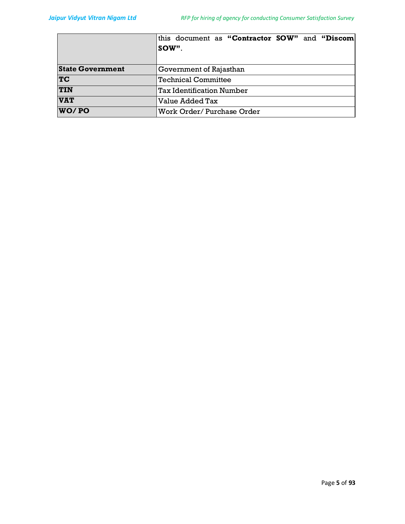|                         | this document as "Contractor SOW" and "Discom<br>sow". |  |  |
|-------------------------|--------------------------------------------------------|--|--|
| <b>State Government</b> | Government of Rajasthan                                |  |  |
| TC                      | Technical Committee                                    |  |  |
| <b>TIN</b>              | Tax Identification Number                              |  |  |
| <b>VAT</b>              | Value Added Tax                                        |  |  |
| WO/PO                   | Work Order/ Purchase Order                             |  |  |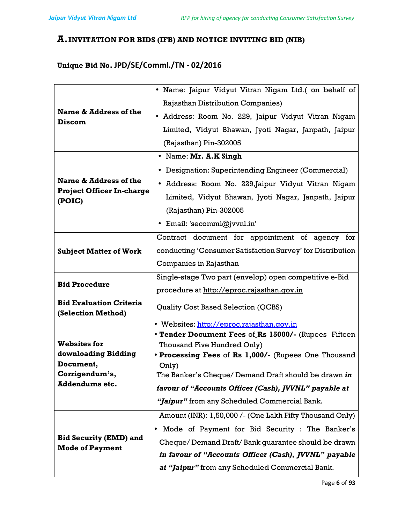# A.INVITATION FOR BIDS (IFB) AND NOTICE INVITING BID (NIB)

# Unique Bid No. JPD/SE/Comml./TN - 02/2016

|                                                         | · Name: Jaipur Vidyut Vitran Nigam Ltd.( on behalf of         |  |
|---------------------------------------------------------|---------------------------------------------------------------|--|
|                                                         | <b>Rajasthan Distribution Companies)</b>                      |  |
| Name & Address of the                                   | • Address: Room No. 229, Jaipur Vidyut Vitran Nigam           |  |
| <b>Discom</b>                                           | Limited, Vidyut Bhawan, Jyoti Nagar, Janpath, Jaipur          |  |
|                                                         | (Rajasthan) Pin-302005                                        |  |
|                                                         | • Name: Mr. A.K Singh                                         |  |
|                                                         | • Designation: Superintending Engineer (Commercial)           |  |
| Name & Address of the                                   | • Address: Room No. 229, Jaipur Vidyut Vitran Nigam           |  |
| <b>Project Officer In-charge</b>                        | Limited, Vidyut Bhawan, Jyoti Nagar, Janpath, Jaipur          |  |
| (POIC)                                                  |                                                               |  |
|                                                         | (Rajasthan) Pin-302005                                        |  |
|                                                         | • Email: 'secomml@jvvnl.in'                                   |  |
|                                                         | Contract document for appointment of agency for               |  |
| <b>Subject Matter of Work</b>                           | conducting 'Consumer Satisfaction Survey' for Distribution    |  |
|                                                         | Companies in Rajasthan                                        |  |
|                                                         | Single-stage Two part (envelop) open competitive e-Bid        |  |
| <b>Bid Procedure</b>                                    | procedure at http://eproc.rajasthan.gov.in                    |  |
| <b>Bid Evaluation Criteria</b>                          | Quality Cost Based Selection (QCBS)                           |  |
| (Selection Method)                                      |                                                               |  |
|                                                         | • Websites: http://eproc.rajasthan.gov.in                     |  |
|                                                         | • Tender Document Fees of Rs 15000/- (Rupees Fifteen          |  |
| <b>Websites for</b>                                     | Thousand Five Hundred Only)                                   |  |
| downloading Bidding<br>Document,                        | • Processing Fees of Rs 1,000/- (Rupees One Thousand          |  |
| Corrigendum's,                                          | Only)<br>The Banker's Cheque/ Demand Draft should be drawn in |  |
| <b>Addendums etc.</b>                                   | favour of "Accounts Officer (Cash), JVVNL" payable at         |  |
|                                                         |                                                               |  |
|                                                         | "Jaipur" from any Scheduled Commercial Bank.                  |  |
|                                                         | Amount (INR): 1,50,000 /- (One Lakh Fifty Thousand Only)      |  |
|                                                         | Mode of Payment for Bid Security : The Banker's<br>$\bullet$  |  |
| <b>Bid Security (EMD) and</b><br><b>Mode of Payment</b> | Cheque/Demand Draft/Bank guarantee should be drawn            |  |
|                                                         | in favour of "Accounts Officer (Cash), JVVNL" payable         |  |
|                                                         | at "Jaipur" from any Scheduled Commercial Bank.               |  |
|                                                         |                                                               |  |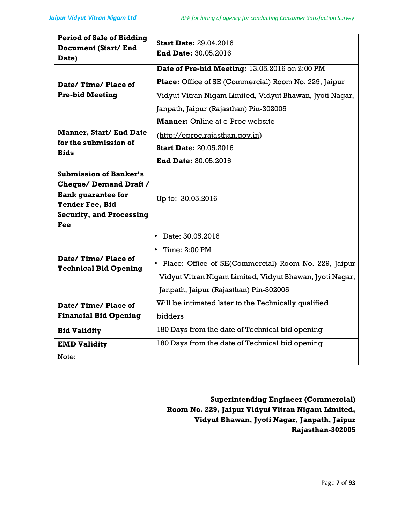| <b>Period of Sale of Bidding</b>                                                                                                                               | <b>Start Date: 29.04.2016</b>                            |  |
|----------------------------------------------------------------------------------------------------------------------------------------------------------------|----------------------------------------------------------|--|
| Document (Start/End                                                                                                                                            | <b>End Date: 30.05.2016</b>                              |  |
| Date)                                                                                                                                                          |                                                          |  |
|                                                                                                                                                                | Date of Pre-bid Meeting: 13.05.2016 on 2:00 PM           |  |
| Date/Time/Place of                                                                                                                                             | Place: Office of SE (Commercial) Room No. 229, Jaipur    |  |
| <b>Pre-bid Meeting</b>                                                                                                                                         | Vidyut Vitran Nigam Limited, Vidyut Bhawan, Jyoti Nagar, |  |
|                                                                                                                                                                | Janpath, Jaipur (Rajasthan) Pin-302005                   |  |
|                                                                                                                                                                | <b>Manner:</b> Online at e-Proc website                  |  |
| <b>Manner, Start/ End Date</b>                                                                                                                                 | (http://eproc.rajasthan.gov.in)                          |  |
| for the submission of<br><b>Bids</b>                                                                                                                           | <b>Start Date: 20.05.2016</b>                            |  |
|                                                                                                                                                                | <b>End Date: 30.05.2016</b>                              |  |
| <b>Submission of Banker's</b><br><b>Cheque/Demand Draft /</b><br><b>Bank guarantee for</b><br><b>Tender Fee, Bid</b><br><b>Security, and Processing</b><br>Fee | Up to: 30.05.2016                                        |  |
|                                                                                                                                                                | Date: 30.05.2016<br>$\bullet$                            |  |
|                                                                                                                                                                | Time: 2:00 PM                                            |  |
| Date/Time/Place of<br><b>Technical Bid Opening</b>                                                                                                             | • Place: Office of SE(Commercial) Room No. 229, Jaipur   |  |
|                                                                                                                                                                | Vidyut Vitran Nigam Limited, Vidyut Bhawan, Jyoti Nagar, |  |
|                                                                                                                                                                | Janpath, Jaipur (Rajasthan) Pin-302005                   |  |
| Date/Time/Place of                                                                                                                                             | Will be intimated later to the Technically qualified     |  |
| <b>Financial Bid Opening</b>                                                                                                                                   | bidders                                                  |  |
| <b>Bid Validity</b>                                                                                                                                            | 180 Days from the date of Technical bid opening          |  |
| <b>EMD Validity</b>                                                                                                                                            | 180 Days from the date of Technical bid opening          |  |
| Note:                                                                                                                                                          |                                                          |  |

Superintending Engineer (Commercial) Room No. 229, Jaipur Vidyut Vitran Nigam Limited, Vidyut Bhawan, Jyoti Nagar, Janpath, Jaipur Rajasthan-302005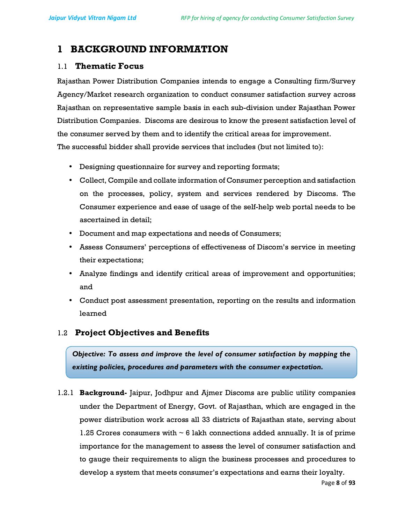# 1 BACKGROUND INFORMATION

# 1.1 Thematic Focus

Rajasthan Power Distribution Companies intends to engage a Consulting firm/Survey Agency/Market research organization to conduct consumer satisfaction survey across Rajasthan on representative sample basis in each sub-division under Rajasthan Power Distribution Companies. Discoms are desirous to know the present satisfaction level of the consumer served by them and to identify the critical areas for improvement. The successful bidder shall provide services that includes (but not limited to):

- Designing questionnaire for survey and reporting formats;
- Collect, Compile and collate information of Consumer perception and satisfaction on the processes, policy, system and services rendered by Discoms. The Consumer experience and ease of usage of the self-help web portal needs to be ascertained in detail;
- Document and map expectations and needs of Consumers;
- Assess Consumers' perceptions of effectiveness of Discom's service in meeting their expectations;
- Analyze findings and identify critical areas of improvement and opportunities; and
- Conduct post assessment presentation, reporting on the results and information learned

# 1.2 Project Objectives and Benefits

Objective: To assess and improve the level of consumer satisfaction by mapping the existing policies, procedures and parameters with the consumer expectation.

1.2.1 Background- Jaipur, Jodhpur and Ajmer Discoms are public utility companies under the Department of Energy, Govt. of Rajasthan, which are engaged in the power distribution work across all 33 districts of Rajasthan state, serving about 1.25 Crores consumers with  $\sim 6$  lakh connections added annually. It is of prime importance for the management to assess the level of consumer satisfaction and to gauge their requirements to align the business processes and procedures to develop a system that meets consumer's expectations and earns their loyalty.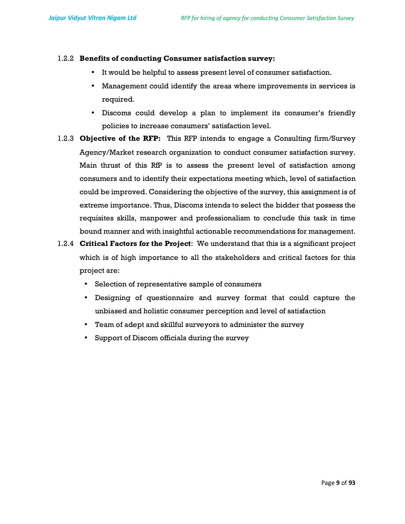#### 1.2.2 Benefits of conducting Consumer satisfaction survey:

- It would be helpful to assess present level of consumer satisfaction.
- Management could identify the areas where improvements in services is required.
- Discoms could develop a plan to implement its consumer's friendly policies to increase consumers' satisfaction level.
- 1.2.3 Objective of the RFP: This RFP intends to engage a Consulting firm/Survey Agency/Market research organization to conduct consumer satisfaction survey. Main thrust of this RfP is to assess the present level of satisfaction among consumers and to identify their expectations meeting which, level of satisfaction could be improved. Considering the objective of the survey, this assignment is of extreme importance. Thus, Discoms intends to select the bidder that possess the requisites skills, manpower and professionalism to conclude this task in time bound manner and with insightful actionable recommendations for management.
- 1.2.4 Critical Factors for the Project: We understand that this is a significant project which is of high importance to all the stakeholders and critical factors for this project are:
	- Selection of representative sample of consumers
	- Designing of questionnaire and survey format that could capture the unbiased and holistic consumer perception and level of satisfaction
	- Team of adept and skillful surveyors to administer the survey
	- Support of Discom officials during the survey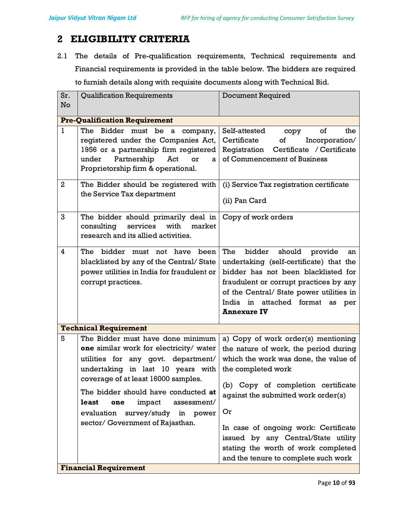# 2 ELIGIBILITY CRITERIA

2.1 The details of Pre-qualification requirements, Technical requirements and Financial requirements is provided in the table below. The bidders are required to furnish details along with requisite documents along with Technical Bid.

| Sr.<br>No      | <b>Qualification Requirements</b>                                                                                                                                                                                                                                                                                                                          | <b>Document Required</b>                                                                                                                                                                                                                                                     |  |  |
|----------------|------------------------------------------------------------------------------------------------------------------------------------------------------------------------------------------------------------------------------------------------------------------------------------------------------------------------------------------------------------|------------------------------------------------------------------------------------------------------------------------------------------------------------------------------------------------------------------------------------------------------------------------------|--|--|
|                | <b>Pre-Qualification Requirement</b>                                                                                                                                                                                                                                                                                                                       |                                                                                                                                                                                                                                                                              |  |  |
| $\mathbf{1}$   | The<br>Bidder must be a<br>company,<br>registered under the Companies Act,<br>1956 or a partnership firm registered<br>Partnership<br>under<br>Act<br>or<br>a<br>Proprietorship firm & operational.                                                                                                                                                        | Self-attested<br>of<br>the<br>copy<br>Certificate<br>of<br>Incorporation/<br>Certificate / Certificate<br>Registration<br>of Commencement of Business                                                                                                                        |  |  |
| $\overline{a}$ | The Bidder should be registered with<br>the Service Tax department                                                                                                                                                                                                                                                                                         | (i) Service Tax registration certificate<br>(ii) Pan Card                                                                                                                                                                                                                    |  |  |
| 3              | The bidder should primarily deal in<br>services<br>with<br>consulting<br>market<br>research and its allied activities.                                                                                                                                                                                                                                     | Copy of work orders                                                                                                                                                                                                                                                          |  |  |
| 4              | The<br>bidder must not have been<br>blacklisted by any of the Central/State<br>power utilities in India for fraudulent or<br>corrupt practices.                                                                                                                                                                                                            | The<br>bidder<br>should<br>provide<br>an<br>undertaking (self-certificate) that the<br>bidder has not been blacklisted for<br>fraudulent or corrupt practices by any<br>of the Central/ State power utilities in<br>India in attached format<br>as per<br><b>Annexure IV</b> |  |  |
|                | <b>Technical Requirement</b>                                                                                                                                                                                                                                                                                                                               |                                                                                                                                                                                                                                                                              |  |  |
| 5              | The Bidder must have done minimum<br>one similar work for electricity/ water<br>utilities for any govt. department/<br>undertaking in last 10 years with<br>coverage of at least 16000 samples.<br>The bidder should have conducted at<br>least<br>impact<br>one<br>assessment/<br>evaluation<br>survey/study in power<br>sector/ Government of Rajasthan. | a) Copy of work order(s) mentioning<br>the nature of work, the period during<br>which the work was done, the value of<br>the completed work<br>(b) Copy of completion certificate<br>against the submitted work order(s)<br>Or                                               |  |  |
|                |                                                                                                                                                                                                                                                                                                                                                            | In case of ongoing work: Certificate<br>issued by any Central/State utility<br>stating the worth of work completed<br>and the tenure to complete such work                                                                                                                   |  |  |
|                | <b>Financial Requirement</b>                                                                                                                                                                                                                                                                                                                               |                                                                                                                                                                                                                                                                              |  |  |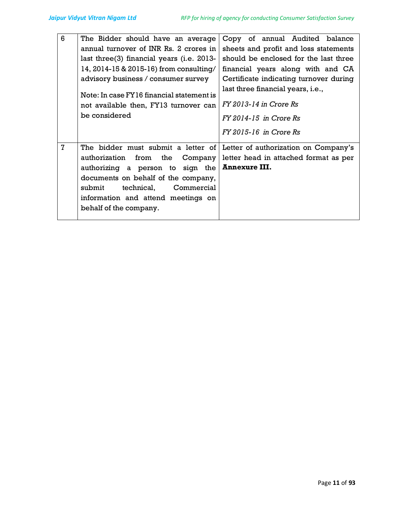| $6\phantom{1}$ | The Bidder should have an average<br>annual turnover of INR Rs. 2 crores in<br>last three (3) financial years (i.e. 2013-<br>14, 2014-15 & 2015-16) from consulting/<br>advisory business / consumer survey<br>Note: In case FY16 financial statement is<br>not available then, FY13 turnover can<br>be considered                                 | Copy of annual Audited balance<br>sheets and profit and loss statements<br>should be enclosed for the last three<br>financial years along with and CA<br>Certificate indicating turnover during<br>last three financial years, i.e.,<br>$FY$ 2013-14 in Crore $Rs$<br>FY 2014-15 in Crore Rs<br>FY 2015-16 in Crore Rs |
|----------------|----------------------------------------------------------------------------------------------------------------------------------------------------------------------------------------------------------------------------------------------------------------------------------------------------------------------------------------------------|------------------------------------------------------------------------------------------------------------------------------------------------------------------------------------------------------------------------------------------------------------------------------------------------------------------------|
| $\mathbf{7}$   | The bidder must submit a letter of Letter of authorization on Company's<br>authorization from the Company letter head in attached format as per<br>authorizing a person to sign the <b>Annexure III.</b><br>documents on behalf of the company,<br>submit<br>technical, Commercial<br>information and attend meetings on<br>behalf of the company. |                                                                                                                                                                                                                                                                                                                        |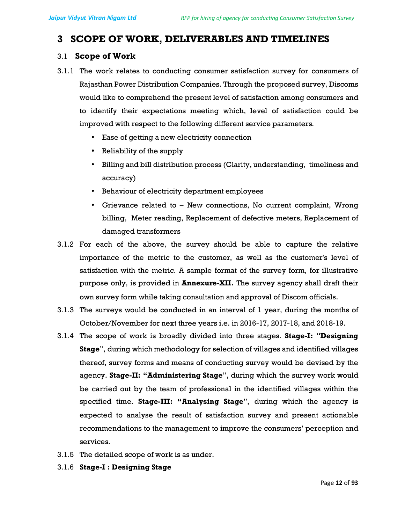# 3 SCOPE OF WORK, DELIVERABLES AND TIMELINES

### 3.1 Scope of Work

- 3.1.1 The work relates to conducting consumer satisfaction survey for consumers of Rajasthan Power Distribution Companies. Through the proposed survey, Discoms would like to comprehend the present level of satisfaction among consumers and to identify their expectations meeting which, level of satisfaction could be improved with respect to the following different service parameters.
	- Ease of getting a new electricity connection
	- Reliability of the supply
	- Billing and bill distribution process (Clarity, understanding, timeliness and accuracy)
	- Behaviour of electricity department employees
	- Grievance related to New connections, No current complaint, Wrong billing, Meter reading, Replacement of defective meters, Replacement of damaged transformers
- 3.1.2 For each of the above, the survey should be able to capture the relative importance of the metric to the customer, as well as the customer's level of satisfaction with the metric. A sample format of the survey form, for illustrative purpose only, is provided in Annexure-XII. The survey agency shall draft their own survey form while taking consultation and approval of Discom officials.
- 3.1.3 The surveys would be conducted in an interval of 1 year, during the months of October/November for next three years i.e. in 2016-17, 2017-18, and 2018-19.
- 3.1.4 The scope of work is broadly divided into three stages. Stage-I: "Designing Stage", during which methodology for selection of villages and identified villages thereof, survey forms and means of conducting survey would be devised by the agency. Stage-II: "Administering Stage", during which the survey work would be carried out by the team of professional in the identified villages within the specified time. Stage-III: "Analysing Stage", during which the agency is expected to analyse the result of satisfaction survey and present actionable recommendations to the management to improve the consumers' perception and services.
- 3.1.5 The detailed scope of work is as under.
- 3.1.6 Stage-I : Designing Stage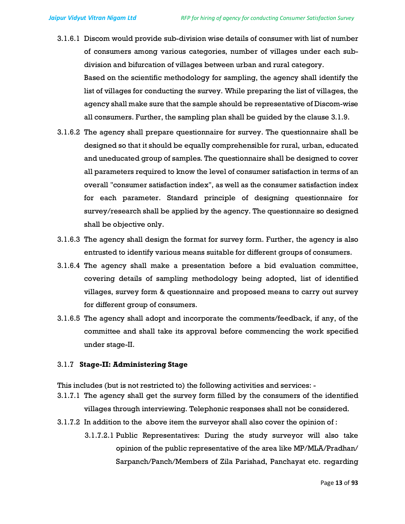- 3.1.6.1 Discom would provide sub-division wise details of consumer with list of number of consumers among various categories, number of villages under each subdivision and bifurcation of villages between urban and rural category. Based on the scientific methodology for sampling, the agency shall identify the list of villages for conducting the survey. While preparing the list of villages, the agency shall make sure that the sample should be representative of Discom-wise all consumers. Further, the sampling plan shall be guided by the clause 3.1.9.
- 3.1.6.2 The agency shall prepare questionnaire for survey. The questionnaire shall be designed so that it should be equally comprehensible for rural, urban, educated and uneducated group of samples. The questionnaire shall be designed to cover all parameters required to know the level of consumer satisfaction in terms of an overall "consumer satisfaction index", as well as the consumer satisfaction index for each parameter. Standard principle of designing questionnaire for survey/research shall be applied by the agency. The questionnaire so designed shall be objective only.
- 3.1.6.3 The agency shall design the format for survey form. Further, the agency is also entrusted to identify various means suitable for different groups of consumers.
- 3.1.6.4 The agency shall make a presentation before a bid evaluation committee, covering details of sampling methodology being adopted, list of identified villages, survey form & questionnaire and proposed means to carry out survey for different group of consumers.
- 3.1.6.5 The agency shall adopt and incorporate the comments/feedback, if any, of the committee and shall take its approval before commencing the work specified under stage-II.

#### 3.1.7 Stage-II: Administering Stage

This includes (but is not restricted to) the following activities and services: -

- 3.1.7.1 The agency shall get the survey form filled by the consumers of the identified villages through interviewing. Telephonic responses shall not be considered.
- 3.1.7.2 In addition to the above item the surveyor shall also cover the opinion of :
	- 3.1.7.2.1 Public Representatives: During the study surveyor will also take opinion of the public representative of the area like MP/MLA/Pradhan/ Sarpanch/Panch/Members of Zila Parishad, Panchayat etc. regarding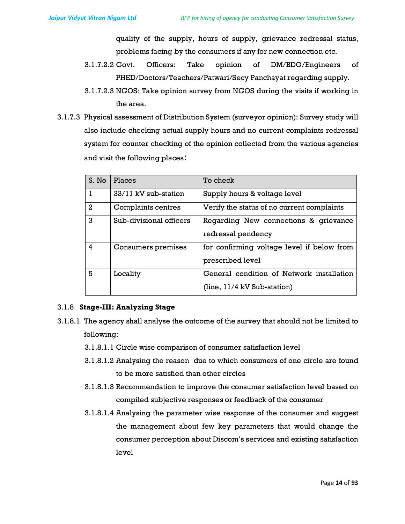quality of the supply, hours of supply, grievance redressal status, problems facing by the consumers if any for new connection etc.

- 3.1.7.2.2 Govt. Officers: Take opinion of DM/BDO/Engineers of PHED/Doctors/Teachers/Patwari/Secy Panchayat regarding supply.
- 3.1.7.2.3 NGOS: Take opinion survey from NGOS during the visits if working in the area.
- 3.1.7.3 Physical assessment of Distribution System (surveyor opinion): Survey study will also include checking actual supply hours and no current complaints redressal system for counter checking of the opinion collected from the various agencies and visit the following places:

| S. No         | Places                  | To check                                   |  |
|---------------|-------------------------|--------------------------------------------|--|
|               | 33/11 kV sub-station    | Supply hours & voltage level               |  |
| $\mathcal{L}$ | Complaints centres      | Verify the status of no current complaints |  |
| 3             | Sub-divisional officers | Regarding New connections & grievance      |  |
|               |                         | redressal pendency                         |  |
| 4             | Consumers premises      | for confirming voltage level if below from |  |
|               |                         | prescribed level                           |  |
| 5             | Locality                | General condition of Network installation  |  |
|               |                         | $(line, 11/4 kV Sub-station)$              |  |

### 3.1.8 Stage-III: Analyzing Stage

- 3.1.8.1 The agency shall analyse the outcome of the survey that should not be limited to following:
	- 3.1.8.1.1 Circle wise comparison of consumer satisfaction level
	- 3.1.8.1.2 Analysing the reason due to which consumers of one circle are found to be more satisfied than other circles
	- 3.1.8.1.3 Recommendation to improve the consumer satisfaction level based on compiled subjective responses or feedback of the consumer
	- 3.1.8.1.4 Analysing the parameter wise response of the consumer and suggest the management about few key parameters that would change the consumer perception about Discom's services and existing satisfaction level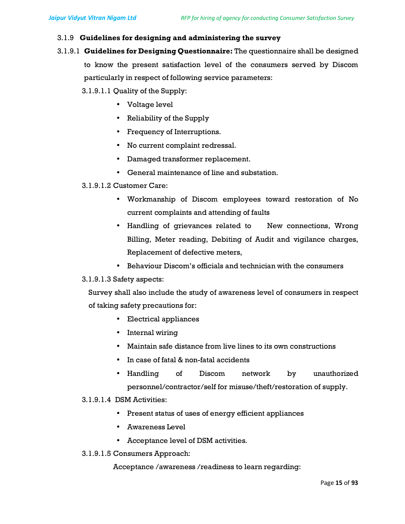#### 3.1.9 Guidelines for designing and administering the survey

3.1.9.1 Guidelines for Designing Questionnaire: The questionnaire shall be designed

to know the present satisfaction level of the consumers served by Discom particularly in respect of following service parameters:

3.1.9.1.1 Quality of the Supply:

- Voltage level
- Reliability of the Supply
- Frequency of Interruptions.
- No current complaint redressal.
- Damaged transformer replacement.
- General maintenance of line and substation.

#### 3.1.9.1.2 Customer Care:

- Workmanship of Discom employees toward restoration of No current complaints and attending of faults
- $\bullet$  Handling of grievances related to  $-$  New connections, Wrong Billing, Meter reading, Debiting of Audit and vigilance charges, Replacement of defective meters,
- Behaviour Discom's officials and technician with the consumers

#### 3.1.9.1.3 Safety aspects:

Survey shall also include the study of awareness level of consumers in respect of taking safety precautions for:

- Electrical appliances
- Internal wiring
- Maintain safe distance from live lines to its own constructions
- In case of fatal & non-fatal accidents
- Handling of Discom network by unauthorized personnel/contractor/self for misuse/theft/restoration of supply.

#### 3.1.9.1.4 DSM Activities:

- Present status of uses of energy efficient appliances
- Awareness Level
- Acceptance level of DSM activities.
- 3.1.9.1.5 Consumers Approach:

Acceptance /awareness /readiness to learn regarding: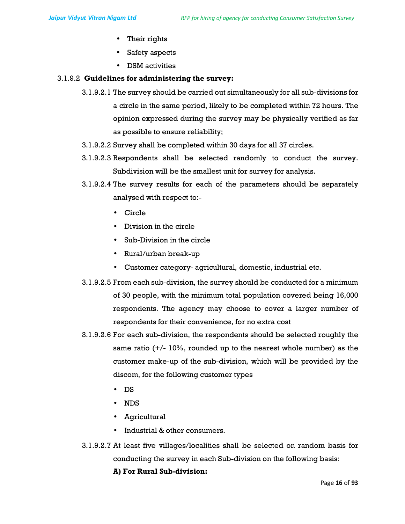- Their rights
- Safety aspects
- DSM activities

#### 3.1.9.2 Guidelines for administering the survey:

- 3.1.9.2.1 The survey should be carried out simultaneously for all sub-divisions for a circle in the same period, likely to be completed within 72 hours. The opinion expressed during the survey may be physically verified as far as possible to ensure reliability;
- 3.1.9.2.2 Survey shall be completed within 30 days for all 37 circles.
- 3.1.9.2.3 Respondents shall be selected randomly to conduct the survey. Subdivision will be the smallest unit for survey for analysis.
- 3.1.9.2.4 The survey results for each of the parameters should be separately analysed with respect to:-
	- Circle
	- Division in the circle
	- Sub-Division in the circle
	- Rural/urban break-up
	- Customer category- agricultural, domestic, industrial etc.
- 3.1.9.2.5 From each sub-division, the survey should be conducted for a minimum of 30 people, with the minimum total population covered being 16,000 respondents. The agency may choose to cover a larger number of respondents for their convenience, for no extra cost
- 3.1.9.2.6 For each sub-division, the respondents should be selected roughly the same ratio  $(+/- 10\%$ , rounded up to the nearest whole number) as the customer make-up of the sub-division, which will be provided by the discom, for the following customer types
	- DS
	- NDS
	- Agricultural
	- Industrial & other consumers.
- 3.1.9.2.7 At least five villages/localities shall be selected on random basis for conducting the survey in each Sub-division on the following basis:

#### A) For Rural Sub-division: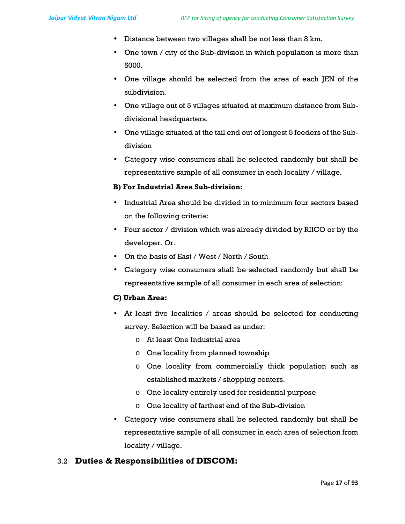- Distance between two villages shall be not less than 8 km.
- One town / city of the Sub-division in which population is more than 5000.
- One village should be selected from the area of each JEN of the subdivision.
- One village out of 5 villages situated at maximum distance from Subdivisional headquarters.
- One village situated at the tail end out of longest 5 feeders of the Subdivision
- Category wise consumers shall be selected randomly but shall be representative sample of all consumer in each locality / village.

#### B) For Industrial Area Sub-division:

- Industrial Area should be divided in to minimum four sectors based on the following criteria:
- Four sector / division which was already divided by RIICO or by the developer. Or.
- On the basis of East / West / North / South
- Category wise consumers shall be selected randomly but shall be representative sample of all consumer in each area of selection:

#### C) Urban Area:

- At least five localities / areas should be selected for conducting survey. Selection will be based as under:
	- o At least One Industrial area
	- o One locality from planned township
	- o One locality from commercially thick population such as established markets / shopping centers.
	- o One locality entirely used for residential purpose
	- o One locality of farthest end of the Sub-division
- Category wise consumers shall be selected randomly but shall be representative sample of all consumer in each area of selection from locality / village.

### 3.2 Duties & Responsibilities of DISCOM: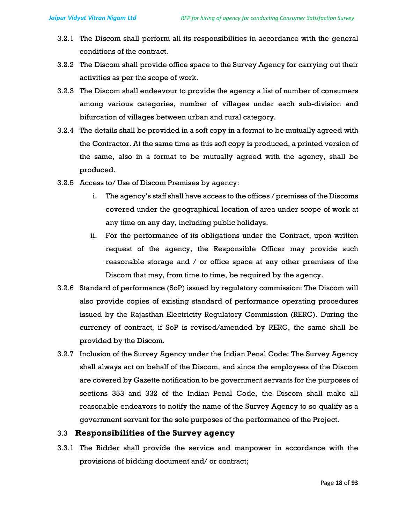- 3.2.1 The Discom shall perform all its responsibilities in accordance with the general conditions of the contract.
- 3.2.2 The Discom shall provide office space to the Survey Agency for carrying out their activities as per the scope of work.
- 3.2.3 The Discom shall endeavour to provide the agency a list of number of consumers among various categories, number of villages under each sub-division and bifurcation of villages between urban and rural category.
- 3.2.4 The details shall be provided in a soft copy in a format to be mutually agreed with the Contractor. At the same time as this soft copy is produced, a printed version of the same, also in a format to be mutually agreed with the agency, shall be produced.
- 3.2.5 Access to/ Use of Discom Premises by agency:
	- i. The agency's staff shall have access to the offices / premises of the Discoms covered under the geographical location of area under scope of work at any time on any day, including public holidays.
	- ii. For the performance of its obligations under the Contract, upon written request of the agency, the Responsible Officer may provide such reasonable storage and / or office space at any other premises of the Discom that may, from time to time, be required by the agency.
- 3.2.6 Standard of performance (SoP) issued by regulatory commission: The Discom will also provide copies of existing standard of performance operating procedures issued by the Rajasthan Electricity Regulatory Commission (RERC). During the currency of contract, if SoP is revised/amended by RERC, the same shall be provided by the Discom.
- 3.2.7 Inclusion of the Survey Agency under the Indian Penal Code: The Survey Agency shall always act on behalf of the Discom, and since the employees of the Discom are covered by Gazette notification to be government servants for the purposes of sections 353 and 332 of the Indian Penal Code, the Discom shall make all reasonable endeavors to notify the name of the Survey Agency to so qualify as a government servant for the sole purposes of the performance of the Project.

# 3.3 Responsibilities of the Survey agency

3.3.1 The Bidder shall provide the service and manpower in accordance with the provisions of bidding document and/ or contract;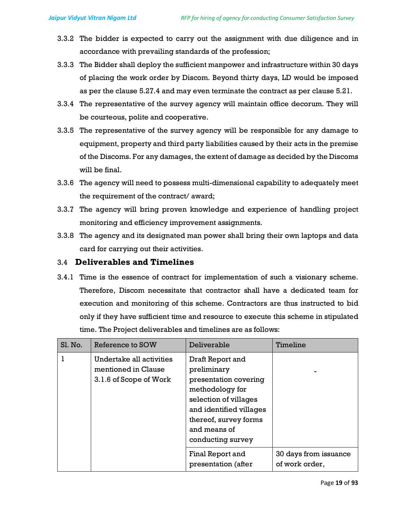- 3.3.2 The bidder is expected to carry out the assignment with due diligence and in accordance with prevailing standards of the profession;
- 3.3.3 The Bidder shall deploy the sufficient manpower and infrastructure within 30 days of placing the work order by Discom. Beyond thirty days, LD would be imposed as per the clause 5.27.4 and may even terminate the contract as per clause 5.21.
- 3.3.4 The representative of the survey agency will maintain office decorum. They will be courteous, polite and cooperative.
- 3.3.5 The representative of the survey agency will be responsible for any damage to equipment, property and third party liabilities caused by their acts in the premise of the Discoms. For any damages, the extent of damage as decided by the Discoms will be final.
- 3.3.6 The agency will need to possess multi-dimensional capability to adequately meet the requirement of the contract/ award;
- 3.3.7 The agency will bring proven knowledge and experience of handling project monitoring and efficiency improvement assignments.
- 3.3.8 The agency and its designated man power shall bring their own laptops and data card for carrying out their activities.

### 3.4 Deliverables and Timelines

3.4.1 Time is the essence of contract for implementation of such a visionary scheme. Therefore, Discom necessitate that contractor shall have a dedicated team for execution and monitoring of this scheme. Contractors are thus instructed to bid only if they have sufficient time and resource to execute this scheme in stipulated time. The Project deliverables and timelines are as follows:

| Sl. No. | Reference to SOW                                                          | Deliverable                                                                                                                                                                                   | Timeline                                |
|---------|---------------------------------------------------------------------------|-----------------------------------------------------------------------------------------------------------------------------------------------------------------------------------------------|-----------------------------------------|
|         | Undertake all activities<br>mentioned in Clause<br>3.1.6 of Scope of Work | Draft Report and<br>preliminary<br>presentation covering<br>methodology for<br>selection of villages<br>and identified villages<br>thereof, survey forms<br>and means of<br>conducting survey |                                         |
|         |                                                                           | Final Report and<br>presentation (after                                                                                                                                                       | 30 days from issuance<br>of work order, |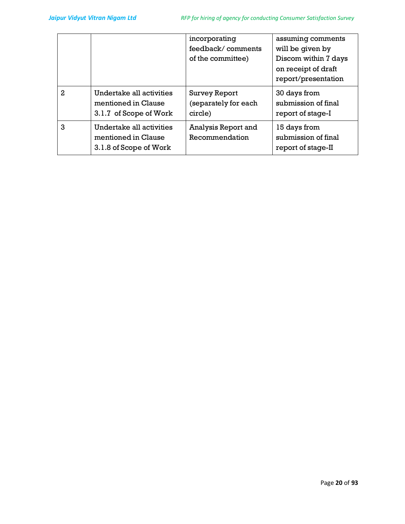|   |                                                                           | incorporating<br>feedback/comments<br>of the committee) | assuming comments<br>will be given by<br>Discom within 7 days<br>on receipt of draft<br>report/presentation |
|---|---------------------------------------------------------------------------|---------------------------------------------------------|-------------------------------------------------------------------------------------------------------------|
| 2 | Undertake all activities<br>mentioned in Clause<br>3.1.7 of Scope of Work | <b>Survey Report</b><br>(separately for each<br>circle) | 30 days from<br>submission of final<br>report of stage-I                                                    |
| 3 | Undertake all activities<br>mentioned in Clause<br>3.1.8 of Scope of Work | Analysis Report and<br>Recommendation                   | 15 days from<br>submission of final<br>report of stage-II                                                   |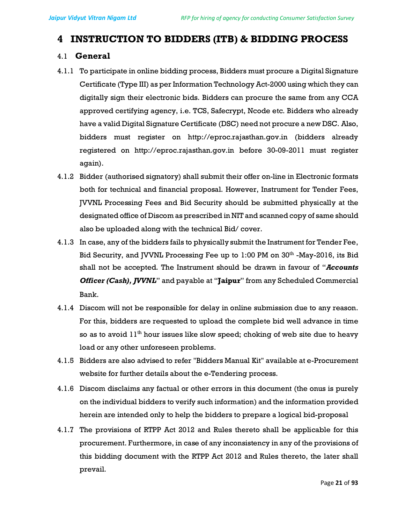# 4 INSTRUCTION TO BIDDERS (ITB) & BIDDING PROCESS

### 4.1 General

- 4.1.1 To participate in online bidding process, Bidders must procure a Digital Signature Certificate (Type III) as per Information Technology Act-2000 using which they can digitally sign their electronic bids. Bidders can procure the same from any CCA approved certifying agency, i.e. TCS, Safecrypt, Ncode etc. Bidders who already have a valid Digital Signature Certificate (DSC) need not procure a new DSC. Also, bidders must register on http://eproc.rajasthan.gov.in (bidders already registered on http://eproc.rajasthan.gov.in before 30-09-2011 must register again).
- 4.1.2 Bidder (authorised signatory) shall submit their offer on-line in Electronic formats both for technical and financial proposal. However, Instrument for Tender Fees, JVVNL Processing Fees and Bid Security should be submitted physically at the designated office of Discom as prescribed in NIT and scanned copy of same should also be uploaded along with the technical Bid/ cover.
- 4.1.3 In case, any of the bidders fails to physically submit the Instrument for Tender Fee, Bid Security, and JVVNL Processing Fee up to 1:00 PM on 30<sup>th</sup> -May-2016, its Bid shall not be accepted. The Instrument should be drawn in favour of "Accounts **Officer (Cash), JVVNL**" and payable at "Jaipur" from any Scheduled Commercial Bank.
- 4.1.4 Discom will not be responsible for delay in online submission due to any reason. For this, bidders are requested to upload the complete bid well advance in time so as to avoid  $11<sup>th</sup>$  hour issues like slow speed; choking of web site due to heavy load or any other unforeseen problems.
- 4.1.5 Bidders are also advised to refer "Bidders Manual Kit" available at e-Procurement website for further details about the e-Tendering process.
- 4.1.6 Discom disclaims any factual or other errors in this document (the onus is purely on the individual bidders to verify such information) and the information provided herein are intended only to help the bidders to prepare a logical bid-proposal
- 4.1.7 The provisions of RTPP Act 2012 and Rules thereto shall be applicable for this procurement. Furthermore, in case of any inconsistency in any of the provisions of this bidding document with the RTPP Act 2012 and Rules thereto, the later shall prevail.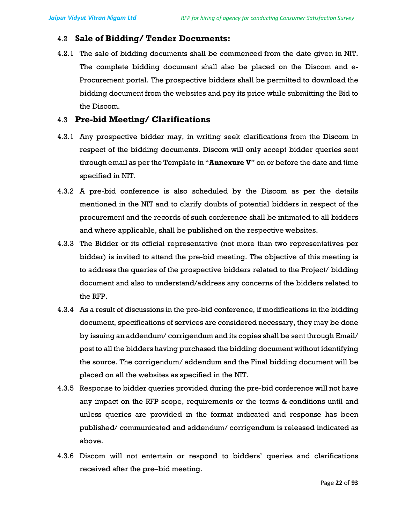# 4.2 Sale of Bidding/ Tender Documents:

4.2.1 The sale of bidding documents shall be commenced from the date given in NIT. The complete bidding document shall also be placed on the Discom and e-Procurement portal. The prospective bidders shall be permitted to download the bidding document from the websites and pay its price while submitting the Bid to the Discom.

# 4.3 Pre-bid Meeting/ Clarifications

- 4.3.1 Any prospective bidder may, in writing seek clarifications from the Discom in respect of the bidding documents. Discom will only accept bidder queries sent through email as per the Template in "**Annexure V**" on or before the date and time specified in NIT.
- 4.3.2 A pre-bid conference is also scheduled by the Discom as per the details mentioned in the NIT and to clarify doubts of potential bidders in respect of the procurement and the records of such conference shall be intimated to all bidders and where applicable, shall be published on the respective websites.
- 4.3.3 The Bidder or its official representative (not more than two representatives per bidder) is invited to attend the pre-bid meeting. The objective of this meeting is to address the queries of the prospective bidders related to the Project/ bidding document and also to understand/address any concerns of the bidders related to the RFP.
- 4.3.4 As a result of discussions in the pre-bid conference, if modifications in the bidding document, specifications of services are considered necessary, they may be done by issuing an addendum/ corrigendum and its copies shall be sent through Email/ post to all the bidders having purchased the bidding document without identifying the source. The corrigendum/ addendum and the Final bidding document will be placed on all the websites as specified in the NIT.
- 4.3.5 Response to bidder queries provided during the pre-bid conference will not have any impact on the RFP scope, requirements or the terms & conditions until and unless queries are provided in the format indicated and response has been published/ communicated and addendum/ corrigendum is released indicated as above.
- 4.3.6 Discom will not entertain or respond to bidders' queries and clarifications received after the pre–bid meeting.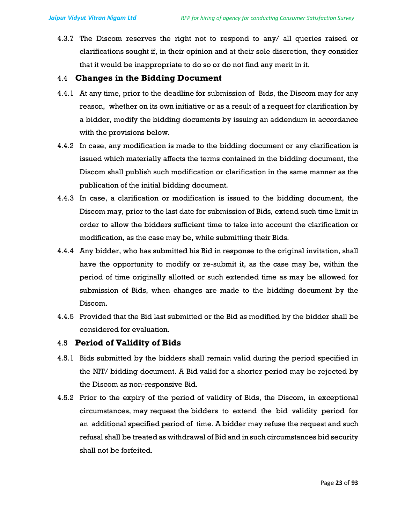4.3.7 The Discom reserves the right not to respond to any/ all queries raised or clarifications sought if, in their opinion and at their sole discretion, they consider that it would be inappropriate to do so or do not find any merit in it.

#### 4.4 Changes in the Bidding Document

- 4.4.1 At any time, prior to the deadline for submission of Bids, the Discom may for any reason, whether on its own initiative or as a result of a request for clarification by a bidder, modify the bidding documents by issuing an addendum in accordance with the provisions below.
- 4.4.2 In case, any modification is made to the bidding document or any clarification is issued which materially affects the terms contained in the bidding document, the Discom shall publish such modification or clarification in the same manner as the publication of the initial bidding document.
- 4.4.3 In case, a clarification or modification is issued to the bidding document, the Discom may, prior to the last date for submission of Bids, extend such time limit in order to allow the bidders sufficient time to take into account the clarification or modification, as the case may be, while submitting their Bids.
- 4.4.4 Any bidder, who has submitted his Bid in response to the original invitation, shall have the opportunity to modify or re-submit it, as the case may be, within the period of time originally allotted or such extended time as may be allowed for submission of Bids, when changes are made to the bidding document by the Discom.
- 4.4.5 Provided that the Bid last submitted or the Bid as modified by the bidder shall be considered for evaluation.

### 4.5 Period of Validity of Bids

- 4.5.1 Bids submitted by the bidders shall remain valid during the period specified in the NIT/ bidding document. A Bid valid for a shorter period may be rejected by the Discom as non-responsive Bid.
- 4.5.2 Prior to the expiry of the period of validity of Bids, the Discom, in exceptional circumstances, may request the bidders to extend the bid validity period for an additional specified period of time. A bidder may refuse the request and such refusal shall be treated as withdrawal of Bid and in such circumstances bid security shall not be forfeited.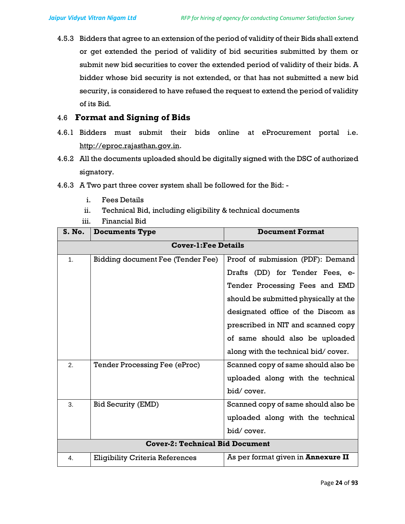4.5.3 Bidders that agree to an extension of the period of validity of their Bids shall extend or get extended the period of validity of bid securities submitted by them or submit new bid securities to cover the extended period of validity of their bids. A bidder whose bid security is not extended, or that has not submitted a new bid security, is considered to have refused the request to extend the period of validity of its Bid.

# 4.6 Format and Signing of Bids

- 4.6.1 Bidders must submit their bids online at eProcurement portal i.e. http://eproc.rajasthan.gov.in.
- 4.6.2 All the documents uploaded should be digitally signed with the DSC of authorized signatory.
- 4.6.3 A Two part three cover system shall be followed for the Bid:
	- i. Fees Details
	- ii. Technical Bid, including eligibility & technical documents
	- iii. Financial Bid

| S. No.                                 | <b>Documents Type</b>                  | <b>Document Format</b>                    |  |  |
|----------------------------------------|----------------------------------------|-------------------------------------------|--|--|
| <b>Cover-1: Fee Details</b>            |                                        |                                           |  |  |
| 1 <sub>1</sub>                         | Bidding document Fee (Tender Fee)      | Proof of submission (PDF): Demand         |  |  |
|                                        |                                        | Drafts (DD) for Tender Fees, e-           |  |  |
|                                        |                                        | Tender Processing Fees and EMD            |  |  |
|                                        |                                        | should be submitted physically at the     |  |  |
|                                        |                                        | designated office of the Discom as        |  |  |
|                                        |                                        | prescribed in NIT and scanned copy        |  |  |
|                                        |                                        | of same should also be uploaded           |  |  |
|                                        |                                        | along with the technical bid/cover.       |  |  |
| 2.                                     | <b>Tender Processing Fee (eProc)</b>   | Scanned copy of same should also be       |  |  |
|                                        |                                        | uploaded along with the technical         |  |  |
|                                        |                                        | bid/cover.                                |  |  |
| 3.                                     | <b>Bid Security (EMD)</b>              | Scanned copy of same should also be       |  |  |
|                                        |                                        | uploaded along with the technical         |  |  |
|                                        |                                        | bid/cover.                                |  |  |
| <b>Cover-2: Technical Bid Document</b> |                                        |                                           |  |  |
| 4.                                     | <b>Eligibility Criteria References</b> | As per format given in <b>Annexure II</b> |  |  |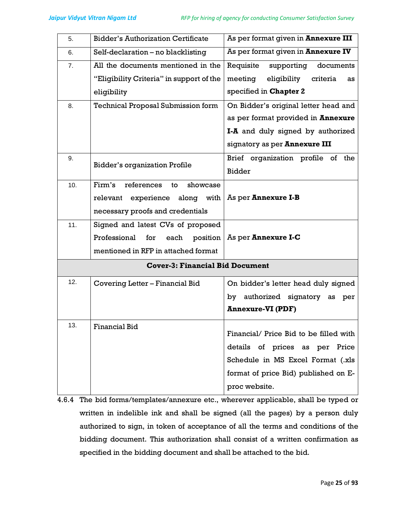| 5.  | <b>Bidder's Authorization Certificate</b> | As per format given in <b>Annexure III</b> |
|-----|-------------------------------------------|--------------------------------------------|
| 6.  | Self-declaration - no blacklisting        | As per format given in <b>Annexure IV</b>  |
| 7.  | All the documents mentioned in the        | Requisite<br>supporting<br>documents       |
|     | "Eligibility Criteria" in support of the  | meeting<br>eligibility<br>criteria<br>as   |
|     | eligibility                               | specified in Chapter 2                     |
| 8.  | <b>Technical Proposal Submission form</b> | On Bidder's original letter head and       |
|     |                                           | as per format provided in <b>Annexure</b>  |
|     |                                           | I-A and duly signed by authorized          |
|     |                                           | signatory as per Annexure III              |
| 9.  |                                           | Brief organization profile of the          |
|     | <b>Bidder's organization Profile</b>      | <b>Bidder</b>                              |
| 10. | Firm's<br>references<br>showcase<br>to    |                                            |
|     | experience along with<br>relevant         | As per <b>Annexure I-B</b>                 |
|     | necessary proofs and credentials          |                                            |
| 11. | Signed and latest CVs of proposed         |                                            |
|     | Professional<br>for<br>each               | position   As per Annexure I-C             |
|     | mentioned in RFP in attached format       |                                            |
|     | <b>Cover-3: Financial Bid Document</b>    |                                            |
| 12. | Covering Letter - Financial Bid           | On bidder's letter head duly signed        |
|     |                                           | authorized signatory as per<br>by          |
|     |                                           | <b>Annexure-VI (PDF)</b>                   |
| 13. | <b>Financial Bid</b>                      |                                            |
|     |                                           | Financial/ Price Bid to be filled with     |
|     |                                           | details of prices as per<br>Price          |
|     |                                           | Schedule in MS Excel Format (.xls          |
|     |                                           | format of price Bid) published on E-       |
|     |                                           | proc website.                              |

<sup>4.6.4</sup> The bid forms/templates/annexure etc., wherever applicable, shall be typed or written in indelible ink and shall be signed (all the pages) by a person duly authorized to sign, in token of acceptance of all the terms and conditions of the bidding document. This authorization shall consist of a written confirmation as specified in the bidding document and shall be attached to the bid.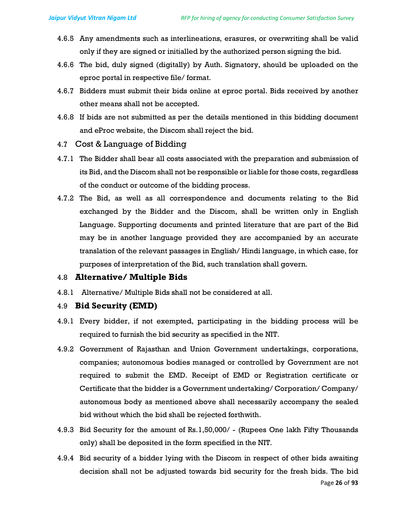- 4.6.5 Any amendments such as interlineations, erasures, or overwriting shall be valid only if they are signed or initialled by the authorized person signing the bid.
- 4.6.6 The bid, duly signed (digitally) by Auth. Signatory, should be uploaded on the eproc portal in respective file/ format.
- 4.6.7 Bidders must submit their bids online at eproc portal. Bids received by another other means shall not be accepted.
- 4.6.8 If bids are not submitted as per the details mentioned in this bidding document and eProc website, the Discom shall reject the bid.
- 4.7 Cost & Language of Bidding
- 4.7.1 The Bidder shall bear all costs associated with the preparation and submission of its Bid, and the Discom shall not be responsible or liable for those costs, regardless of the conduct or outcome of the bidding process.
- 4.7.2 The Bid, as well as all correspondence and documents relating to the Bid exchanged by the Bidder and the Discom, shall be written only in English Language. Supporting documents and printed literature that are part of the Bid may be in another language provided they are accompanied by an accurate translation of the relevant passages in English/ Hindi language, in which case, for purposes of interpretation of the Bid, such translation shall govern.

### 4.8 Alternative/ Multiple Bids

4.8.1 Alternative/ Multiple Bids shall not be considered at all.

#### 4.9 Bid Security (EMD)

- 4.9.1 Every bidder, if not exempted, participating in the bidding process will be required to furnish the bid security as specified in the NIT.
- 4.9.2 Government of Rajasthan and Union Government undertakings, corporations, companies; autonomous bodies managed or controlled by Government are not required to submit the EMD. Receipt of EMD or Registration certificate or Certificate that the bidder is a Government undertaking/ Corporation/ Company/ autonomous body as mentioned above shall necessarily accompany the sealed bid without which the bid shall be rejected forthwith.
- 4.9.3 Bid Security for the amount of Rs.1,50,000/ (Rupees One lakh Fifty Thousands only) shall be deposited in the form specified in the NIT.
- 4.9.4 Bid security of a bidder lying with the Discom in respect of other bids awaiting decision shall not be adjusted towards bid security for the fresh bids. The bid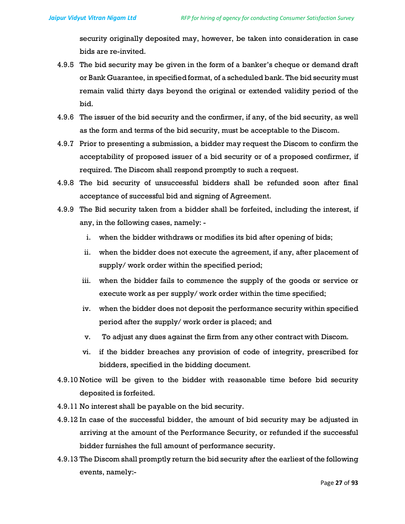security originally deposited may, however, be taken into consideration in case bids are re-invited.

- 4.9.5 The bid security may be given in the form of a banker's cheque or demand draft or Bank Guarantee, in specified format, of a scheduled bank. The bid security must remain valid thirty days beyond the original or extended validity period of the bid.
- 4.9.6 The issuer of the bid security and the confirmer, if any, of the bid security, as well as the form and terms of the bid security, must be acceptable to the Discom.
- 4.9.7 Prior to presenting a submission, a bidder may request the Discom to confirm the acceptability of proposed issuer of a bid security or of a proposed confirmer, if required. The Discom shall respond promptly to such a request.
- 4.9.8 The bid security of unsuccessful bidders shall be refunded soon after final acceptance of successful bid and signing of Agreement.
- 4.9.9 The Bid security taken from a bidder shall be forfeited, including the interest, if any, in the following cases, namely:
	- i. when the bidder withdraws or modifies its bid after opening of bids;
	- ii. when the bidder does not execute the agreement, if any, after placement of supply/ work order within the specified period;
	- iii. when the bidder fails to commence the supply of the goods or service or execute work as per supply/ work order within the time specified;
	- iv. when the bidder does not deposit the performance security within specified period after the supply/ work order is placed; and
	- v. To adjust any dues against the firm from any other contract with Discom.
	- vi. if the bidder breaches any provision of code of integrity, prescribed for bidders, specified in the bidding document.
- 4.9.10 Notice will be given to the bidder with reasonable time before bid security deposited is forfeited.
- 4.9.11 No interest shall be payable on the bid security.
- 4.9.12 In case of the successful bidder, the amount of bid security may be adjusted in arriving at the amount of the Performance Security, or refunded if the successful bidder furnishes the full amount of performance security.
- 4.9.13 The Discom shall promptly return the bid security after the earliest of the following events, namely:-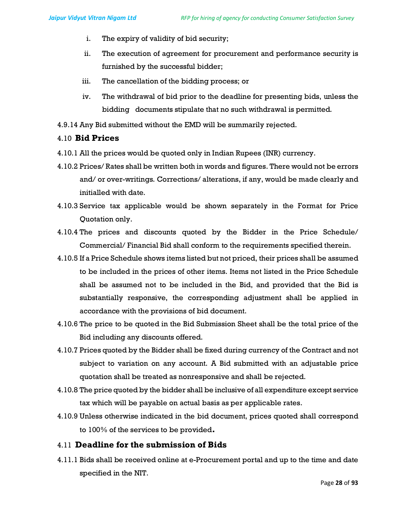- i. The expiry of validity of bid security;
- ii. The execution of agreement for procurement and performance security is furnished by the successful bidder;
- iii. The cancellation of the bidding process; or
- iv. The withdrawal of bid prior to the deadline for presenting bids, unless the bidding documents stipulate that no such withdrawal is permitted.
- 4.9.14 Any Bid submitted without the EMD will be summarily rejected.

#### 4.10 Bid Prices

- 4.10.1 All the prices would be quoted only in Indian Rupees (INR) currency.
- 4.10.2 Prices/ Rates shall be written both in words and figures. There would not be errors and/ or over-writings. Corrections/ alterations, if any, would be made clearly and initialled with date.
- 4.10.3 Service tax applicable would be shown separately in the Format for Price Quotation only.
- 4.10.4 The prices and discounts quoted by the Bidder in the Price Schedule/ Commercial/ Financial Bid shall conform to the requirements specified therein.
- 4.10.5 If a Price Schedule shows items listed but not priced, their prices shall be assumed to be included in the prices of other items. Items not listed in the Price Schedule shall be assumed not to be included in the Bid, and provided that the Bid is substantially responsive, the corresponding adjustment shall be applied in accordance with the provisions of bid document.
- 4.10.6 The price to be quoted in the Bid Submission Sheet shall be the total price of the Bid including any discounts offered.
- 4.10.7 Prices quoted by the Bidder shall be fixed during currency of the Contract and not subject to variation on any account. A Bid submitted with an adjustable price quotation shall be treated as nonresponsive and shall be rejected.
- 4.10.8 The price quoted by the bidder shall be inclusive of all expenditure except service tax which will be payable on actual basis as per applicable rates.
- 4.10.9 Unless otherwise indicated in the bid document, prices quoted shall correspond to 100% of the services to be provided.

### 4.11 Deadline for the submission of Bids

4.11.1 Bids shall be received online at e-Procurement portal and up to the time and date specified in the NIT.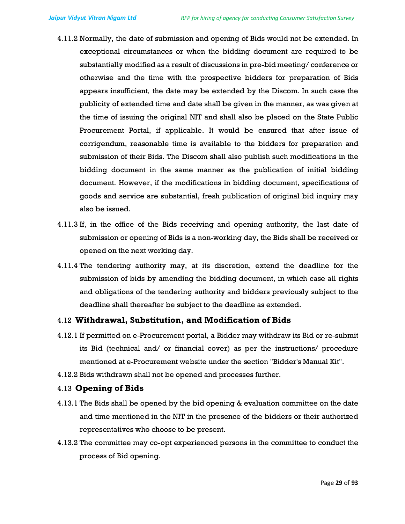- 4.11.2 Normally, the date of submission and opening of Bids would not be extended. In exceptional circumstances or when the bidding document are required to be substantially modified as a result of discussions in pre-bid meeting/ conference or otherwise and the time with the prospective bidders for preparation of Bids appears insufficient, the date may be extended by the Discom. In such case the publicity of extended time and date shall be given in the manner, as was given at the time of issuing the original NIT and shall also be placed on the State Public Procurement Portal, if applicable. It would be ensured that after issue of corrigendum, reasonable time is available to the bidders for preparation and submission of their Bids. The Discom shall also publish such modifications in the bidding document in the same manner as the publication of initial bidding document. However, if the modifications in bidding document, specifications of goods and service are substantial, fresh publication of original bid inquiry may also be issued.
- 4.11.3 If, in the office of the Bids receiving and opening authority, the last date of submission or opening of Bids is a non-working day, the Bids shall be received or opened on the next working day.
- 4.11.4 The tendering authority may, at its discretion, extend the deadline for the submission of bids by amending the bidding document, in which case all rights and obligations of the tendering authority and bidders previously subject to the deadline shall thereafter be subject to the deadline as extended.

#### 4.12 Withdrawal, Substitution, and Modification of Bids

- 4.12.1 If permitted on e-Procurement portal, a Bidder may withdraw its Bid or re-submit its Bid (technical and/ or financial cover) as per the instructions/ procedure mentioned at e-Procurement website under the section "Bidder's Manual Kit".
- 4.12.2 Bids withdrawn shall not be opened and processes further.

#### 4.13 Opening of Bids

- 4.13.1 The Bids shall be opened by the bid opening & evaluation committee on the date and time mentioned in the NIT in the presence of the bidders or their authorized representatives who choose to be present.
- 4.13.2 The committee may co-opt experienced persons in the committee to conduct the process of Bid opening.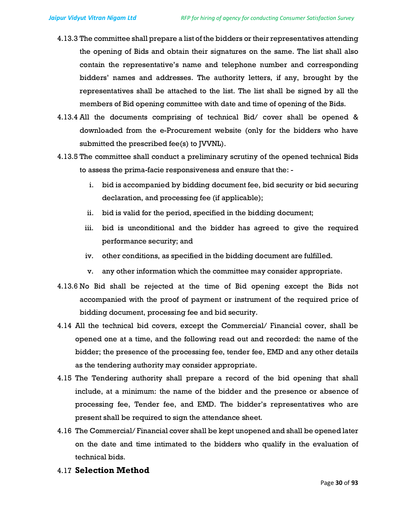- 4.13.3 The committee shall prepare a list of the bidders or their representatives attending the opening of Bids and obtain their signatures on the same. The list shall also contain the representative's name and telephone number and corresponding bidders' names and addresses. The authority letters, if any, brought by the representatives shall be attached to the list. The list shall be signed by all the members of Bid opening committee with date and time of opening of the Bids.
- 4.13.4 All the documents comprising of technical Bid/ cover shall be opened & downloaded from the e-Procurement website (only for the bidders who have submitted the prescribed fee(s) to [VVNL).
- 4.13.5 The committee shall conduct a preliminary scrutiny of the opened technical Bids to assess the prima-facie responsiveness and ensure that the:
	- i. bid is accompanied by bidding document fee, bid security or bid securing declaration, and processing fee (if applicable);
	- ii. bid is valid for the period, specified in the bidding document;
	- iii. bid is unconditional and the bidder has agreed to give the required performance security; and
	- iv. other conditions, as specified in the bidding document are fulfilled.
	- v. any other information which the committee may consider appropriate.
- 4.13.6 No Bid shall be rejected at the time of Bid opening except the Bids not accompanied with the proof of payment or instrument of the required price of bidding document, processing fee and bid security.
- 4.14 All the technical bid covers, except the Commercial/ Financial cover, shall be opened one at a time, and the following read out and recorded: the name of the bidder; the presence of the processing fee, tender fee, EMD and any other details as the tendering authority may consider appropriate.
- 4.15 The Tendering authority shall prepare a record of the bid opening that shall include, at a minimum: the name of the bidder and the presence or absence of processing fee, Tender fee, and EMD. The bidder's representatives who are present shall be required to sign the attendance sheet.
- 4.16 The Commercial/ Financial cover shall be kept unopened and shall be opened later on the date and time intimated to the bidders who qualify in the evaluation of technical bids.
- 4.17 Selection Method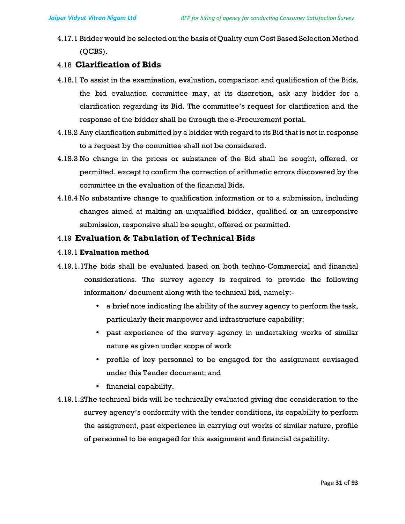4.17.1 Bidder would be selected on the basis of Quality cum Cost Based Selection Method (QCBS).

# 4.18 Clarification of Bids

- 4.18.1 To assist in the examination, evaluation, comparison and qualification of the Bids, the bid evaluation committee may, at its discretion, ask any bidder for a clarification regarding its Bid. The committee's request for clarification and the response of the bidder shall be through the e-Procurement portal.
- 4.18.2 Any clarification submitted by a bidder with regard to its Bid that is not in response to a request by the committee shall not be considered.
- 4.18.3 No change in the prices or substance of the Bid shall be sought, offered, or permitted, except to confirm the correction of arithmetic errors discovered by the committee in the evaluation of the financial Bids.
- 4.18.4 No substantive change to qualification information or to a submission, including changes aimed at making an unqualified bidder, qualified or an unresponsive submission, responsive shall be sought, offered or permitted.

# 4.19 Evaluation & Tabulation of Technical Bids

#### 4.19.1 Evaluation method

- 4.19.1.1The bids shall be evaluated based on both techno-Commercial and financial considerations. The survey agency is required to provide the following information/ document along with the technical bid, namely:-
	- a brief note indicating the ability of the survey agency to perform the task, particularly their manpower and infrastructure capability;
	- past experience of the survey agency in undertaking works of similar nature as given under scope of work
	- profile of key personnel to be engaged for the assignment envisaged under this Tender document; and
	- financial capability.
- 4.19.1.2The technical bids will be technically evaluated giving due consideration to the survey agency's conformity with the tender conditions, its capability to perform the assignment, past experience in carrying out works of similar nature, profile of personnel to be engaged for this assignment and financial capability.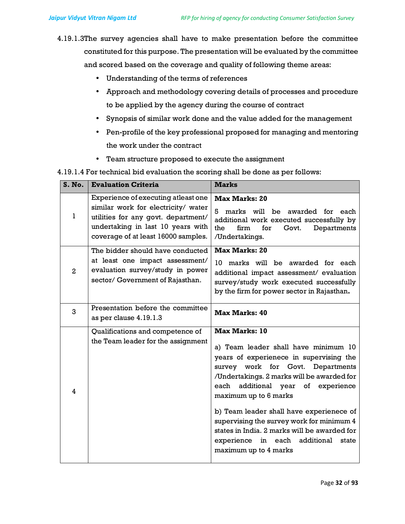- 4.19.1.3The survey agencies shall have to make presentation before the committee constituted for this purpose. The presentation will be evaluated by the committee and scored based on the coverage and quality of following theme areas:
	- Understanding of the terms of references
	- Approach and methodology covering details of processes and procedure to be applied by the agency during the course of contract
	- Synopsis of similar work done and the value added for the management
	- Pen-profile of the key professional proposed for managing and mentoring the work under the contract
	- Team structure proposed to execute the assignment

4.19.1.4 For technical bid evaluation the scoring shall be done as per follows:

| S. No.         | <b>Evaluation Criteria</b>                                                                                                                                                                    | <b>Marks</b>                                                                                                                                                                                                                                                                                                                                                                                                                                                                |
|----------------|-----------------------------------------------------------------------------------------------------------------------------------------------------------------------------------------------|-----------------------------------------------------------------------------------------------------------------------------------------------------------------------------------------------------------------------------------------------------------------------------------------------------------------------------------------------------------------------------------------------------------------------------------------------------------------------------|
| 1              | Experience of executing atleast one<br>similar work for electricity/ water<br>utilities for any govt. department/<br>undertaking in last 10 years with<br>coverage of at least 16000 samples. | <b>Max Marks: 20</b><br>5<br>marks will be awarded for each<br>additional work executed successfully by<br>firm<br>for<br>the<br>Govt.<br>Departments<br>/Undertakings.                                                                                                                                                                                                                                                                                                     |
| $\mathbf{2}$   | The bidder should have conducted<br>at least one impact assessment/<br>evaluation survey/study in power<br>sector/ Government of Rajasthan.                                                   | <b>Max Marks: 20</b><br>10 marks will be awarded for each<br>additional impact assessment/ evaluation<br>survey/study work executed successfully<br>by the firm for power sector in Rajasthan.                                                                                                                                                                                                                                                                              |
| 3              | Presentation before the committee<br>as per clause 4.19.1.3                                                                                                                                   | <b>Max Marks: 40</b>                                                                                                                                                                                                                                                                                                                                                                                                                                                        |
| $\overline{4}$ | Qualifications and competence of<br>the Team leader for the assignment                                                                                                                        | <b>Max Marks: 10</b><br>a) Team leader shall have minimum 10<br>years of experienece in supervising the<br>survey work for Govt. Departments<br>/Undertakings. 2 marks will be awarded for<br>additional year<br>each<br>of experience<br>maximum up to 6 marks<br>b) Team leader shall have experienece of<br>supervising the survey work for minimum 4<br>states in India. 2 marks will be awarded for<br>experience in each additional<br>state<br>maximum up to 4 marks |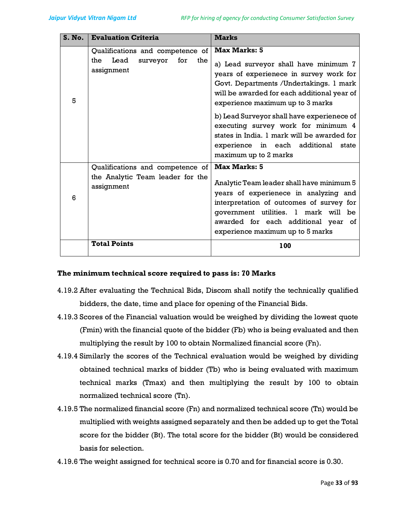| S. No. | <b>Evaluation Criteria</b>                                                           | <b>Marks</b>                                                                                                                                                                                                                                                                                                                                                                                                                               |
|--------|--------------------------------------------------------------------------------------|--------------------------------------------------------------------------------------------------------------------------------------------------------------------------------------------------------------------------------------------------------------------------------------------------------------------------------------------------------------------------------------------------------------------------------------------|
| 5      | Qualifications and competence of<br>Lead surveyor<br>for<br>the<br>the<br>assignment | <b>Max Marks: 5</b><br>a) Lead surveyor shall have minimum 7<br>years of experienece in survey work for<br>Govt. Departments / Undertakings. 1 mark<br>will be awarded for each additional year of<br>experience maximum up to 3 marks<br>b) Lead Surveyor shall have experienece of<br>executing survey work for minimum 4<br>states in India. 1 mark will be awarded for<br>experience in each additional state<br>maximum up to 2 marks |
| 6      | Qualifications and competence of<br>the Analytic Team leader for the<br>assignment   | <b>Max Marks: 5</b><br>Analytic Team leader shall have minimum 5<br>years of experienece in analyzing and<br>interpretation of outcomes of survey for<br>government utilities. 1 mark will be<br>awarded for each additional year of<br>experience maximum up to 5 marks                                                                                                                                                                   |
|        | <b>Total Points</b>                                                                  | 100                                                                                                                                                                                                                                                                                                                                                                                                                                        |

#### The minimum technical score required to pass is: 70 Marks

- 4.19.2 After evaluating the Technical Bids, Discom shall notify the technically qualified bidders, the date, time and place for opening of the Financial Bids.
- 4.19.3 Scores of the Financial valuation would be weighed by dividing the lowest quote (Fmin) with the financial quote of the bidder (Fb) who is being evaluated and then multiplying the result by 100 to obtain Normalized financial score (Fn).
- 4.19.4 Similarly the scores of the Technical evaluation would be weighed by dividing obtained technical marks of bidder (Tb) who is being evaluated with maximum technical marks (Tmax) and then multiplying the result by 100 to obtain normalized technical score (Tn).
- 4.19.5 The normalized financial score (Fn) and normalized technical score (Tn) would be multiplied with weights assigned separately and then be added up to get the Total score for the bidder (Bt). The total score for the bidder (Bt) would be considered basis for selection.
- 4.19.6 The weight assigned for technical score is 0.70 and for financial score is 0.30.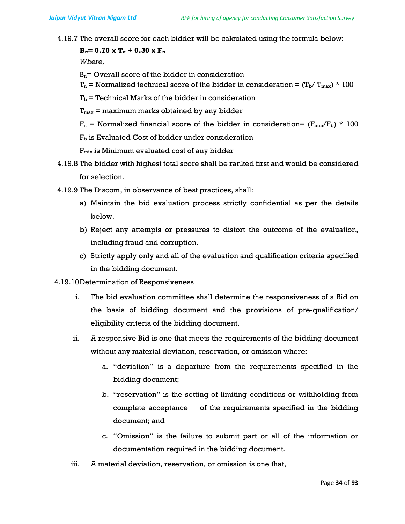4.19.7 The overall score for each bidder will be calculated using the formula below:

 $B_n=0.70 \times T_n + 0.30 \times F_n$ 

Where,

 $B_n$ = Overall score of the bidder in consideration

- $T_n$  = Normalized technical score of the bidder in consideration =  $(T_b/T_{max}) \times 100$
- $T_b$  = Technical Marks of the bidder in consideration
- $T_{\text{max}}$  = maximum marks obtained by any bidder

 $F_n$  = Normalized financial score of the bidder in consideration=  $(F_{min}/F_b)$  \* 100

 $F<sub>b</sub>$  is Evaluated Cost of bidder under consideration

 $F_{min}$  is Minimum evaluated cost of any bidder

- 4.19.8 The bidder with highest total score shall be ranked first and would be considered for selection.
- 4.19.9 The Discom, in observance of best practices, shall:
	- a) Maintain the bid evaluation process strictly confidential as per the details below.
	- b) Reject any attempts or pressures to distort the outcome of the evaluation, including fraud and corruption.
	- c) Strictly apply only and all of the evaluation and qualification criteria specified in the bidding document.
- 4.19.10Determination of Responsiveness
	- i. The bid evaluation committee shall determine the responsiveness of a Bid on the basis of bidding document and the provisions of pre-qualification/ eligibility criteria of the bidding document.
	- ii. A responsive Bid is one that meets the requirements of the bidding document without any material deviation, reservation, or omission where:
		- a. "deviation" is a departure from the requirements specified in the bidding document;
		- b. "reservation" is the setting of limiting conditions or withholding from complete acceptance of the requirements specified in the bidding document; and
		- c. "Omission" is the failure to submit part or all of the information or documentation required in the bidding document.
	- iii. A material deviation, reservation, or omission is one that,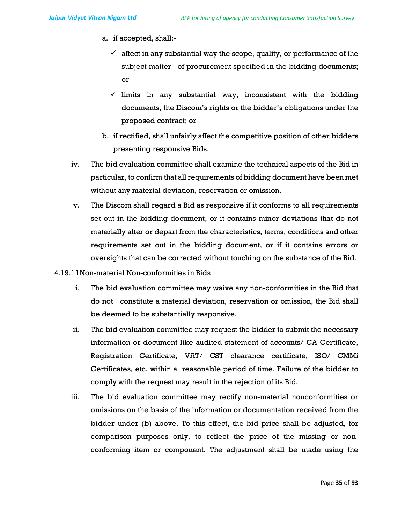- a. if accepted, shall:-
	- $\checkmark$  affect in any substantial way the scope, quality, or performance of the subject matter of procurement specified in the bidding documents; or
	- $\checkmark$  limits in any substantial way, inconsistent with the bidding documents, the Discom's rights or the bidder's obligations under the proposed contract; or
- b. if rectified, shall unfairly affect the competitive position of other bidders presenting responsive Bids.
- iv. The bid evaluation committee shall examine the technical aspects of the Bid in particular, to confirm that all requirements of bidding document have been met without any material deviation, reservation or omission.
- v. The Discom shall regard a Bid as responsive if it conforms to all requirements set out in the bidding document, or it contains minor deviations that do not materially alter or depart from the characteristics, terms, conditions and other requirements set out in the bidding document, or if it contains errors or oversights that can be corrected without touching on the substance of the Bid.
- 4.19.11Non-material Non-conformities in Bids
	- i. The bid evaluation committee may waive any non-conformities in the Bid that do not constitute a material deviation, reservation or omission, the Bid shall be deemed to be substantially responsive.
	- ii. The bid evaluation committee may request the bidder to submit the necessary information or document like audited statement of accounts/ CA Certificate, Registration Certificate, VAT/ CST clearance certificate, ISO/ CMMi Certificates, etc. within a reasonable period of time. Failure of the bidder to comply with the request may result in the rejection of its Bid.
	- iii. The bid evaluation committee may rectify non-material nonconformities or omissions on the basis of the information or documentation received from the bidder under (b) above. To this effect, the bid price shall be adjusted, for comparison purposes only, to reflect the price of the missing or nonconforming item or component. The adjustment shall be made using the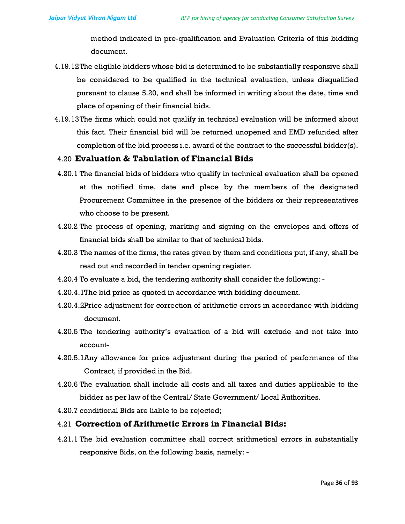method indicated in pre-qualification and Evaluation Criteria of this bidding document.

- 4.19.12The eligible bidders whose bid is determined to be substantially responsive shall be considered to be qualified in the technical evaluation, unless disqualified pursuant to clause 5.20, and shall be informed in writing about the date, time and place of opening of their financial bids.
- 4.19.13The firms which could not qualify in technical evaluation will be informed about this fact. Their financial bid will be returned unopened and EMD refunded after completion of the bid process i.e. award of the contract to the successful bidder(s).

### 4.20 Evaluation & Tabulation of Financial Bids

- 4.20.1 The financial bids of bidders who qualify in technical evaluation shall be opened at the notified time, date and place by the members of the designated Procurement Committee in the presence of the bidders or their representatives who choose to be present.
- 4.20.2 The process of opening, marking and signing on the envelopes and offers of financial bids shall be similar to that of technical bids.
- 4.20.3 The names of the firms, the rates given by them and conditions put, if any, shall be read out and recorded in tender opening register.
- 4.20.4 To evaluate a bid, the tendering authority shall consider the following: -
- 4.20.4.1The bid price as quoted in accordance with bidding document.
- 4.20.4.2Price adjustment for correction of arithmetic errors in accordance with bidding document.
- 4.20.5 The tendering authority's evaluation of a bid will exclude and not take into account-
- 4.20.5.1Any allowance for price adjustment during the period of performance of the Contract, if provided in the Bid.
- 4.20.6 The evaluation shall include all costs and all taxes and duties applicable to the bidder as per law of the Central/ State Government/ Local Authorities.
- 4.20.7 conditional Bids are liable to be rejected;

### 4.21 Correction of Arithmetic Errors in Financial Bids:

4.21.1 The bid evaluation committee shall correct arithmetical errors in substantially responsive Bids, on the following basis, namely: -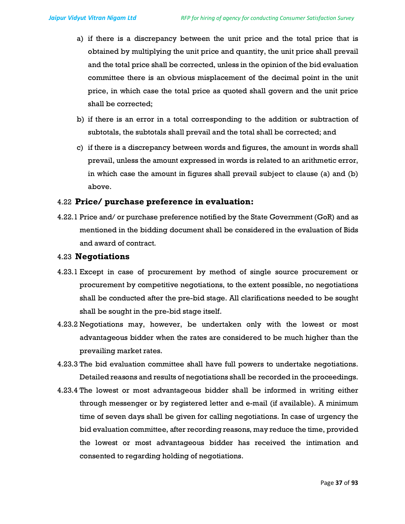- a) if there is a discrepancy between the unit price and the total price that is obtained by multiplying the unit price and quantity, the unit price shall prevail and the total price shall be corrected, unless in the opinion of the bid evaluation committee there is an obvious misplacement of the decimal point in the unit price, in which case the total price as quoted shall govern and the unit price shall be corrected;
- b) if there is an error in a total corresponding to the addition or subtraction of subtotals, the subtotals shall prevail and the total shall be corrected; and
- c) if there is a discrepancy between words and figures, the amount in words shall prevail, unless the amount expressed in words is related to an arithmetic error, in which case the amount in figures shall prevail subject to clause (a) and (b) above.

#### 4.22 Price/ purchase preference in evaluation:

4.22.1 Price and/ or purchase preference notified by the State Government (GoR) and as mentioned in the bidding document shall be considered in the evaluation of Bids and award of contract.

#### 4.23 Negotiations

- 4.23.1 Except in case of procurement by method of single source procurement or procurement by competitive negotiations, to the extent possible, no negotiations shall be conducted after the pre-bid stage. All clarifications needed to be sought shall be sought in the pre-bid stage itself.
- 4.23.2 Negotiations may, however, be undertaken only with the lowest or most advantageous bidder when the rates are considered to be much higher than the prevailing market rates.
- 4.23.3 The bid evaluation committee shall have full powers to undertake negotiations. Detailed reasons and results of negotiations shall be recorded in the proceedings.
- 4.23.4 The lowest or most advantageous bidder shall be informed in writing either through messenger or by registered letter and e-mail (if available). A minimum time of seven days shall be given for calling negotiations. In case of urgency the bid evaluation committee, after recording reasons, may reduce the time, provided the lowest or most advantageous bidder has received the intimation and consented to regarding holding of negotiations.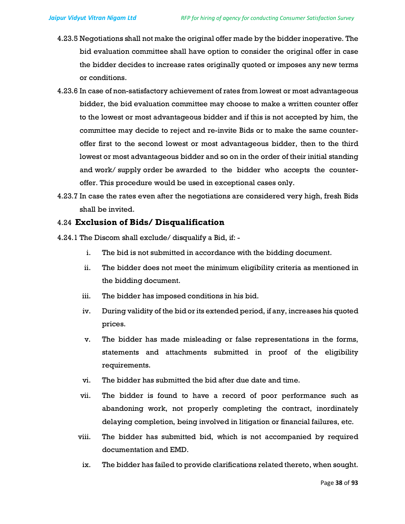- 4.23.5 Negotiations shall not make the original offer made by the bidder inoperative. The bid evaluation committee shall have option to consider the original offer in case the bidder decides to increase rates originally quoted or imposes any new terms or conditions.
- 4.23.6 In case of non-satisfactory achievement of rates from lowest or most advantageous bidder, the bid evaluation committee may choose to make a written counter offer to the lowest or most advantageous bidder and if this is not accepted by him, the committee may decide to reject and re-invite Bids or to make the same counteroffer first to the second lowest or most advantageous bidder, then to the third lowest or most advantageous bidder and so on in the order of their initial standing and work/ supply order be awarded to the bidder who accepts the counteroffer. This procedure would be used in exceptional cases only.
- 4.23.7 In case the rates even after the negotiations are considered very high, fresh Bids shall be invited.

## 4.24 Exclusion of Bids/ Disqualification

- 4.24.1 The Discom shall exclude/ disqualify a Bid, if:
	- i. The bid is not submitted in accordance with the bidding document.
	- ii. The bidder does not meet the minimum eligibility criteria as mentioned in the bidding document.
	- iii. The bidder has imposed conditions in his bid.
	- iv. During validity of the bid or its extended period, if any, increases his quoted prices.
	- v. The bidder has made misleading or false representations in the forms, statements and attachments submitted in proof of the eligibility requirements.
	- vi. The bidder has submitted the bid after due date and time.
	- vii. The bidder is found to have a record of poor performance such as abandoning work, not properly completing the contract, inordinately delaying completion, being involved in litigation or financial failures, etc.
	- viii. The bidder has submitted bid, which is not accompanied by required documentation and EMD.
	- ix. The bidder has failed to provide clarifications related thereto, when sought.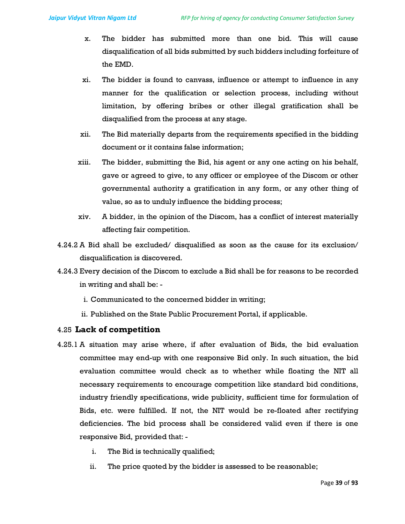- x. The bidder has submitted more than one bid. This will cause disqualification of all bids submitted by such bidders including forfeiture of the EMD.
- xi. The bidder is found to canvass, influence or attempt to influence in any manner for the qualification or selection process, including without limitation, by offering bribes or other illegal gratification shall be disqualified from the process at any stage.
- xii. The Bid materially departs from the requirements specified in the bidding document or it contains false information;
- xiii. The bidder, submitting the Bid, his agent or any one acting on his behalf, gave or agreed to give, to any officer or employee of the Discom or other governmental authority a gratification in any form, or any other thing of value, so as to unduly influence the bidding process;
- xiv. A bidder, in the opinion of the Discom, has a conflict of interest materially affecting fair competition.
- 4.24.2 A Bid shall be excluded/ disqualified as soon as the cause for its exclusion/ disqualification is discovered.
- 4.24.3 Every decision of the Discom to exclude a Bid shall be for reasons to be recorded in writing and shall be:
	- i. Communicated to the concerned bidder in writing;
	- ii. Published on the State Public Procurement Portal, if applicable.

#### 4.25 Lack of competition

- 4.25.1 A situation may arise where, if after evaluation of Bids, the bid evaluation committee may end-up with one responsive Bid only. In such situation, the bid evaluation committee would check as to whether while floating the NIT all necessary requirements to encourage competition like standard bid conditions, industry friendly specifications, wide publicity, sufficient time for formulation of Bids, etc. were fulfilled. If not, the NIT would be re-floated after rectifying deficiencies. The bid process shall be considered valid even if there is one responsive Bid, provided that:
	- i. The Bid is technically qualified;
	- ii. The price quoted by the bidder is assessed to be reasonable;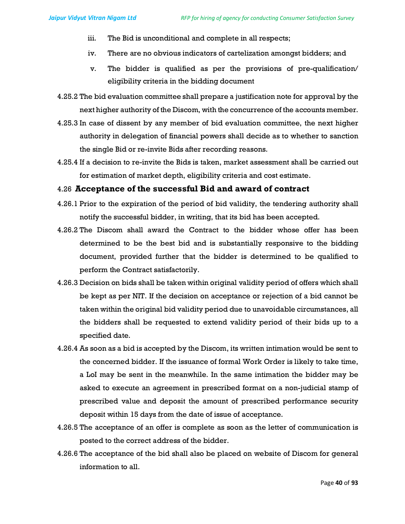- iii. The Bid is unconditional and complete in all respects;
- iv. There are no obvious indicators of cartelization amongst bidders; and
- v. The bidder is qualified as per the provisions of pre-qualification/ eligibility criteria in the bidding document
- 4.25.2 The bid evaluation committee shall prepare a justification note for approval by the next higher authority of the Discom, with the concurrence of the accounts member.
- 4.25.3 In case of dissent by any member of bid evaluation committee, the next higher authority in delegation of financial powers shall decide as to whether to sanction the single Bid or re-invite Bids after recording reasons.
- 4.25.4 If a decision to re-invite the Bids is taken, market assessment shall be carried out for estimation of market depth, eligibility criteria and cost estimate.

#### 4.26 Acceptance of the successful Bid and award of contract

- 4.26.1 Prior to the expiration of the period of bid validity, the tendering authority shall notify the successful bidder, in writing, that its bid has been accepted.
- 4.26.2 The Discom shall award the Contract to the bidder whose offer has been determined to be the best bid and is substantially responsive to the bidding document, provided further that the bidder is determined to be qualified to perform the Contract satisfactorily.
- 4.26.3 Decision on bids shall be taken within original validity period of offers which shall be kept as per NIT. If the decision on acceptance or rejection of a bid cannot be taken within the original bid validity period due to unavoidable circumstances, all the bidders shall be requested to extend validity period of their bids up to a specified date.
- 4.26.4 As soon as a bid is accepted by the Discom, its written intimation would be sent to the concerned bidder. If the issuance of formal Work Order is likely to take time, a LoI may be sent in the meanwhile. In the same intimation the bidder may be asked to execute an agreement in prescribed format on a non-judicial stamp of prescribed value and deposit the amount of prescribed performance security deposit within 15 days from the date of issue of acceptance.
- 4.26.5 The acceptance of an offer is complete as soon as the letter of communication is posted to the correct address of the bidder.
- 4.26.6 The acceptance of the bid shall also be placed on website of Discom for general information to all.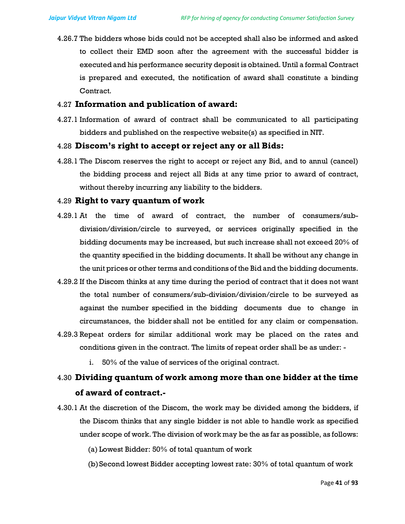4.26.7 The bidders whose bids could not be accepted shall also be informed and asked to collect their EMD soon after the agreement with the successful bidder is executed and his performance security deposit is obtained. Until a formal Contract is prepared and executed, the notification of award shall constitute a binding Contract.

#### 4.27 Information and publication of award:

4.27.1 Information of award of contract shall be communicated to all participating bidders and published on the respective website(s) as specified in NIT.

#### 4.28 Discom's right to accept or reject any or all Bids:

4.28.1 The Discom reserves the right to accept or reject any Bid, and to annul (cancel) the bidding process and reject all Bids at any time prior to award of contract, without thereby incurring any liability to the bidders.

# 4.29 Right to vary quantum of work

- 4.29.1 At the time of award of contract, the number of consumers/subdivision/division/circle to surveyed, or services originally specified in the bidding documents may be increased, but such increase shall not exceed 20% of the quantity specified in the bidding documents. It shall be without any change in the unit prices or other terms and conditions of the Bid and the bidding documents.
- 4.29.2 If the Discom thinks at any time during the period of contract that it does not want the total number of consumers/sub-division/division/circle to be surveyed as against the number specified in the bidding documents due to change in circumstances, the bidder shall not be entitled for any claim or compensation.
- 4.29.3 Repeat orders for similar additional work may be placed on the rates and conditions given in the contract. The limits of repeat order shall be as under:
	- i. 50% of the value of services of the original contract.

# 4.30 Dividing quantum of work among more than one bidder at the time of award of contract.-

4.30.1 At the discretion of the Discom, the work may be divided among the bidders, if the Discom thinks that any single bidder is not able to handle work as specified under scope of work. The division of work may be the as far as possible, as follows:

(a) Lowest Bidder: 50% of total quantum of work

(b)Second lowest Bidder accepting lowest rate: 30% of total quantum of work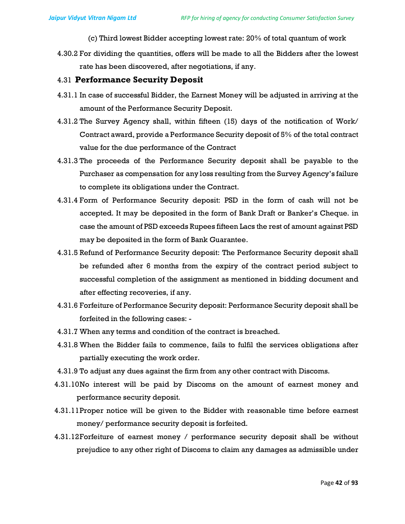(c) Third lowest Bidder accepting lowest rate: 20% of total quantum of work

4.30.2 For dividing the quantities, offers will be made to all the Bidders after the lowest rate has been discovered, after negotiations, if any.

#### 4.31 Performance Security Deposit

- 4.31.1 In case of successful Bidder, the Earnest Money will be adjusted in arriving at the amount of the Performance Security Deposit.
- 4.31.2 The Survey Agency shall, within fifteen (15) days of the notification of Work/ Contract award, provide a Performance Security deposit of 5% of the total contract value for the due performance of the Contract
- 4.31.3 The proceeds of the Performance Security deposit shall be payable to the Purchaser as compensation for any loss resulting from the Survey Agency's failure to complete its obligations under the Contract.
- 4.31.4 Form of Performance Security deposit: PSD in the form of cash will not be accepted. It may be deposited in the form of Bank Draft or Banker's Cheque. in case the amount of PSD exceeds Rupees fifteen Lacs the rest of amount against PSD may be deposited in the form of Bank Guarantee.
- 4.31.5 Refund of Performance Security deposit: The Performance Security deposit shall be refunded after 6 months from the expiry of the contract period subject to successful completion of the assignment as mentioned in bidding document and after effecting recoveries, if any.
- 4.31.6 Forfeiture of Performance Security deposit: Performance Security deposit shall be forfeited in the following cases: -
- 4.31.7 When any terms and condition of the contract is breached.
- 4.31.8 When the Bidder fails to commence, fails to fulfil the services obligations after partially executing the work order.
- 4.31.9 To adjust any dues against the firm from any other contract with Discoms.
- 4.31.10No interest will be paid by Discoms on the amount of earnest money and performance security deposit.
- 4.31.11Proper notice will be given to the Bidder with reasonable time before earnest money/ performance security deposit is forfeited.
- 4.31.12Forfeiture of earnest money / performance security deposit shall be without prejudice to any other right of Discoms to claim any damages as admissible under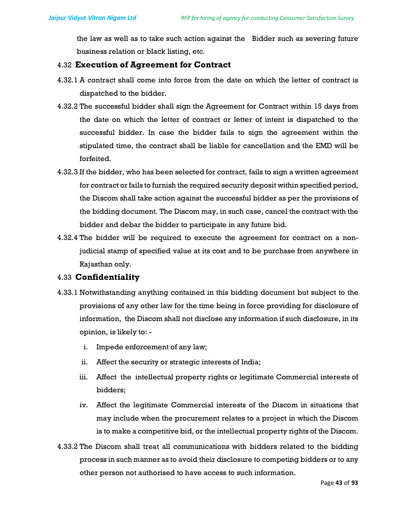the law as well as to take such action against the Bidder such as severing future business relation or black listing, etc.

## 4.32 Execution of Agreement for Contract

- 4.32.1 A contract shall come into force from the date on which the letter of contract is dispatched to the bidder.
- 4.32.2 The successful bidder shall sign the Agreement for Contract within 15 days from the date on which the letter of contract or letter of intent is dispatched to the successful bidder. In case the bidder fails to sign the agreement within the stipulated time, the contract shall be liable for cancellation and the EMD will be forfeited.
- 4.32.3 If the bidder, who has been selected for contract, fails to sign a written agreement for contract or fails to furnish the required security deposit within specified period, the Discom shall take action against the successful bidder as per the provisions of the bidding document. The Discom may, in such case, cancel the contract with the bidder and debar the bidder to participate in any future bid.
- 4.32.4 The bidder will be required to execute the agreement for contract on a nonjudicial stamp of specified value at its cost and to be purchase from anywhere in Rajasthan only.

#### 4.33 Confidentiality

- 4.33.1 Notwithstanding anything contained in this bidding document but subject to the provisions of any other law for the time being in force providing for disclosure of information, the Discom shall not disclose any information if such disclosure, in its opinion, is likely to:
	- i. Impede enforcement of any law;
	- ii. Affect the security or strategic interests of India;
	- iii. Affect the intellectual property rights or legitimate Commercial interests of bidders;
	- iv. Affect the legitimate Commercial interests of the Discom in situations that may include when the procurement relates to a project in which the Discom is to make a competitive bid, or the intellectual property rights of the Discom.
- 4.33.2 The Discom shall treat all communications with bidders related to the bidding process in such manner as to avoid their disclosure to competing bidders or to any other person not authorised to have access to such information.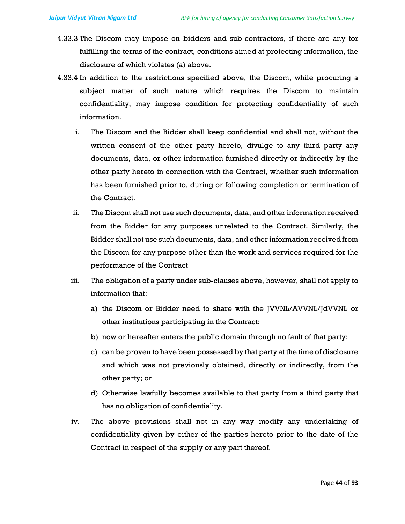- 4.33.3 The Discom may impose on bidders and sub-contractors, if there are any for fulfilling the terms of the contract, conditions aimed at protecting information, the disclosure of which violates (a) above.
- 4.33.4 In addition to the restrictions specified above, the Discom, while procuring a subject matter of such nature which requires the Discom to maintain confidentiality, may impose condition for protecting confidentiality of such information.
	- i. The Discom and the Bidder shall keep confidential and shall not, without the written consent of the other party hereto, divulge to any third party any documents, data, or other information furnished directly or indirectly by the other party hereto in connection with the Contract, whether such information has been furnished prior to, during or following completion or termination of the Contract.
	- ii. The Discom shall not use such documents, data, and other information received from the Bidder for any purposes unrelated to the Contract. Similarly, the Bidder shall not use such documents, data, and other information received from the Discom for any purpose other than the work and services required for the performance of the Contract
	- iii. The obligation of a party under sub-clauses above, however, shall not apply to information that:
		- a) the Discom or Bidder need to share with the JVVNL/AVVNL/JdVVNL or other institutions participating in the Contract;
		- b) now or hereafter enters the public domain through no fault of that party;
		- c) can be proven to have been possessed by that party at the time of disclosure and which was not previously obtained, directly or indirectly, from the other party; or
		- d) Otherwise lawfully becomes available to that party from a third party that has no obligation of confidentiality.
	- iv. The above provisions shall not in any way modify any undertaking of confidentiality given by either of the parties hereto prior to the date of the Contract in respect of the supply or any part thereof.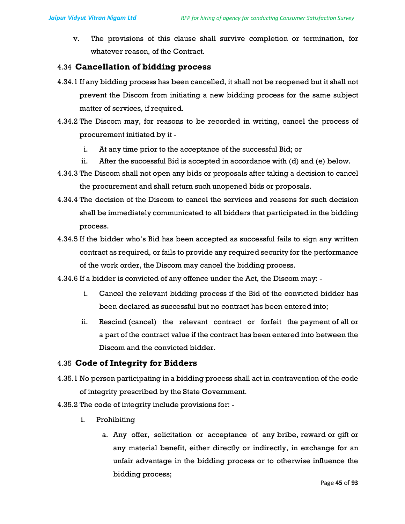v. The provisions of this clause shall survive completion or termination, for whatever reason, of the Contract.

## 4.34 Cancellation of bidding process

- 4.34.1 If any bidding process has been cancelled, it shall not be reopened but it shall not prevent the Discom from initiating a new bidding process for the same subject matter of services, if required.
- 4.34.2 The Discom may, for reasons to be recorded in writing, cancel the process of procurement initiated by it
	- i. At any time prior to the acceptance of the successful Bid; or
	- ii. After the successful Bid is accepted in accordance with (d) and (e) below.
- 4.34.3 The Discom shall not open any bids or proposals after taking a decision to cancel the procurement and shall return such unopened bids or proposals.
- 4.34.4 The decision of the Discom to cancel the services and reasons for such decision shall be immediately communicated to all bidders that participated in the bidding process.
- 4.34.5 If the bidder who's Bid has been accepted as successful fails to sign any written contract as required, or fails to provide any required security for the performance of the work order, the Discom may cancel the bidding process.
- 4.34.6 If a bidder is convicted of any offence under the Act, the Discom may:
	- i. Cancel the relevant bidding process if the Bid of the convicted bidder has been declared as successful but no contract has been entered into;
	- ii. Rescind (cancel) the relevant contract or forfeit the payment of all or a part of the contract value if the contract has been entered into between the Discom and the convicted bidder.

# 4.35 Code of Integrity for Bidders

- 4.35.1 No person participating in a bidding process shall act in contravention of the code of integrity prescribed by the State Government.
- 4.35.2 The code of integrity include provisions for:
	- i. Prohibiting
		- a. Any offer, solicitation or acceptance of any bribe, reward or gift or any material benefit, either directly or indirectly, in exchange for an unfair advantage in the bidding process or to otherwise influence the bidding process;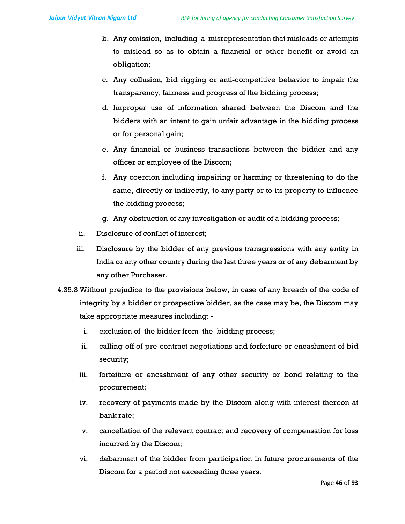- b. Any omission, including a misrepresentation that misleads or attempts to mislead so as to obtain a financial or other benefit or avoid an obligation;
- c. Any collusion, bid rigging or anti-competitive behavior to impair the transparency, fairness and progress of the bidding process;
- d. Improper use of information shared between the Discom and the bidders with an intent to gain unfair advantage in the bidding process or for personal gain;
- e. Any financial or business transactions between the bidder and any officer or employee of the Discom;
- f. Any coercion including impairing or harming or threatening to do the same, directly or indirectly, to any party or to its property to influence the bidding process;
- g. Any obstruction of any investigation or audit of a bidding process;
- ii. Disclosure of conflict of interest;
- iii. Disclosure by the bidder of any previous transgressions with any entity in India or any other country during the last three years or of any debarment by any other Purchaser.
- 4.35.3 Without prejudice to the provisions below, in case of any breach of the code of integrity by a bidder or prospective bidder, as the case may be, the Discom may take appropriate measures including:
	- i. exclusion of the bidder from the bidding process;
	- ii. calling-off of pre-contract negotiations and forfeiture or encashment of bid security;
	- iii. forfeiture or encashment of any other security or bond relating to the procurement;
	- iv. recovery of payments made by the Discom along with interest thereon at bank rate;
	- v. cancellation of the relevant contract and recovery of compensation for loss incurred by the Discom;
	- vi. debarment of the bidder from participation in future procurements of the Discom for a period not exceeding three years.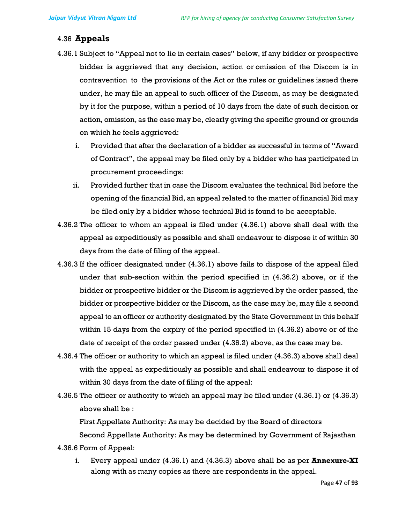## 4.36 Appeals

- 4.36.1 Subject to "Appeal not to lie in certain cases" below, if any bidder or prospective bidder is aggrieved that any decision, action or omission of the Discom is in contravention to the provisions of the Act or the rules or guidelines issued there under, he may file an appeal to such officer of the Discom, as may be designated by it for the purpose, within a period of 10 days from the date of such decision or action, omission, as the case may be, clearly giving the specific ground or grounds on which he feels aggrieved:
	- i. Provided that after the declaration of a bidder as successful in terms of "Award of Contract", the appeal may be filed only by a bidder who has participated in procurement proceedings:
	- ii. Provided further that in case the Discom evaluates the technical Bid before the opening of the financial Bid, an appeal related to the matter of financial Bid may be filed only by a bidder whose technical Bid is found to be acceptable.
- 4.36.2 The officer to whom an appeal is filed under (4.36.1) above shall deal with the appeal as expeditiously as possible and shall endeavour to dispose it of within 30 days from the date of filing of the appeal.
- 4.36.3 If the officer designated under (4.36.1) above fails to dispose of the appeal filed under that sub-section within the period specified in (4.36.2) above, or if the bidder or prospective bidder or the Discom is aggrieved by the order passed, the bidder or prospective bidder or the Discom, as the case may be, may file a second appeal to an officer or authority designated by the State Government in this behalf within 15 days from the expiry of the period specified in (4.36.2) above or of the date of receipt of the order passed under (4.36.2) above, as the case may be.
- 4.36.4 The officer or authority to which an appeal is filed under (4.36.3) above shall deal with the appeal as expeditiously as possible and shall endeavour to dispose it of within 30 days from the date of filing of the appeal:
- 4.36.5 The officer or authority to which an appeal may be filed under (4.36.1) or (4.36.3) above shall be :

First Appellate Authority: As may be decided by the Board of directors

Second Appellate Authority: As may be determined by Government of Rajasthan

- 4.36.6 Form of Appeal:
	- i. Every appeal under  $(4.36.1)$  and  $(4.36.3)$  above shall be as per **Annexure-XI** along with as many copies as there are respondents in the appeal.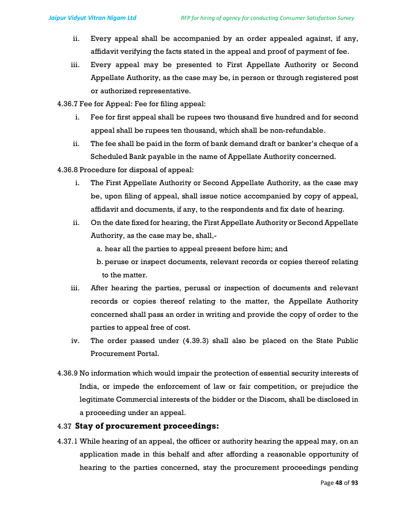- ii. Every appeal shall be accompanied by an order appealed against, if any, affidavit verifying the facts stated in the appeal and proof of payment of fee.
- iii. Every appeal may be presented to First Appellate Authority or Second Appellate Authority, as the case may be, in person or through registered post or authorized representative.
- 4.36.7 Fee for Appeal: Fee for filing appeal:
	- i. Fee for first appeal shall be rupees two thousand five hundred and for second appeal shall be rupees ten thousand, which shall be non-refundable.
	- ii. The fee shall be paid in the form of bank demand draft or banker's cheque of a Scheduled Bank payable in the name of Appellate Authority concerned.
- 4.36.8 Procedure for disposal of appeal:
	- i. The First Appellate Authority or Second Appellate Authority, as the case may be, upon filing of appeal, shall issue notice accompanied by copy of appeal, affidavit and documents, if any, to the respondents and fix date of hearing.
	- ii. On the date fixed for hearing, the First Appellate Authority or Second Appellate Authority, as the case may be, shall,
		- a. hear all the parties to appeal present before him; and
		- b. peruse or inspect documents, relevant records or copies thereof relating to the matter.
	- iii. After hearing the parties, perusal or inspection of documents and relevant records or copies thereof relating to the matter, the Appellate Authority concerned shall pass an order in writing and provide the copy of order to the parties to appeal free of cost.
	- iv. The order passed under (4.39.3) shall also be placed on the State Public Procurement Portal.
- 4.36.9 No information which would impair the protection of essential security interests of India, or impede the enforcement of law or fair competition, or prejudice the legitimate Commercial interests of the bidder or the Discom, shall be disclosed in a proceeding under an appeal.

# 4.37 Stay of procurement proceedings:

4.37.1 While hearing of an appeal, the officer or authority hearing the appeal may, on an application made in this behalf and after affording a reasonable opportunity of hearing to the parties concerned, stay the procurement proceedings pending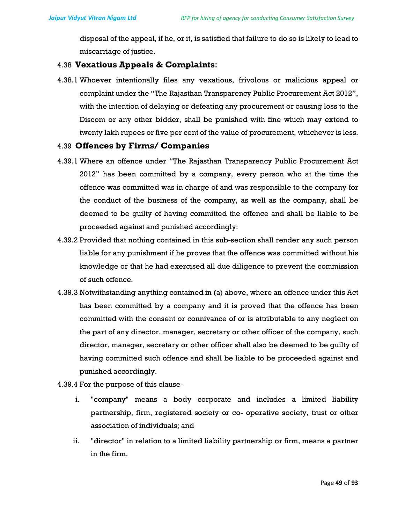disposal of the appeal, if he, or it, is satisfied that failure to do so is likely to lead to miscarriage of justice.

#### 4.38 Vexatious Appeals & Complaints:

4.38.1 Whoever intentionally files any vexatious, frivolous or malicious appeal or complaint under the "The Rajasthan Transparency Public Procurement Act 2012", with the intention of delaying or defeating any procurement or causing loss to the Discom or any other bidder, shall be punished with fine which may extend to twenty lakh rupees or five per cent of the value of procurement, whichever is less.

#### 4.39 Offences by Firms/ Companies

- 4.39.1 Where an offence under "The Rajasthan Transparency Public Procurement Act 2012" has been committed by a company, every person who at the time the offence was committed was in charge of and was responsible to the company for the conduct of the business of the company, as well as the company, shall be deemed to be guilty of having committed the offence and shall be liable to be proceeded against and punished accordingly:
- 4.39.2 Provided that nothing contained in this sub-section shall render any such person liable for any punishment if he proves that the offence was committed without his knowledge or that he had exercised all due diligence to prevent the commission of such offence.
- 4.39.3 Notwithstanding anything contained in (a) above, where an offence under this Act has been committed by a company and it is proved that the offence has been committed with the consent or connivance of or is attributable to any neglect on the part of any director, manager, secretary or other officer of the company, such director, manager, secretary or other officer shall also be deemed to be guilty of having committed such offence and shall be liable to be proceeded against and punished accordingly.
- 4.39.4 For the purpose of this clause
	- i. "company" means a body corporate and includes a limited liability partnership, firm, registered society or co- operative society, trust or other association of individuals; and
	- ii. "director" in relation to a limited liability partnership or firm, means a partner in the firm.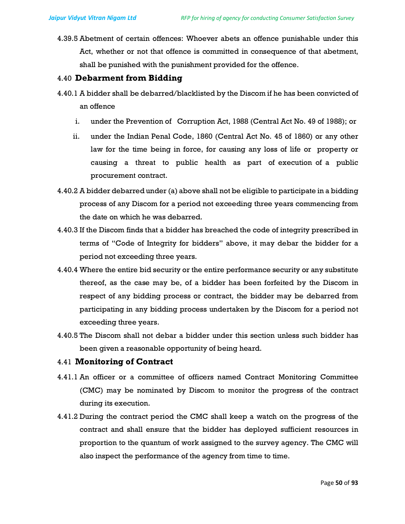4.39.5 Abetment of certain offences: Whoever abets an offence punishable under this Act, whether or not that offence is committed in consequence of that abetment, shall be punished with the punishment provided for the offence.

#### 4.40 Debarment from Bidding

- 4.40.1 A bidder shall be debarred/blacklisted by the Discom if he has been convicted of an offence
	- i. under the Prevention of Corruption Act, 1988 (Central Act No. 49 of 1988); or
	- ii. under the Indian Penal Code, 1860 (Central Act No. 45 of 1860) or any other law for the time being in force, for causing any loss of life or property or causing a threat to public health as part of execution of a public procurement contract.
- 4.40.2 A bidder debarred under (a) above shall not be eligible to participate in a bidding process of any Discom for a period not exceeding three years commencing from the date on which he was debarred.
- 4.40.3 If the Discom finds that a bidder has breached the code of integrity prescribed in terms of "Code of Integrity for bidders" above, it may debar the bidder for a period not exceeding three years.
- 4.40.4 Where the entire bid security or the entire performance security or any substitute thereof, as the case may be, of a bidder has been forfeited by the Discom in respect of any bidding process or contract, the bidder may be debarred from participating in any bidding process undertaken by the Discom for a period not exceeding three years.
- 4.40.5 The Discom shall not debar a bidder under this section unless such bidder has been given a reasonable opportunity of being heard.

#### 4.41 Monitoring of Contract

- 4.41.1 An officer or a committee of officers named Contract Monitoring Committee (CMC) may be nominated by Discom to monitor the progress of the contract during its execution.
- 4.41.2 During the contract period the CMC shall keep a watch on the progress of the contract and shall ensure that the bidder has deployed sufficient resources in proportion to the quantum of work assigned to the survey agency. The CMC will also inspect the performance of the agency from time to time.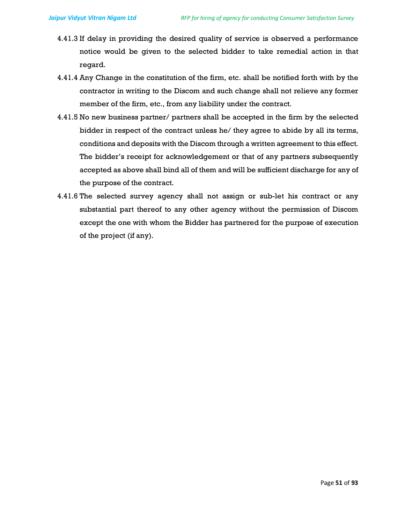- 4.41.3 If delay in providing the desired quality of service is observed a performance notice would be given to the selected bidder to take remedial action in that regard.
- 4.41.4 Any Change in the constitution of the firm, etc. shall be notified forth with by the contractor in writing to the Discom and such change shall not relieve any former member of the firm, etc., from any liability under the contract.
- 4.41.5 No new business partner/ partners shall be accepted in the firm by the selected bidder in respect of the contract unless he/ they agree to abide by all its terms, conditions and deposits with the Discom through a written agreement to this effect. The bidder's receipt for acknowledgement or that of any partners subsequently accepted as above shall bind all of them and will be sufficient discharge for any of the purpose of the contract.
- 4.41.6 The selected survey agency shall not assign or sub-let his contract or any substantial part thereof to any other agency without the permission of Discom except the one with whom the Bidder has partnered for the purpose of execution of the project (if any).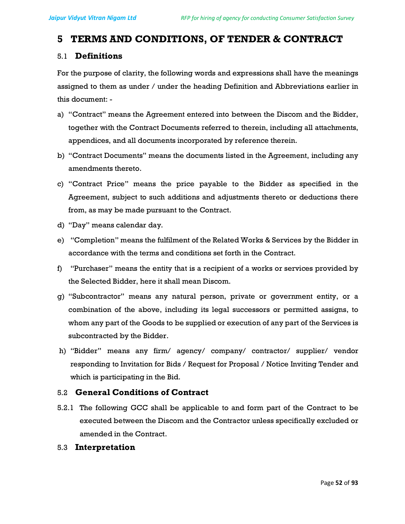# 5 TERMS AND CONDITIONS, OF TENDER & CONTRACT

#### 5.1 Definitions

For the purpose of clarity, the following words and expressions shall have the meanings assigned to them as under / under the heading Definition and Abbreviations earlier in this document: -

- a) "Contract" means the Agreement entered into between the Discom and the Bidder, together with the Contract Documents referred to therein, including all attachments, appendices, and all documents incorporated by reference therein.
- b) "Contract Documents" means the documents listed in the Agreement, including any amendments thereto.
- c) "Contract Price" means the price payable to the Bidder as specified in the Agreement, subject to such additions and adjustments thereto or deductions there from, as may be made pursuant to the Contract.
- d) "Day" means calendar day.
- e) "Completion" means the fulfilment of the Related Works & Services by the Bidder in accordance with the terms and conditions set forth in the Contract.
- f) "Purchaser" means the entity that is a recipient of a works or services provided by the Selected Bidder, here it shall mean Discom.
- g) "Subcontractor" means any natural person, private or government entity, or a combination of the above, including its legal successors or permitted assigns, to whom any part of the Goods to be supplied or execution of any part of the Services is subcontracted by the Bidder.
- h) "Bidder" means any firm/ agency/ company/ contractor/ supplier/ vendor responding to Invitation for Bids / Request for Proposal / Notice Inviting Tender and which is participating in the Bid.

# 5.2 General Conditions of Contract

5.2.1 The following GCC shall be applicable to and form part of the Contract to be executed between the Discom and the Contractor unless specifically excluded or amended in the Contract.

#### 5.3 Interpretation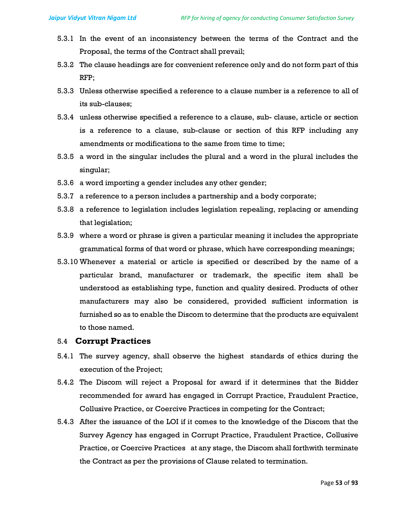- 5.3.1 In the event of an inconsistency between the terms of the Contract and the Proposal, the terms of the Contract shall prevail;
- 5.3.2 The clause headings are for convenient reference only and do not form part of this RFP;
- 5.3.3 Unless otherwise specified a reference to a clause number is a reference to all of its sub-clauses;
- 5.3.4 unless otherwise specified a reference to a clause, sub- clause, article or section is a reference to a clause, sub-clause or section of this RFP including any amendments or modifications to the same from time to time;
- 5.3.5 a word in the singular includes the plural and a word in the plural includes the singular;
- 5.3.6 a word importing a gender includes any other gender;
- 5.3.7 a reference to a person includes a partnership and a body corporate;
- 5.3.8 a reference to legislation includes legislation repealing, replacing or amending that legislation;
- 5.3.9 where a word or phrase is given a particular meaning it includes the appropriate grammatical forms of that word or phrase, which have corresponding meanings;
- 5.3.10 Whenever a material or article is specified or described by the name of a particular brand, manufacturer or trademark, the specific item shall be understood as establishing type, function and quality desired. Products of other manufacturers may also be considered, provided sufficient information is furnished so as to enable the Discom to determine that the products are equivalent to those named.

#### 5.4 Corrupt Practices

- 5.4.1 The survey agency, shall observe the highest standards of ethics during the execution of the Project;
- 5.4.2 The Discom will reject a Proposal for award if it determines that the Bidder recommended for award has engaged in Corrupt Practice, Fraudulent Practice, Collusive Practice, or Coercive Practices in competing for the Contract;
- 5.4.3 After the issuance of the LOI if it comes to the knowledge of the Discom that the Survey Agency has engaged in Corrupt Practice, Fraudulent Practice, Collusive Practice, or Coercive Practices at any stage, the Discom shall forthwith terminate the Contract as per the provisions of Clause related to termination.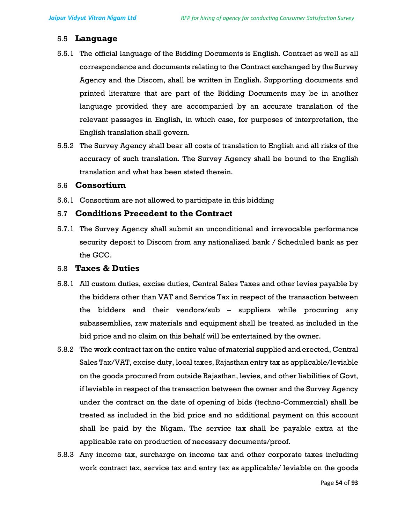#### 5.5 Language

- 5.5.1 The official language of the Bidding Documents is English. Contract as well as all correspondence and documents relating to the Contract exchanged by the Survey Agency and the Discom, shall be written in English. Supporting documents and printed literature that are part of the Bidding Documents may be in another language provided they are accompanied by an accurate translation of the relevant passages in English, in which case, for purposes of interpretation, the English translation shall govern.
- 5.5.2 The Survey Agency shall bear all costs of translation to English and all risks of the accuracy of such translation. The Survey Agency shall be bound to the English translation and what has been stated therein.

#### 5.6 Consortium

5.6.1 Consortium are not allowed to participate in this bidding

#### 5.7 Conditions Precedent to the Contract

5.7.1 The Survey Agency shall submit an unconditional and irrevocable performance security deposit to Discom from any nationalized bank / Scheduled bank as per the GCC.

#### 5.8 Taxes & Duties

- 5.8.1 All custom duties, excise duties, Central Sales Taxes and other levies payable by the bidders other than VAT and Service Tax in respect of the transaction between the bidders and their vendors/sub – suppliers while procuring any subassemblies, raw materials and equipment shall be treated as included in the bid price and no claim on this behalf will be entertained by the owner.
- 5.8.2 The work contract tax on the entire value of material supplied and erected, Central Sales Tax/VAT, excise duty, local taxes, Rajasthan entry tax as applicable/leviable on the goods procured from outside Rajasthan, levies, and other liabilities of Govt, if leviable in respect of the transaction between the owner and the Survey Agency under the contract on the date of opening of bids (techno-Commercial) shall be treated as included in the bid price and no additional payment on this account shall be paid by the Nigam. The service tax shall be payable extra at the applicable rate on production of necessary documents/proof.
- 5.8.3 Any income tax, surcharge on income tax and other corporate taxes including work contract tax, service tax and entry tax as applicable/ leviable on the goods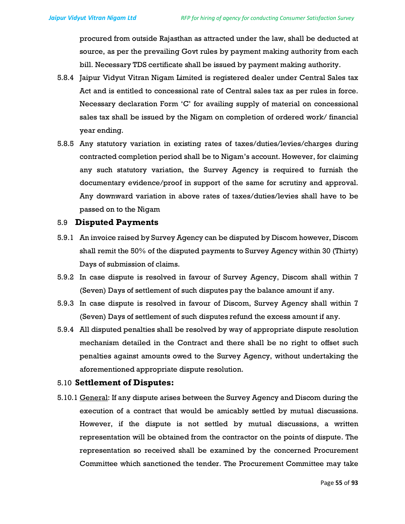procured from outside Rajasthan as attracted under the law, shall be deducted at source, as per the prevailing Govt rules by payment making authority from each bill. Necessary TDS certificate shall be issued by payment making authority.

- 5.8.4 Jaipur Vidyut Vitran Nigam Limited is registered dealer under Central Sales tax Act and is entitled to concessional rate of Central sales tax as per rules in force. Necessary declaration Form 'C' for availing supply of material on concessional sales tax shall be issued by the Nigam on completion of ordered work/ financial year ending.
- 5.8.5 Any statutory variation in existing rates of taxes/duties/levies/charges during contracted completion period shall be to Nigam's account. However, for claiming any such statutory variation, the Survey Agency is required to furnish the documentary evidence/proof in support of the same for scrutiny and approval. Any downward variation in above rates of taxes/duties/levies shall have to be passed on to the Nigam

#### 5.9 Disputed Payments

- 5.9.1 An invoice raised by Survey Agency can be disputed by Discom however, Discom shall remit the 50% of the disputed payments to Survey Agency within 30 (Thirty) Days of submission of claims.
- 5.9.2 In case dispute is resolved in favour of Survey Agency, Discom shall within 7 (Seven) Days of settlement of such disputes pay the balance amount if any.
- 5.9.3 In case dispute is resolved in favour of Discom, Survey Agency shall within 7 (Seven) Days of settlement of such disputes refund the excess amount if any.
- 5.9.4 All disputed penalties shall be resolved by way of appropriate dispute resolution mechanism detailed in the Contract and there shall be no right to offset such penalties against amounts owed to the Survey Agency, without undertaking the aforementioned appropriate dispute resolution.

#### 5.10 Settlement of Disputes:

5.10.1 General: If any dispute arises between the Survey Agency and Discom during the execution of a contract that would be amicably settled by mutual discussions. However, if the dispute is not settled by mutual discussions, a written representation will be obtained from the contractor on the points of dispute. The representation so received shall be examined by the concerned Procurement Committee which sanctioned the tender. The Procurement Committee may take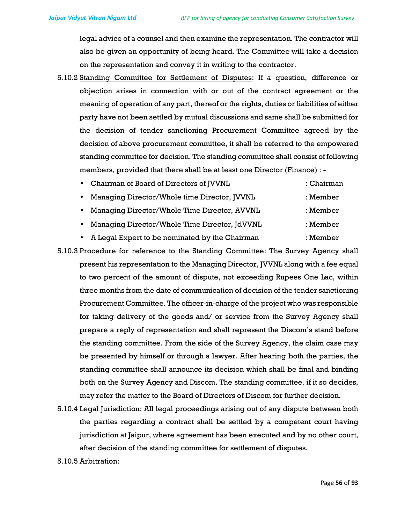legal advice of a counsel and then examine the representation. The contractor will also be given an opportunity of being heard. The Committee will take a decision on the representation and convey it in writing to the contractor.

- 5.10.2 Standing Committee for Settlement of Disputes: If a question, difference or objection arises in connection with or out of the contract agreement or the meaning of operation of any part, thereof or the rights, duties or liabilities of either party have not been settled by mutual discussions and same shall be submitted for the decision of tender sanctioning Procurement Committee agreed by the decision of above procurement committee, it shall be referred to the empowered standing committee for decision. The standing committee shall consist of following members, provided that there shall be at least one Director (Finance) : -
	- Chairman of Board of Directors of JVVNL : Chairman • Managing Director/Whole time Director, JVVNL : Member • Managing Director/Whole Time Director, AVVNL : Member
		- Managing Director/Whole Time Director, JdVVNL : Member
		- A Legal Expert to be nominated by the Chairman : Member
- 5.10.3 Procedure for reference to the Standing Committee: The Survey Agency shall present his representation to the Managing Director, JVVNL along with a fee equal to two percent of the amount of dispute, not exceeding Rupees One Lac, within three months from the date of communication of decision of the tender sanctioning Procurement Committee. The officer-in-charge of the project who was responsible for taking delivery of the goods and/ or service from the Survey Agency shall prepare a reply of representation and shall represent the Discom's stand before the standing committee. From the side of the Survey Agency, the claim case may be presented by himself or through a lawyer. After hearing both the parties, the standing committee shall announce its decision which shall be final and binding both on the Survey Agency and Discom. The standing committee, if it so decides, may refer the matter to the Board of Directors of Discom for further decision.
- 5.10.4 Legal Jurisdiction: All legal proceedings arising out of any dispute between both the parties regarding a contract shall be settled by a competent court having jurisdiction at Jaipur, where agreement has been executed and by no other court, after decision of the standing committee for settlement of disputes.
- 5.10.5 Arbitration: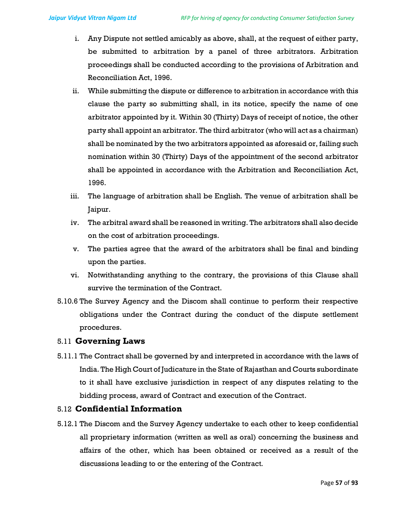- i. Any Dispute not settled amicably as above, shall, at the request of either party, be submitted to arbitration by a panel of three arbitrators. Arbitration proceedings shall be conducted according to the provisions of Arbitration and Reconciliation Act, 1996.
- ii. While submitting the dispute or difference to arbitration in accordance with this clause the party so submitting shall, in its notice, specify the name of one arbitrator appointed by it. Within 30 (Thirty) Days of receipt of notice, the other party shall appoint an arbitrator. The third arbitrator (who will act as a chairman) shall be nominated by the two arbitrators appointed as aforesaid or, failing such nomination within 30 (Thirty) Days of the appointment of the second arbitrator shall be appointed in accordance with the Arbitration and Reconciliation Act, 1996.
- iii. The language of arbitration shall be English. The venue of arbitration shall be Jaipur.
- iv. The arbitral award shall be reasoned in writing. The arbitrators shall also decide on the cost of arbitration proceedings.
- v. The parties agree that the award of the arbitrators shall be final and binding upon the parties.
- vi. Notwithstanding anything to the contrary, the provisions of this Clause shall survive the termination of the Contract.
- 5.10.6 The Survey Agency and the Discom shall continue to perform their respective obligations under the Contract during the conduct of the dispute settlement procedures.

#### 5.11 Governing Laws

5.11.1 The Contract shall be governed by and interpreted in accordance with the laws of India. The High Court of Judicature in the State of Rajasthan and Courts subordinate to it shall have exclusive jurisdiction in respect of any disputes relating to the bidding process, award of Contract and execution of the Contract.

#### 5.12 Confidential Information

5.12.1 The Discom and the Survey Agency undertake to each other to keep confidential all proprietary information (written as well as oral) concerning the business and affairs of the other, which has been obtained or received as a result of the discussions leading to or the entering of the Contract.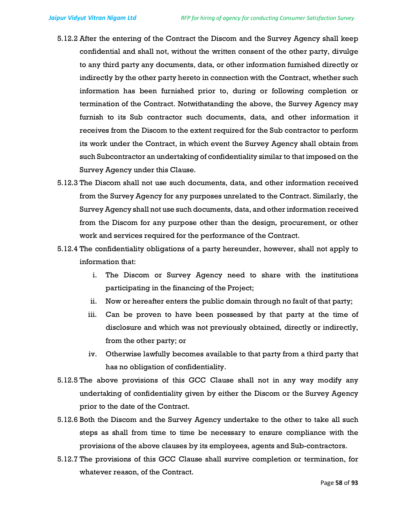- 5.12.2 After the entering of the Contract the Discom and the Survey Agency shall keep confidential and shall not, without the written consent of the other party, divulge to any third party any documents, data, or other information furnished directly or indirectly by the other party hereto in connection with the Contract, whether such information has been furnished prior to, during or following completion or termination of the Contract. Notwithstanding the above, the Survey Agency may furnish to its Sub contractor such documents, data, and other information it receives from the Discom to the extent required for the Sub contractor to perform its work under the Contract, in which event the Survey Agency shall obtain from such Subcontractor an undertaking of confidentiality similar to that imposed on the Survey Agency under this Clause.
- 5.12.3 The Discom shall not use such documents, data, and other information received from the Survey Agency for any purposes unrelated to the Contract. Similarly, the Survey Agency shall not use such documents, data, and other information received from the Discom for any purpose other than the design, procurement, or other work and services required for the performance of the Contract.
- 5.12.4 The confidentiality obligations of a party hereunder, however, shall not apply to information that:
	- i. The Discom or Survey Agency need to share with the institutions participating in the financing of the Project;
	- ii. Now or hereafter enters the public domain through no fault of that party;
	- iii. Can be proven to have been possessed by that party at the time of disclosure and which was not previously obtained, directly or indirectly, from the other party; or
	- iv. Otherwise lawfully becomes available to that party from a third party that has no obligation of confidentiality.
- 5.12.5 The above provisions of this GCC Clause shall not in any way modify any undertaking of confidentiality given by either the Discom or the Survey Agency prior to the date of the Contract.
- 5.12.6 Both the Discom and the Survey Agency undertake to the other to take all such steps as shall from time to time be necessary to ensure compliance with the provisions of the above clauses by its employees, agents and Sub-contractors.
- 5.12.7 The provisions of this GCC Clause shall survive completion or termination, for whatever reason, of the Contract.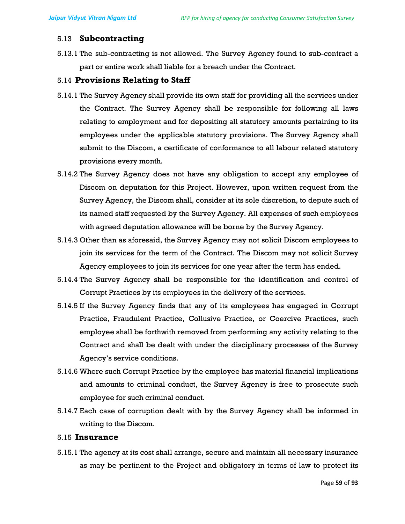#### 5.13 Subcontracting

5.13.1 The sub-contracting is not allowed. The Survey Agency found to sub-contract a part or entire work shall liable for a breach under the Contract.

#### 5.14 Provisions Relating to Staff

- 5.14.1 The Survey Agency shall provide its own staff for providing all the services under the Contract. The Survey Agency shall be responsible for following all laws relating to employment and for depositing all statutory amounts pertaining to its employees under the applicable statutory provisions. The Survey Agency shall submit to the Discom, a certificate of conformance to all labour related statutory provisions every month.
- 5.14.2 The Survey Agency does not have any obligation to accept any employee of Discom on deputation for this Project. However, upon written request from the Survey Agency, the Discom shall, consider at its sole discretion, to depute such of its named staff requested by the Survey Agency. All expenses of such employees with agreed deputation allowance will be borne by the Survey Agency.
- 5.14.3 Other than as aforesaid, the Survey Agency may not solicit Discom employees to join its services for the term of the Contract. The Discom may not solicit Survey Agency employees to join its services for one year after the term has ended.
- 5.14.4 The Survey Agency shall be responsible for the identification and control of Corrupt Practices by its employees in the delivery of the services.
- 5.14.5 If the Survey Agency finds that any of its employees has engaged in Corrupt Practice, Fraudulent Practice, Collusive Practice, or Coercive Practices, such employee shall be forthwith removed from performing any activity relating to the Contract and shall be dealt with under the disciplinary processes of the Survey Agency's service conditions.
- 5.14.6 Where such Corrupt Practice by the employee has material financial implications and amounts to criminal conduct, the Survey Agency is free to prosecute such employee for such criminal conduct.
- 5.14.7 Each case of corruption dealt with by the Survey Agency shall be informed in writing to the Discom.

## 5.15 Insurance

5.15.1 The agency at its cost shall arrange, secure and maintain all necessary insurance as may be pertinent to the Project and obligatory in terms of law to protect its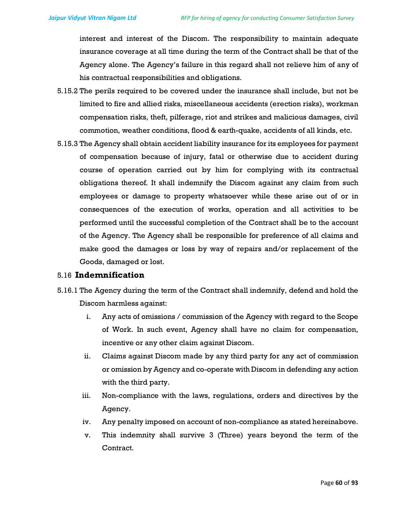interest and interest of the Discom. The responsibility to maintain adequate insurance coverage at all time during the term of the Contract shall be that of the Agency alone. The Agency's failure in this regard shall not relieve him of any of his contractual responsibilities and obligations.

- 5.15.2 The perils required to be covered under the insurance shall include, but not be limited to fire and allied risks, miscellaneous accidents (erection risks), workman compensation risks, theft, pilferage, riot and strikes and malicious damages, civil commotion, weather conditions, flood & earth-quake, accidents of all kinds, etc.
- 5.15.3 The Agency shall obtain accident liability insurance for its employees for payment of compensation because of injury, fatal or otherwise due to accident during course of operation carried out by him for complying with its contractual obligations thereof. It shall indemnify the Discom against any claim from such employees or damage to property whatsoever while these arise out of or in consequences of the execution of works, operation and all activities to be performed until the successful completion of the Contract shall be to the account of the Agency. The Agency shall be responsible for preference of all claims and make good the damages or loss by way of repairs and/or replacement of the Goods, damaged or lost.

#### 5.16 Indemnification

- 5.16.1 The Agency during the term of the Contract shall indemnify, defend and hold the Discom harmless against:
	- i. Any acts of omissions / commission of the Agency with regard to the Scope of Work. In such event, Agency shall have no claim for compensation, incentive or any other claim against Discom.
	- ii. Claims against Discom made by any third party for any act of commission or omission by Agency and co-operate with Discom in defending any action with the third party.
	- iii. Non-compliance with the laws, regulations, orders and directives by the Agency.
	- iv. Any penalty imposed on account of non-compliance as stated hereinabove.
	- v. This indemnity shall survive 3 (Three) years beyond the term of the Contract.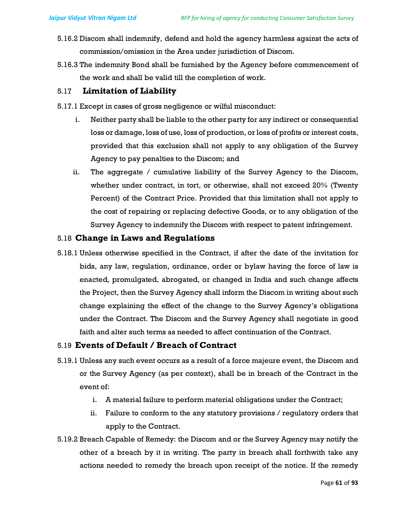- 5.16.2 Discom shall indemnify, defend and hold the agency harmless against the acts of commission/omission in the Area under jurisdiction of Discom.
- 5.16.3 The indemnity Bond shall be furnished by the Agency before commencement of the work and shall be valid till the completion of work.

#### 5.17 Limitation of Liability

- 5.17.1 Except in cases of gross negligence or wilful misconduct:
	- i. Neither party shall be liable to the other party for any indirect or consequential loss or damage, loss of use, loss of production, or loss of profits or interest costs, provided that this exclusion shall not apply to any obligation of the Survey Agency to pay penalties to the Discom; and
	- ii. The aggregate / cumulative liability of the Survey Agency to the Discom, whether under contract, in tort, or otherwise, shall not exceed 20% (Twenty Percent) of the Contract Price. Provided that this limitation shall not apply to the cost of repairing or replacing defective Goods, or to any obligation of the Survey Agency to indemnify the Discom with respect to patent infringement.

#### 5.18 Change in Laws and Regulations

5.18.1 Unless otherwise specified in the Contract, if after the date of the invitation for bids, any law, regulation, ordinance, order or bylaw having the force of law is enacted, promulgated, abrogated, or changed in India and such change affects the Project, then the Survey Agency shall inform the Discom in writing about such change explaining the effect of the change to the Survey Agency's obligations under the Contract. The Discom and the Survey Agency shall negotiate in good faith and alter such terms as needed to affect continuation of the Contract.

#### 5.19 Events of Default / Breach of Contract

- 5.19.1 Unless any such event occurs as a result of a force majeure event, the Discom and or the Survey Agency (as per context), shall be in breach of the Contract in the event of:
	- i. A material failure to perform material obligations under the Contract;
	- ii. Failure to conform to the any statutory provisions / regulatory orders that apply to the Contract.
- 5.19.2 Breach Capable of Remedy: the Discom and or the Survey Agency may notify the other of a breach by it in writing. The party in breach shall forthwith take any actions needed to remedy the breach upon receipt of the notice. If the remedy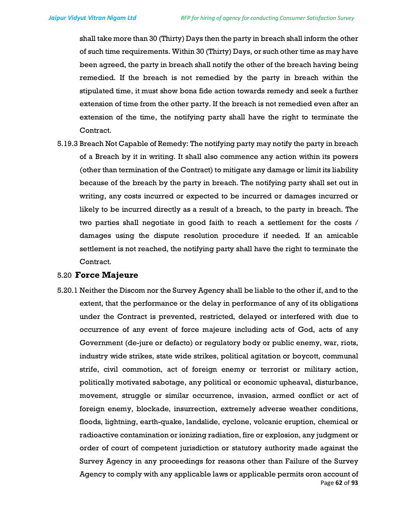shall take more than 30 (Thirty) Days then the party in breach shall inform the other of such time requirements. Within 30 (Thirty) Days, or such other time as may have been agreed, the party in breach shall notify the other of the breach having being remedied. If the breach is not remedied by the party in breach within the stipulated time, it must show bona fide action towards remedy and seek a further extension of time from the other party. If the breach is not remedied even after an extension of the time, the notifying party shall have the right to terminate the Contract.

5.19.3 Breach Not Capable of Remedy: The notifying party may notify the party in breach of a Breach by it in writing. It shall also commence any action within its powers (other than termination of the Contract) to mitigate any damage or limit its liability because of the breach by the party in breach. The notifying party shall set out in writing, any costs incurred or expected to be incurred or damages incurred or likely to be incurred directly as a result of a breach, to the party in breach. The two parties shall negotiate in good faith to reach a settlement for the costs / damages using the dispute resolution procedure if needed. If an amicable settlement is not reached, the notifying party shall have the right to terminate the Contract.

#### 5.20 Force Majeure

Page 62 of 93 5.20.1 Neither the Discom nor the Survey Agency shall be liable to the other if, and to the extent, that the performance or the delay in performance of any of its obligations under the Contract is prevented, restricted, delayed or interfered with due to occurrence of any event of force majeure including acts of God, acts of any Government (de-jure or defacto) or regulatory body or public enemy, war, riots, industry wide strikes, state wide strikes, political agitation or boycott, communal strife, civil commotion, act of foreign enemy or terrorist or military action, politically motivated sabotage, any political or economic upheaval, disturbance, movement, struggle or similar occurrence, invasion, armed conflict or act of foreign enemy, blockade, insurrection, extremely adverse weather conditions, floods, lightning, earth-quake, landslide, cyclone, volcanic eruption, chemical or radioactive contamination or ionizing radiation, fire or explosion, any judgment or order of court of competent jurisdiction or statutory authority made against the Survey Agency in any proceedings for reasons other than Failure of the Survey Agency to comply with any applicable laws or applicable permits oron account of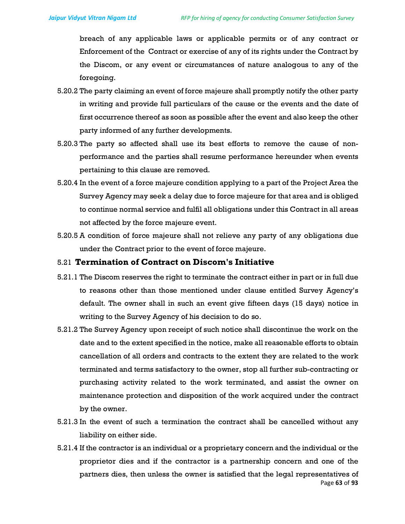breach of any applicable laws or applicable permits or of any contract or Enforcement of the Contract or exercise of any of its rights under the Contract by the Discom, or any event or circumstances of nature analogous to any of the foregoing.

- 5.20.2 The party claiming an event of force majeure shall promptly notify the other party in writing and provide full particulars of the cause or the events and the date of first occurrence thereof as soon as possible after the event and also keep the other party informed of any further developments.
- 5.20.3 The party so affected shall use its best efforts to remove the cause of nonperformance and the parties shall resume performance hereunder when events pertaining to this clause are removed.
- 5.20.4 In the event of a force majeure condition applying to a part of the Project Area the Survey Agency may seek a delay due to force majeure for that area and is obliged to continue normal service and fulfil all obligations under this Contract in all areas not affected by the force majeure event.
- 5.20.5 A condition of force majeure shall not relieve any party of any obligations due under the Contract prior to the event of force majeure.

#### 5.21 Termination of Contract on Discom's Initiative

- 5.21.1 The Discom reserves the right to terminate the contract either in part or in full due to reasons other than those mentioned under clause entitled Survey Agency's default. The owner shall in such an event give fifteen days (15 days) notice in writing to the Survey Agency of his decision to do so.
- 5.21.2 The Survey Agency upon receipt of such notice shall discontinue the work on the date and to the extent specified in the notice, make all reasonable efforts to obtain cancellation of all orders and contracts to the extent they are related to the work terminated and terms satisfactory to the owner, stop all further sub-contracting or purchasing activity related to the work terminated, and assist the owner on maintenance protection and disposition of the work acquired under the contract by the owner.
- 5.21.3 In the event of such a termination the contract shall be cancelled without any liability on either side.
- Page 63 of 93 5.21.4 If the contractor is an individual or a proprietary concern and the individual or the proprietor dies and if the contractor is a partnership concern and one of the partners dies, then unless the owner is satisfied that the legal representatives of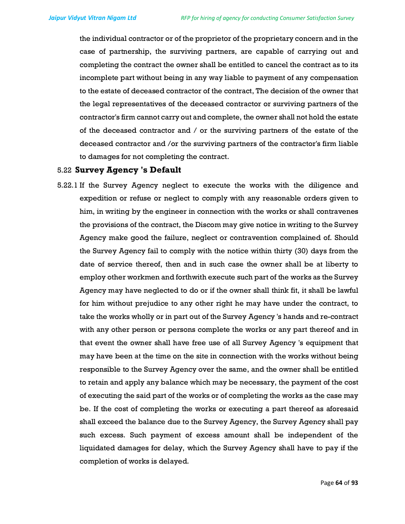the individual contractor or of the proprietor of the proprietary concern and in the case of partnership, the surviving partners, are capable of carrying out and completing the contract the owner shall be entitled to cancel the contract as to its incomplete part without being in any way liable to payment of any compensation to the estate of deceased contractor of the contract, The decision of the owner that the legal representatives of the deceased contractor or surviving partners of the contractor's firm cannot carry out and complete, the owner shall not hold the estate of the deceased contractor and / or the surviving partners of the estate of the deceased contractor and /or the surviving partners of the contractor's firm liable to damages for not completing the contract.

#### 5.22 Survey Agency 's Default

5.22.1 If the Survey Agency neglect to execute the works with the diligence and expedition or refuse or neglect to comply with any reasonable orders given to him, in writing by the engineer in connection with the works or shall contravenes the provisions of the contract, the Discom may give notice in writing to the Survey Agency make good the failure, neglect or contravention complained of. Should the Survey Agency fail to comply with the notice within thirty (30) days from the date of service thereof, then and in such case the owner shall be at liberty to employ other workmen and forthwith execute such part of the works as the Survey Agency may have neglected to do or if the owner shall think fit, it shall be lawful for him without prejudice to any other right he may have under the contract, to take the works wholly or in part out of the Survey Agency 's hands and re-contract with any other person or persons complete the works or any part thereof and in that event the owner shall have free use of all Survey Agency 's equipment that may have been at the time on the site in connection with the works without being responsible to the Survey Agency over the same, and the owner shall be entitled to retain and apply any balance which may be necessary, the payment of the cost of executing the said part of the works or of completing the works as the case may be. If the cost of completing the works or executing a part thereof as aforesaid shall exceed the balance due to the Survey Agency, the Survey Agency shall pay such excess. Such payment of excess amount shall be independent of the liquidated damages for delay, which the Survey Agency shall have to pay if the completion of works is delayed.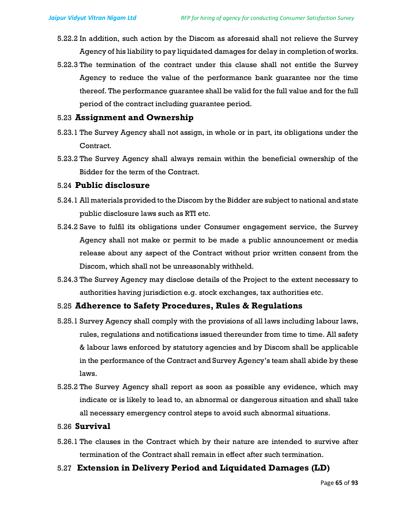- 5.22.2 In addition, such action by the Discom as aforesaid shall not relieve the Survey Agency of his liability to pay liquidated damages for delay in completion of works.
- 5.22.3 The termination of the contract under this clause shall not entitle the Survey Agency to reduce the value of the performance bank guarantee nor the time thereof. The performance guarantee shall be valid for the full value and for the full period of the contract including guarantee period.

#### 5.23 Assignment and Ownership

- 5.23.1 The Survey Agency shall not assign, in whole or in part, its obligations under the Contract.
- 5.23.2 The Survey Agency shall always remain within the beneficial ownership of the Bidder for the term of the Contract.

#### 5.24 Public disclosure

- 5.24.1 All materials provided to the Discom by the Bidder are subject to national and state public disclosure laws such as RTI etc.
- 5.24.2 Save to fulfil its obligations under Consumer engagement service, the Survey Agency shall not make or permit to be made a public announcement or media release about any aspect of the Contract without prior written consent from the Discom, which shall not be unreasonably withheld.
- 5.24.3 The Survey Agency may disclose details of the Project to the extent necessary to authorities having jurisdiction e.g. stock exchanges, tax authorities etc.

### 5.25 Adherence to Safety Procedures, Rules & Regulations

- 5.25.1 Survey Agency shall comply with the provisions of all laws including labour laws, rules, regulations and notifications issued thereunder from time to time. All safety & labour laws enforced by statutory agencies and by Discom shall be applicable in the performance of the Contract and Survey Agency's team shall abide by these laws.
- 5.25.2 The Survey Agency shall report as soon as possible any evidence, which may indicate or is likely to lead to, an abnormal or dangerous situation and shall take all necessary emergency control steps to avoid such abnormal situations.

#### 5.26 Survival

- 5.26.1 The clauses in the Contract which by their nature are intended to survive after termination of the Contract shall remain in effect after such termination.
- 5.27 Extension in Delivery Period and Liquidated Damages (LD)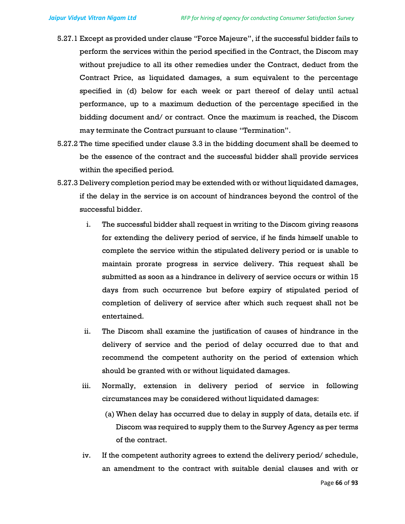- 5.27.1 Except as provided under clause "Force Majeure", if the successful bidder fails to perform the services within the period specified in the Contract, the Discom may without prejudice to all its other remedies under the Contract, deduct from the Contract Price, as liquidated damages, a sum equivalent to the percentage specified in (d) below for each week or part thereof of delay until actual performance, up to a maximum deduction of the percentage specified in the bidding document and/ or contract. Once the maximum is reached, the Discom may terminate the Contract pursuant to clause "Termination".
- 5.27.2 The time specified under clause 3.3 in the bidding document shall be deemed to be the essence of the contract and the successful bidder shall provide services within the specified period.
- 5.27.3 Delivery completion period may be extended with or without liquidated damages, if the delay in the service is on account of hindrances beyond the control of the successful bidder.
	- i. The successful bidder shall request in writing to the Discom giving reasons for extending the delivery period of service, if he finds himself unable to complete the service within the stipulated delivery period or is unable to maintain prorate progress in service delivery. This request shall be submitted as soon as a hindrance in delivery of service occurs or within 15 days from such occurrence but before expiry of stipulated period of completion of delivery of service after which such request shall not be entertained.
	- ii. The Discom shall examine the justification of causes of hindrance in the delivery of service and the period of delay occurred due to that and recommend the competent authority on the period of extension which should be granted with or without liquidated damages.
	- iii. Normally, extension in delivery period of service in following circumstances may be considered without liquidated damages:
		- (a) When delay has occurred due to delay in supply of data, details etc. if Discom was required to supply them to the Survey Agency as per terms of the contract.
	- iv. If the competent authority agrees to extend the delivery period/ schedule, an amendment to the contract with suitable denial clauses and with or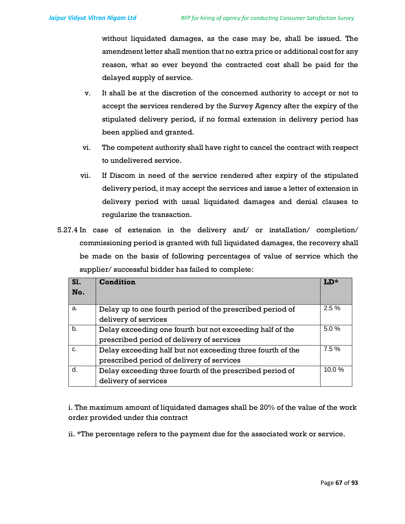without liquidated damages, as the case may be, shall be issued. The amendment letter shall mention that no extra price or additional cost for any reason, what so ever beyond the contracted cost shall be paid for the delayed supply of service.

- v. It shall be at the discretion of the concerned authority to accept or not to accept the services rendered by the Survey Agency after the expiry of the stipulated delivery period, if no formal extension in delivery period has been applied and granted.
- vi. The competent authority shall have right to cancel the contract with respect to undelivered service.
- vii. If Discom in need of the service rendered after expiry of the stipulated delivery period, it may accept the services and issue a letter of extension in delivery period with usual liquidated damages and denial clauses to regularize the transaction.
- 5.27.4 In case of extension in the delivery and/ or installation/ completion/ commissioning period is granted with full liquidated damages, the recovery shall be made on the basis of following percentages of value of service which the supplier/ successful bidder has failed to complete:

| S1.<br>No. | Condition                                                                                               | $T.D.*$ |
|------------|---------------------------------------------------------------------------------------------------------|---------|
| a.         | Delay up to one fourth period of the prescribed period of<br>delivery of services                       | 2.5%    |
| b.         | Delay exceeding one fourth but not exceeding half of the<br>prescribed period of delivery of services   | 5.0%    |
| C.         | Delay exceeding half but not exceeding three fourth of the<br>prescribed period of delivery of services | 7.5%    |
| d.         | Delay exceeding three fourth of the prescribed period of<br>delivery of services                        | 10.0%   |

i. The maximum amount of liquidated damages shall be 20% of the value of the work order provided under this contract

ii. \*The percentage refers to the payment due for the associated work or service.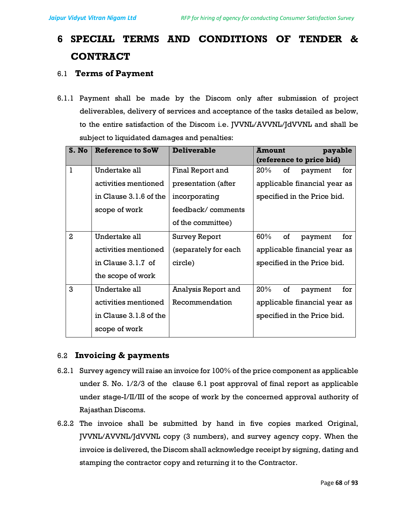# 6 SPECIAL TERMS AND CONDITIONS OF TENDER & CONTRACT

# 6.1 Terms of Payment

6.1.1 Payment shall be made by the Discom only after submission of project deliverables, delivery of services and acceptance of the tasks detailed as below, to the entire satisfaction of the Discom i.e. JVVNL/AVVNL/JdVVNL and shall be subject to liquidated damages and penalties:

| S. No        | Reference to SoW       | <b>Deliverable</b>   | <b>Amount</b><br>payable              |  |  |
|--------------|------------------------|----------------------|---------------------------------------|--|--|
|              |                        |                      | (reference to price bid)              |  |  |
| $\mathbf{I}$ | Undertake all          | Final Report and     | $20\%$<br><b>of</b><br>payment<br>for |  |  |
|              | activities mentioned   | presentation (after  | applicable financial year as          |  |  |
|              | in Clause 3.1.6 of the | incorporating        | specified in the Price bid.           |  |  |
|              | scope of work          | feedback/comments    |                                       |  |  |
|              |                        | of the committee)    |                                       |  |  |
| $\mathbf{2}$ | Undertake all          | Survey Report        | 60%<br>of<br>for<br>payment           |  |  |
|              | activities mentioned   | (separately for each | applicable financial year as          |  |  |
|              | in Clause 3.1.7 of     | circle)              | specified in the Price bid.           |  |  |
|              | the scope of work      |                      |                                       |  |  |
| 3            | Undertake all          | Analysis Report and  | 20%<br>of<br>for<br>payment           |  |  |
|              | activities mentioned   | Recommendation       | applicable financial year as          |  |  |
|              | in Clause 3.1.8 of the |                      | specified in the Price bid.           |  |  |
|              | scope of work          |                      |                                       |  |  |

# 6.2 Invoicing & payments

- 6.2.1 Survey agency will raise an invoice for 100% of the price component as applicable under S. No. 1/2/3 of the clause 6.1 post approval of final report as applicable under stage-I/II/III of the scope of work by the concerned approval authority of Rajasthan Discoms.
- 6.2.2 The invoice shall be submitted by hand in five copies marked Original, JVVNL/AVVNL/JdVVNL copy (3 numbers), and survey agency copy. When the invoice is delivered, the Discom shall acknowledge receipt by signing, dating and stamping the contractor copy and returning it to the Contractor.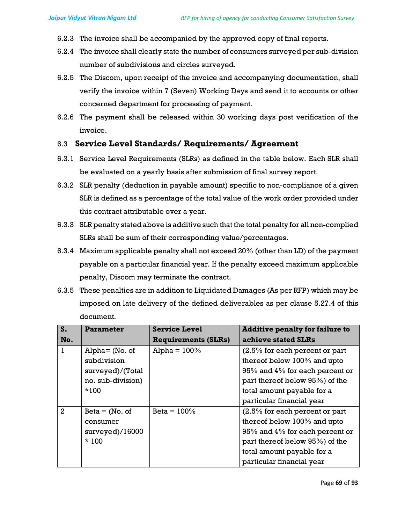- 6.2.3 The invoice shall be accompanied by the approved copy of final reports.
- 6.2.4 The invoice shall clearly state the number of consumers surveyed per sub-division number of subdivisions and circles surveyed.
- 6.2.5 The Discom, upon receipt of the invoice and accompanying documentation, shall verify the invoice within 7 (Seven) Working Days and send it to accounts or other concerned department for processing of payment.
- 6.2.6 The payment shall be released within 30 working days post verification of the invoice.

# 6.3 Service Level Standards/ Requirements/ Agreement

- 6.3.1 Service Level Requirements (SLRs) as defined in the table below. Each SLR shall be evaluated on a yearly basis after submission of final survey report.
- 6.3.2 SLR penalty (deduction in payable amount) specific to non-compliance of a given SLR is defined as a percentage of the total value of the work order provided under this contract attributable over a year.
- 6.3.3 SLR penalty stated above is additive such that the total penalty for all non-complied SLRs shall be sum of their corresponding value/percentages.
- 6.3.4 Maximum applicable penalty shall not exceed 20% (other than LD) of the payment payable on a particular financial year. If the penalty exceed maximum applicable penalty, Discom may terminate the contract.
- 6.3.5 These penalties are in addition to Liquidated Damages (As per RFP) which may be imposed on late delivery of the defined deliverables as per clause 5.27.4 of this document.

| S.             | Parameter          | <b>Service Level</b>       | <b>Additive penalty for failure to</b> |
|----------------|--------------------|----------------------------|----------------------------------------|
| No.            |                    | <b>Requirements (SLRs)</b> | achieve stated SLRs                    |
|                | $Alpha = (No. of)$ | Alpha = $100\%$            | $(2.5\%$ for each percent or part      |
|                | subdivision        |                            | thereof below 100% and upto            |
|                | surveyed)/(Total   |                            | 95% and 4% for each percent or         |
|                | no. sub-division)  |                            | part thereof below 95%) of the         |
|                | $*100$             |                            | total amount payable for a             |
|                |                    |                            | particular financial year              |
| $\overline{2}$ | $Beta = (No. of$   | Beta = $100\%$             | (2.5% for each percent or part         |
|                | consumer           |                            | thereof below 100% and upto            |
|                | surveyed)/16000    |                            | 95% and 4% for each percent or         |
|                | $*100$             |                            | part thereof below 95%) of the         |
|                |                    |                            | total amount payable for a             |
|                |                    |                            | particular financial year              |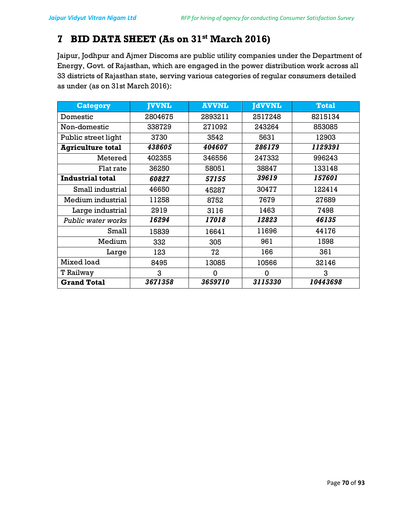# 7 BID DATA SHEET (As on 31<sup>st</sup> March 2016)

Jaipur, Jodhpur and Ajmer Discoms are public utility companies under the Department of Energy, Govt. of Rajasthan, which are engaged in the power distribution work across all 33 districts of Rajasthan state, serving various categories of regular consumers detailed as under (as on 31st March 2016):

| <b>Category</b>          | <b>JVVNL</b> | <b>AVVNL</b> | <b>JdVVNL</b> | <b>Total</b> |
|--------------------------|--------------|--------------|---------------|--------------|
| Domestic                 | 2804675      | 2893211      | 2517248       | 8215134      |
| Non-domestic             | 338729       | 271092       | 243264        | 853085       |
| Public street light      | 3730         | 3542         | 5631          | 12903        |
| <b>Agriculture total</b> | 438605       | 404607       | 286179        | 1129391      |
| Metered                  | 402355       | 346556       | 247332        | 996243       |
| Flat rate                | 36250        | 58051        | 38847         | 133148       |
| <b>Industrial total</b>  | 60827        | 57155        | 39619         | 157601       |
| Small industrial         | 46650        | 45287        | 30477         | 122414       |
| Medium industrial        | 11258        | 8752         | 7679          | 27689        |
| Large industrial         | 2919         | 3116         | 1463          | 7498         |
| Public water works       | 16294        | 17018        | 12823         | 46135        |
| Small                    | 15839        | 16641        | 11696         | 44176        |
| Medium                   | 332          | 305          | 961           | 1598         |
| Large                    | 123          | 72           | 166           | 361          |
| Mixed load               | 8495         | 13085        | 10566         | 32146        |
| T Railway                | 3            | 0            | 0             | 3            |
| <b>Grand Total</b>       | 3671358      | 3659710      | 3115330       | 10443698     |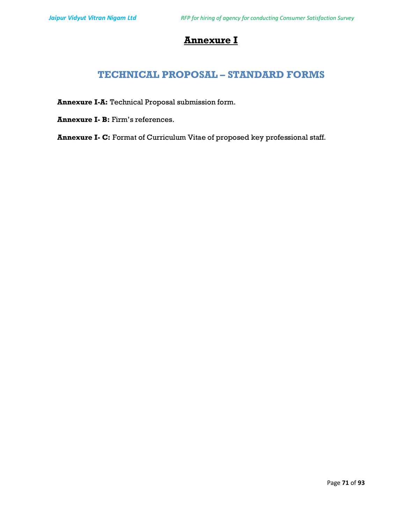# Annexure I

# TECHNICAL PROPOSAL – STANDARD FORMS

Annexure I-A: Technical Proposal submission form.

Annexure I- B: Firm's references.

Annexure I- C: Format of Curriculum Vitae of proposed key professional staff.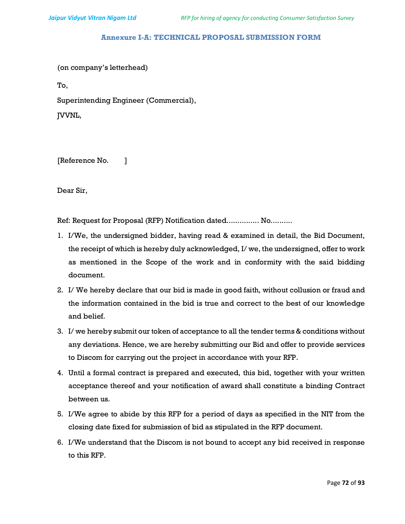#### Annexure I-A: TECHNICAL PROPOSAL SUBMISSION FORM

(on company's letterhead)

To,

Superintending Engineer (Commercial),

JVVNL,

[Reference No. ]

Dear Sir,

Ref: Request for Proposal (RFP) Notification dated................ No..........

- 1. I/We, the undersigned bidder, having read & examined in detail, the Bid Document, the receipt of which is hereby duly acknowledged, I/ we, the undersigned, offer to work as mentioned in the Scope of the work and in conformity with the said bidding document.
- 2. I/ We hereby declare that our bid is made in good faith, without collusion or fraud and the information contained in the bid is true and correct to the best of our knowledge and belief.
- 3. I/ we hereby submit our token of acceptance to all the tender terms & conditions without any deviations. Hence, we are hereby submitting our Bid and offer to provide services to Discom for carrying out the project in accordance with your RFP.
- 4. Until a formal contract is prepared and executed, this bid, together with your written acceptance thereof and your notification of award shall constitute a binding Contract between us.
- 5. I/We agree to abide by this RFP for a period of days as specified in the NIT from the closing date fixed for submission of bid as stipulated in the RFP document.
- 6. I/We understand that the Discom is not bound to accept any bid received in response to this RFP.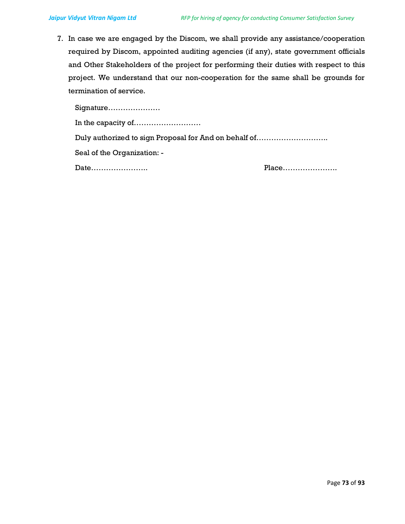7. In case we are engaged by the Discom, we shall provide any assistance/cooperation required by Discom, appointed auditing agencies (if any), state government officials and Other Stakeholders of the project for performing their duties with respect to this project. We understand that our non-cooperation for the same shall be grounds for termination of service.

Signature………………… In the capacity of……………………… Duly authorized to sign Proposal for And on behalf of……………………….. Seal of the Organization: - Date………………….. Place………………….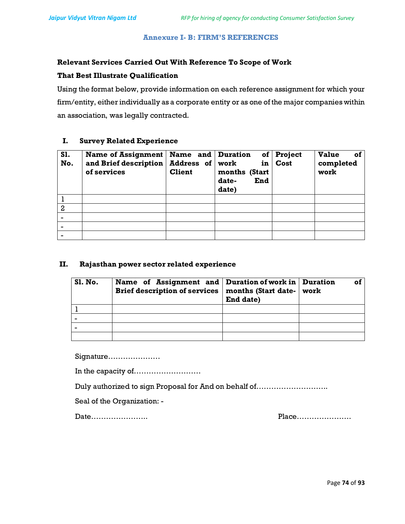# Annexure I- B: FIRM'S REFERENCES

# Relevant Services Carried Out With Reference To Scope of Work

## That Best Illustrate Qualification

Using the format below, provide information on each reference assignment for which your firm/entity, either individually as a corporate entity or as one of the major companies within an association, was legally contracted.

## I. Survey Related Experience

| S1.<br>No.     | Name of Assignment<br>and Brief description<br>of services | Name and<br>Address of<br><b>Client</b> | <b>Duration</b><br>of<br>work<br>in<br>months (Start<br>date-<br>End<br>date) | Project<br>Cost | <b>Value</b><br>οf<br>completed<br>work |
|----------------|------------------------------------------------------------|-----------------------------------------|-------------------------------------------------------------------------------|-----------------|-----------------------------------------|
|                |                                                            |                                         |                                                                               |                 |                                         |
| $\overline{2}$ |                                                            |                                         |                                                                               |                 |                                         |
|                |                                                            |                                         |                                                                               |                 |                                         |
|                |                                                            |                                         |                                                                               |                 |                                         |
|                |                                                            |                                         |                                                                               |                 |                                         |

# II. Rajasthan power sector related experience

| <b>S1. No.</b> | Name of Assignment and   Duration of work in   Duration<br>Brief description of services   months (Start date-   work | End date) | οi |
|----------------|-----------------------------------------------------------------------------------------------------------------------|-----------|----|
|                |                                                                                                                       |           |    |
|                |                                                                                                                       |           |    |
|                |                                                                                                                       |           |    |
|                |                                                                                                                       |           |    |

Signature…………………

In the capacity of………………………

Duly authorized to sign Proposal for And on behalf of………………………..

Seal of the Organization: -

Date………………….. Place………………….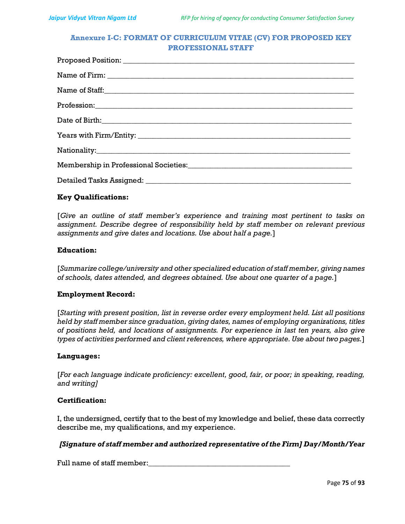# Annexure I-C: FORMAT OF CURRICULUM VITAE (CV) FOR PROPOSED KEY PROFESSIONAL STAFF

# Key Qualifications:

[Give an outline of staff member's experience and training most pertinent to tasks on assignment. Describe degree of responsibility held by staff member on relevant previous assignments and give dates and locations. Use about half a page.]

#### Education:

[Summarize college/university and other specialized education of staff member, giving names of schools, dates attended, and degrees obtained. Use about one quarter of a page.]

#### Employment Record:

[Starting with present position, list in reverse order every employment held. List all positions held by staff member since graduation, giving dates, names of employing organizations, titles of positions held, and locations of assignments. For experience in last ten years, also give types of activities performed and client references, where appropriate. Use about two pages.]

## Languages:

[For each language indicate proficiency: excellent, good, fair, or poor; in speaking, reading, and writing]

## Certification:

I, the undersigned, certify that to the best of my knowledge and belief, these data correctly describe me, my qualifications, and my experience.

# [Signature of staff member and authorized representative of the Firm] Day/Month/Year

Full name of staff member: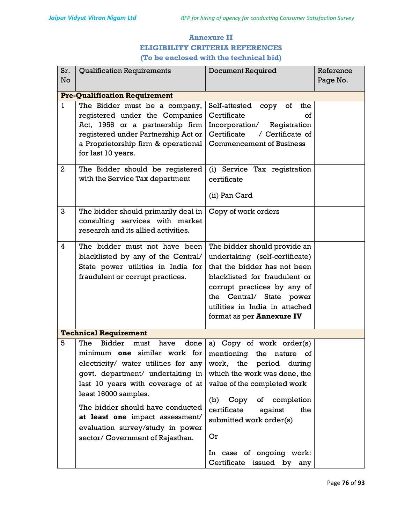# Annexure II ELIGIBILITY CRITERIA REFERENCES (To be enclosed with the technical bid)

| Sr.            | <b>Qualification Requirements</b>                                                                                                                                                                                                                                                                                                                                   | <b>Document Required</b>                                                                                                                                                                                                                                            | Reference |  |  |  |
|----------------|---------------------------------------------------------------------------------------------------------------------------------------------------------------------------------------------------------------------------------------------------------------------------------------------------------------------------------------------------------------------|---------------------------------------------------------------------------------------------------------------------------------------------------------------------------------------------------------------------------------------------------------------------|-----------|--|--|--|
| No             |                                                                                                                                                                                                                                                                                                                                                                     |                                                                                                                                                                                                                                                                     | Page No.  |  |  |  |
|                | <b>Pre-Qualification Requirement</b>                                                                                                                                                                                                                                                                                                                                |                                                                                                                                                                                                                                                                     |           |  |  |  |
| 1              | The Bidder must be a company,<br>registered under the Companies<br>Act, 1956 or a partnership firm<br>registered under Partnership Act or<br>a Proprietorship firm & operational<br>for last 10 years.                                                                                                                                                              | Self-attested<br>of<br>the<br>copy<br>Certificate<br>of<br>Incorporation/<br>Registration<br>/ Certificate of<br>Certificate<br><b>Commencement of Business</b>                                                                                                     |           |  |  |  |
| $\overline{2}$ | The Bidder should be registered<br>with the Service Tax department                                                                                                                                                                                                                                                                                                  | (i) Service Tax registration<br>certificate<br>(ii) Pan Card                                                                                                                                                                                                        |           |  |  |  |
| 3              | The bidder should primarily deal in<br>consulting services with market<br>research and its allied activities.                                                                                                                                                                                                                                                       | Copy of work orders                                                                                                                                                                                                                                                 |           |  |  |  |
| 4              | The bidder must not have been<br>blacklisted by any of the Central/<br>State power utilities in India for<br>fraudulent or corrupt practices.                                                                                                                                                                                                                       | The bidder should provide an<br>undertaking (self-certificate)<br>that the bidder has not been<br>blacklisted for fraudulent or<br>corrupt practices by any of<br>Central/ State power<br>the<br>utilities in India in attached<br>format as per <b>Annexure IV</b> |           |  |  |  |
|                | <b>Technical Requirement</b>                                                                                                                                                                                                                                                                                                                                        |                                                                                                                                                                                                                                                                     |           |  |  |  |
| 5              | <b>Bidder</b><br>The<br>done<br>have<br>must<br>minimum one similar work for<br>electricity/ water utilities for any<br>govt. department/ undertaking in<br>last 10 years with coverage of at<br>least 16000 samples.<br>The bidder should have conducted<br>at least one impact assessment/<br>evaluation survey/study in power<br>sector/Government of Rajasthan. | a) Copy of work order(s)<br>mentioning the nature of<br>work, the period<br>during<br>which the work was done, the<br>value of the completed work<br>of completion<br>Copy<br>(b)<br>certificate<br>against<br>the<br>submitted work order(s)<br>Or                 |           |  |  |  |
|                |                                                                                                                                                                                                                                                                                                                                                                     | In case of ongoing work:<br>Certificate<br>issued by<br>any                                                                                                                                                                                                         |           |  |  |  |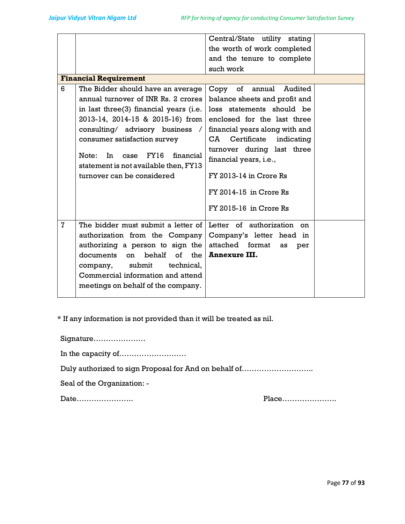|   |                                                                                                                                                                                                                                                                                                                                                | Central/State utility stating<br>the worth of work completed<br>and the tenure to complete<br>such work                                                                                                                                                                                                                                       |
|---|------------------------------------------------------------------------------------------------------------------------------------------------------------------------------------------------------------------------------------------------------------------------------------------------------------------------------------------------|-----------------------------------------------------------------------------------------------------------------------------------------------------------------------------------------------------------------------------------------------------------------------------------------------------------------------------------------------|
|   | <b>Financial Requirement</b>                                                                                                                                                                                                                                                                                                                   |                                                                                                                                                                                                                                                                                                                                               |
| 6 | The Bidder should have an average<br>annual turnover of INR Rs. 2 crores<br>in last three(3) financial years (i.e.<br>2013-14, 2014-15 & 2015-16) from<br>consulting/ advisory business /<br>consumer satisfaction survey<br>FY16<br>In 1<br>financial<br>Note:<br>case<br>statement is not available then, FY13<br>turnover can be considered | of<br>Copy<br>annual<br>Audited<br>balance sheets and profit and<br>loss statements should be<br>enclosed for the last three<br>financial years along with and<br>Certificate<br>indicating<br>CA<br>turnover during last three<br>financial years, i.e.,<br>$FY$ 2013-14 in Crore Rs<br>$FY$ 2014-15 in Crore Rs<br>$FY$ 2015-16 in Crore Rs |
| 7 | The bidder must submit a letter of<br>authorization from the Company<br>authorizing a person to sign the<br>documents<br>behalf<br>of<br>the<br><sub>on</sub><br>submit<br>company,<br>technical,<br>Commercial information and attend<br>meetings on behalf of the company.                                                                   | Letter of authorization<br><sub>on</sub><br>Company's letter head in<br>attached<br>format<br>as<br>per<br><b>Annexure III.</b>                                                                                                                                                                                                               |

\* If any information is not provided than it will be treated as nil.

Signature…………………

In the capacity of………………………

Duly authorized to sign Proposal for And on behalf of………………………..

Seal of the Organization: -

Date………………….. Place………………….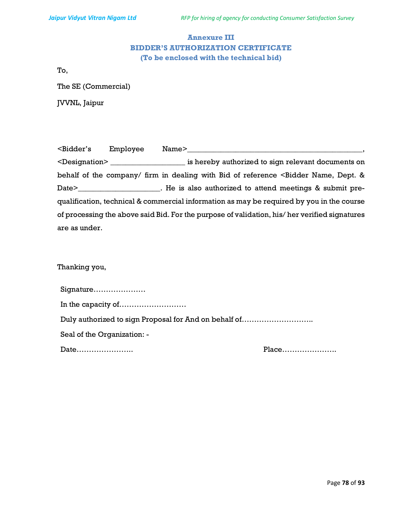# Annexure III BIDDER'S AUTHORIZATION CERTIFICATE (To be enclosed with the technical bid)

To,

The SE (Commercial)

JVVNL, Jaipur

| <bidder's< th=""><th>Employee</th><th>Name&gt;</th></bidder's<> | Employee | Name>                                                                                                        |
|-----------------------------------------------------------------|----------|--------------------------------------------------------------------------------------------------------------|
|                                                                 |          | <designation> in the same is hereby authorized to sign relevant documents on</designation>                   |
|                                                                 |          | behalf of the company/ firm in dealing with Bid of reference <bidder &<="" dept.="" name,="" td=""></bidder> |
|                                                                 |          |                                                                                                              |
|                                                                 |          | qualification, technical & commercial information as may be required by you in the course                    |
|                                                                 |          | of processing the above said Bid. For the purpose of validation, his/her verified signatures                 |
| are as under.                                                   |          |                                                                                                              |

# Thanking you,

| Signature                                             |  |
|-------------------------------------------------------|--|
|                                                       |  |
| Duly authorized to sign Proposal for And on behalf of |  |
| Seal of the Organization: -                           |  |
|                                                       |  |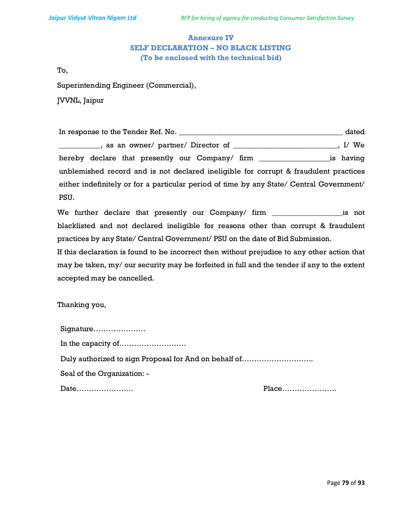# Annexure IV SELF DECLARATION – NO BLACK LISTING (To be enclosed with the technical bid)

To,

Superintending Engineer (Commercial),

JVVNL, Jaipur

In response to the Tender Ref. No. \_\_\_\_\_\_\_\_\_\_\_\_\_\_\_\_\_\_\_\_\_\_\_\_\_\_\_\_\_\_\_\_\_\_\_\_\_\_\_\_\_\_\_\_ dated \_\_\_\_\_\_\_\_\_\_\_\_, as an owner/ partner/ Director of \_\_\_\_\_\_\_\_\_\_\_\_\_\_\_\_\_\_\_\_\_\_\_\_\_\_\_, I/ We hereby declare that presently our Company/ firm \_\_\_\_\_\_\_\_\_\_\_\_\_\_\_\_\_\_\_is having unblemished record and is not declared ineligible for corrupt & fraudulent practices either indefinitely or for a particular period of time by any State/ Central Government/ PSU.

We further declare that presently our Company/ firm \_\_\_\_\_\_\_\_\_\_\_\_\_\_\_\_\_\_\_\_\_\_is not blacklisted and not declared ineligible for reasons other than corrupt & fraudulent practices by any State/ Central Government/ PSU on the date of Bid Submission.

If this declaration is found to be incorrect then without prejudice to any other action that may be taken, my/ our security may be forfeited in full and the tender if any to the extent accepted may be cancelled.

Thanking you,

| Signature                                             |  |
|-------------------------------------------------------|--|
|                                                       |  |
| Duly authorized to sign Proposal for And on behalf of |  |
| Seal of the Organization: -                           |  |
|                                                       |  |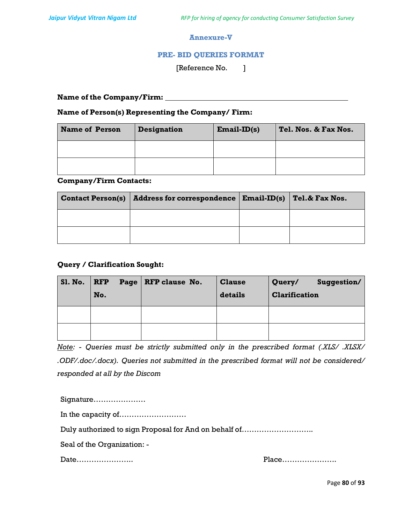## Annexure-V

# PRE- BID QUERIES FORMAT

[Reference No. ]

Name of the Company/Firm:

## Name of Person(s) Representing the Company/ Firm:

| <b>Name of Person</b> | <b>Designation</b> | $Email-ID(s)$ | Tel. Nos. & Fax Nos. |
|-----------------------|--------------------|---------------|----------------------|
|                       |                    |               |                      |
|                       |                    |               |                      |

#### Company/Firm Contacts:

| <b>Contact Person(s)</b> | Address for correspondence   Email-ID(s) | Tel.& Fax Nos. |
|--------------------------|------------------------------------------|----------------|
|                          |                                          |                |
|                          |                                          |                |

# Query / Clarification Sought:

| <b>Sl. No.</b> | $\overline{\mathbf{RFP}}$<br>No. | Page RFP clause No. | <b>Clause</b><br>details | Suggestion/<br>Query/<br><b>Clarification</b> |
|----------------|----------------------------------|---------------------|--------------------------|-----------------------------------------------|
|                |                                  |                     |                          |                                               |
|                |                                  |                     |                          |                                               |

Note: - Queries must be strictly submitted only in the prescribed format (.XLS/ .XLSX/ .ODF/.doc/.docx). Queries not submitted in the prescribed format will not be considered/ responded at all by the Discom

Signature…………………

In the capacity of………………………

Duly authorized to sign Proposal for And on behalf of………………………..

Seal of the Organization: -

Date………………….. Place………………….

Page 80 of 93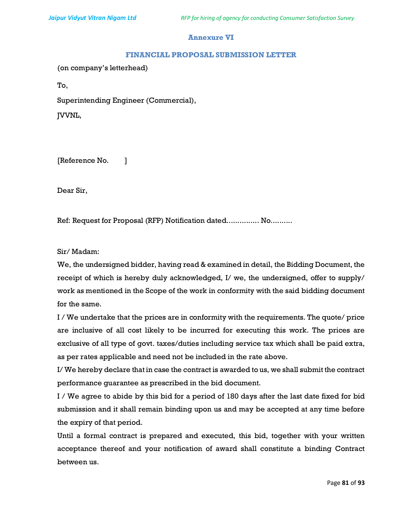# Annexure VI

#### FINANCIAL PROPOSAL SUBMISSION LETTER

(on company's letterhead)

To,

Superintending Engineer (Commercial),

JVVNL,

[Reference No. ]

Dear Sir,

Ref: Request for Proposal (RFP) Notification dated................ No..........

Sir/ Madam:

We, the undersigned bidder, having read & examined in detail, the Bidding Document, the receipt of which is hereby duly acknowledged, I/ we, the undersigned, offer to supply/ work as mentioned in the Scope of the work in conformity with the said bidding document for the same.

I / We undertake that the prices are in conformity with the requirements. The quote/ price are inclusive of all cost likely to be incurred for executing this work. The prices are exclusive of all type of govt. taxes/duties including service tax which shall be paid extra, as per rates applicable and need not be included in the rate above.

I/ We hereby declare that in case the contract is awarded to us, we shall submit the contract performance guarantee as prescribed in the bid document.

I / We agree to abide by this bid for a period of 180 days after the last date fixed for bid submission and it shall remain binding upon us and may be accepted at any time before the expiry of that period.

Until a formal contract is prepared and executed, this bid, together with your written acceptance thereof and your notification of award shall constitute a binding Contract between us.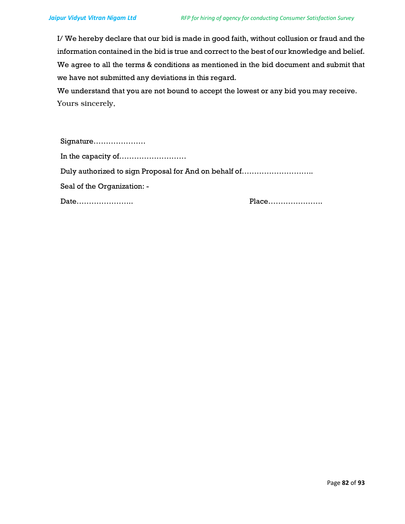I/ We hereby declare that our bid is made in good faith, without collusion or fraud and the information contained in the bid is true and correct to the best of our knowledge and belief. We agree to all the terms & conditions as mentioned in the bid document and submit that we have not submitted any deviations in this regard.

We understand that you are not bound to accept the lowest or any bid you may receive. Yours sincerely,

| Signature                                             |  |
|-------------------------------------------------------|--|
|                                                       |  |
| Duly authorized to sign Proposal for And on behalf of |  |
| Seal of the Organization: -                           |  |
|                                                       |  |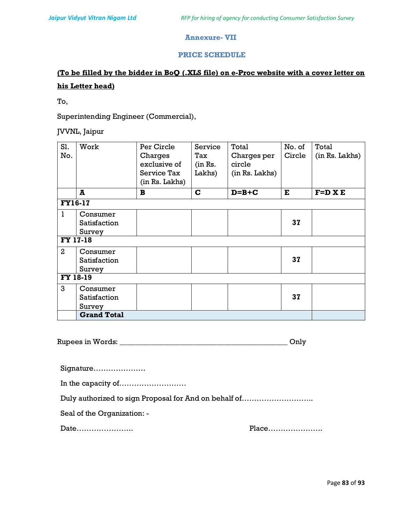# Annexure- VII

# PRICE SCHEDULE

# (To be filled by the bidder in BoQ (.XLS file) on e-Proc website with a cover letter on his Letter head)

To,

Superintending Engineer (Commercial),

JVVNL, Jaipur

| Sl.<br>No.     | Work                               | Per Circle<br>Charges<br>exclusive of<br>Service Tax<br>(in Rs. Lakhs) | Service<br>Tax<br>(in Rs.<br>Lakhs) | Total<br>Charges per<br>circle<br>(in Rs. Lakhs) | No. of<br>Circle | Total<br>(in Rs. Lakhs) |
|----------------|------------------------------------|------------------------------------------------------------------------|-------------------------------------|--------------------------------------------------|------------------|-------------------------|
|                | A                                  | $\mathbf{B}$                                                           | $\mathbf C$                         | $D=B+C$                                          | E                | $F=D X E$               |
| <b>FY16-17</b> |                                    |                                                                        |                                     |                                                  |                  |                         |
| $\mathbf{1}$   | Consumer<br>Satisfaction<br>Survey |                                                                        |                                     |                                                  | 37               |                         |
|                | FY 17-18                           |                                                                        |                                     |                                                  |                  |                         |
| $\overline{2}$ | Consumer<br>Satisfaction<br>Survey |                                                                        |                                     |                                                  | 37               |                         |
| FY 18-19       |                                    |                                                                        |                                     |                                                  |                  |                         |
| 3              | Consumer<br>Satisfaction<br>Survey |                                                                        |                                     |                                                  | 37               |                         |
|                | <b>Grand Total</b>                 |                                                                        |                                     |                                                  |                  |                         |

| <b>Rupees in Words:</b> |  |
|-------------------------|--|
|                         |  |

| Duly authorized to sign Proposal for And on behalf of |       |
|-------------------------------------------------------|-------|
| Seal of the Organization: -                           |       |
| Date                                                  | Place |
|                                                       |       |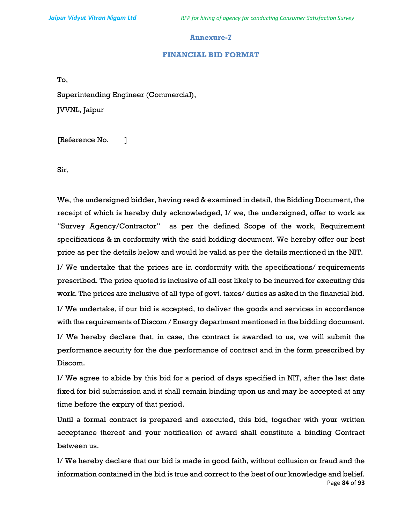#### Annexure-7

#### FINANCIAL BID FORMAT

To,

Superintending Engineer (Commercial), JVVNL, Jaipur

[Reference No. ]

Sir,

We, the undersigned bidder, having read & examined in detail, the Bidding Document, the receipt of which is hereby duly acknowledged, I/ we, the undersigned, offer to work as "Survey Agency/Contractor" as per the defined Scope of the work, Requirement specifications & in conformity with the said bidding document. We hereby offer our best price as per the details below and would be valid as per the details mentioned in the NIT.

I/ We undertake that the prices are in conformity with the specifications/ requirements prescribed. The price quoted is inclusive of all cost likely to be incurred for executing this work. The prices are inclusive of all type of govt. taxes/ duties as asked in the financial bid.

I/ We undertake, if our bid is accepted, to deliver the goods and services in accordance with the requirements of Discom / Energy department mentioned in the bidding document.

I/ We hereby declare that, in case, the contract is awarded to us, we will submit the performance security for the due performance of contract and in the form prescribed by Discom.

I/ We agree to abide by this bid for a period of days specified in NIT, after the last date fixed for bid submission and it shall remain binding upon us and may be accepted at any time before the expiry of that period.

Until a formal contract is prepared and executed, this bid, together with your written acceptance thereof and your notification of award shall constitute a binding Contract between us.

Page 84 of 93 I/ We hereby declare that our bid is made in good faith, without collusion or fraud and the information contained in the bid is true and correct to the best of our knowledge and belief.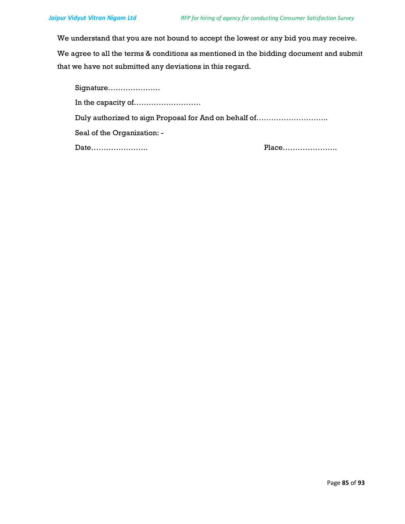We understand that you are not bound to accept the lowest or any bid you may receive.

We agree to all the terms & conditions as mentioned in the bidding document and submit that we have not submitted any deviations in this regard.

| Signature                                                |       |
|----------------------------------------------------------|-------|
| In the capacity of $\dots \dots \dots \dots \dots \dots$ |       |
| Duly authorized to sign Proposal for And on behalf of    |       |
| Seal of the Organization: -                              |       |
| Date                                                     | Place |
|                                                          |       |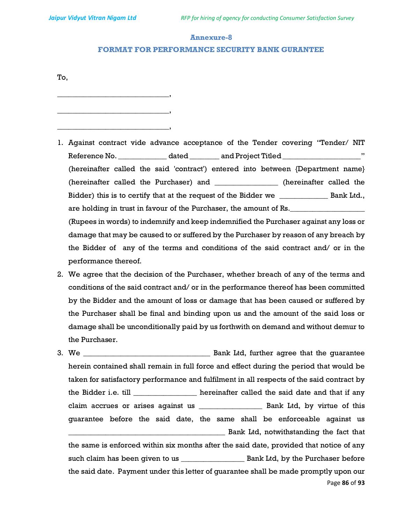\_\_\_\_\_\_\_\_\_\_\_\_\_\_\_\_\_\_\_\_\_\_\_\_\_\_\_\_\_\_,

\_\_\_\_\_\_\_\_\_\_\_\_\_\_\_\_\_\_\_\_\_\_\_\_\_\_\_\_\_\_,

\_\_\_\_\_\_\_\_\_\_\_\_\_\_\_\_\_\_\_\_\_\_\_\_\_\_\_\_\_\_,

#### Annexure-8

#### FORMAT FOR PERFORMANCE SECURITY BANK GURANTEE

To,

- 1. Against contract vide advance acceptance of the Tender covering "Tender/ NIT Reference No. \_\_\_\_\_\_\_\_\_\_\_\_\_\_\_ dated \_\_\_\_\_\_\_\_\_ and Project Titled \_\_\_\_\_\_\_\_\_\_\_\_\_\_\_\_\_\_\_\_\_\_\_\_" (hereinafter called the said 'contract') entered into between {Department name} (hereinafter called the Purchaser) and \_\_\_\_\_\_\_\_\_\_\_\_\_\_\_\_\_ (hereinafter called the Bidder) this is to certify that at the request of the Bidder we \_\_\_\_\_\_\_\_\_\_\_\_\_\_\_\_ Bank Ltd., are holding in trust in favour of the Purchaser, the amount of Rs. (Rupees in words) to indemnify and keep indemnified the Purchaser against any loss or damage that may be caused to or suffered by the Purchaser by reason of any breach by the Bidder of any of the terms and conditions of the said contract and/ or in the performance thereof.
- 2. We agree that the decision of the Purchaser, whether breach of any of the terms and conditions of the said contract and/ or in the performance thereof has been committed by the Bidder and the amount of loss or damage that has been caused or suffered by the Purchaser shall be final and binding upon us and the amount of the said loss or damage shall be unconditionally paid by us forthwith on demand and without demur to the Purchaser.
- Page 86 of 93 3. We \_\_\_\_\_\_\_\_\_\_\_\_\_\_\_\_\_\_\_\_\_\_\_\_\_\_\_\_\_\_\_\_\_\_ Bank Ltd, further agree that the guarantee herein contained shall remain in full force and effect during the period that would be taken for satisfactory performance and fulfilment in all respects of the said contract by the Bidder i.e. till \_\_\_\_\_\_\_\_\_\_\_\_\_\_\_\_\_\_ hereinafter called the said date and that if any claim accrues or arises against us \_\_\_\_\_\_\_\_\_\_\_\_\_\_\_\_\_ Bank Ltd, by virtue of this guarantee before the said date, the same shall be enforceable against us **EXECUTE:** Bank Ltd, notwithstanding the fact that the same is enforced within six months after the said date, provided that notice of any such claim has been given to us \_\_\_\_\_\_\_\_\_\_\_\_\_\_\_\_\_ Bank Ltd, by the Purchaser before the said date. Payment under this letter of guarantee shall be made promptly upon our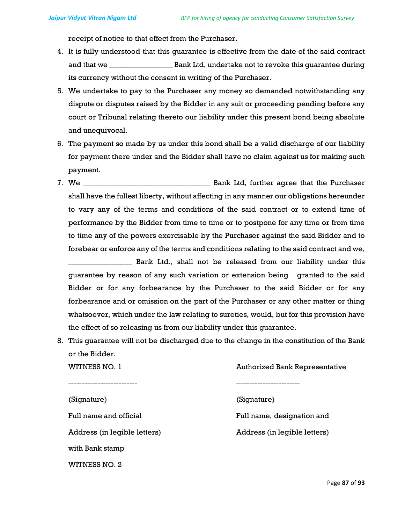WITNESS NO. 2

receipt of notice to that effect from the Purchaser.

- 4. It is fully understood that this guarantee is effective from the date of the said contract and that we \_\_\_\_\_\_\_\_\_\_\_\_\_\_\_\_\_ Bank Ltd, undertake not to revoke this guarantee during its currency without the consent in writing of the Purchaser.
- 5. We undertake to pay to the Purchaser any money so demanded notwithstanding any dispute or disputes raised by the Bidder in any suit or proceeding pending before any court or Tribunal relating thereto our liability under this present bond being absolute and unequivocal.
- 6. The payment so made by us under this bond shall be a valid discharge of our liability for payment there under and the Bidder shall have no claim against us for making such payment.
- 7. We \_\_\_\_\_\_\_\_\_\_\_\_\_\_\_\_\_\_\_\_\_\_\_\_\_\_\_\_\_\_\_\_\_\_ Bank Ltd, further agree that the Purchaser shall have the fullest liberty, without affecting in any manner our obligations hereunder to vary any of the terms and conditions of the said contract or to extend time of performance by the Bidder from time to time or to postpone for any time or from time to time any of the powers exercisable by the Purchaser against the said Bidder and to forebear or enforce any of the terms and conditions relating to the said contract and we,

\_\_\_\_\_\_\_\_\_\_\_\_\_\_\_\_\_ Bank Ltd., shall not be released from our liability under this guarantee by reason of any such variation or extension being granted to the said Bidder or for any forbearance by the Purchaser to the said Bidder or for any forbearance and or omission on the part of the Purchaser or any other matter or thing whatsoever, which under the law relating to sureties, would, but for this provision have the effect of so releasing us from our liability under this guarantee.

8. This guarantee will not be discharged due to the change in the constitution of the Bank or the Bidder.

| WITNESS NO. 1                | <b>Authorized Bank Representative</b> |  |  |
|------------------------------|---------------------------------------|--|--|
|                              |                                       |  |  |
| (Signature)                  | (Signature)                           |  |  |
| Full name and official       | Full name, designation and            |  |  |
| Address (in legible letters) | Address (in legible letters)          |  |  |
| with Bank stamp              |                                       |  |  |
|                              |                                       |  |  |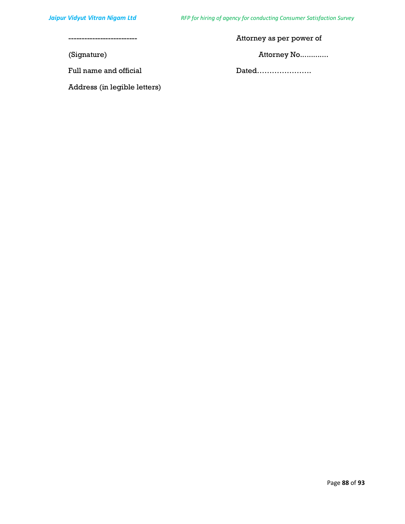-------------------------- Attorney as per power of

Full name and official Dated………………….

(Signature) Attorney No.............

Address (in legible letters)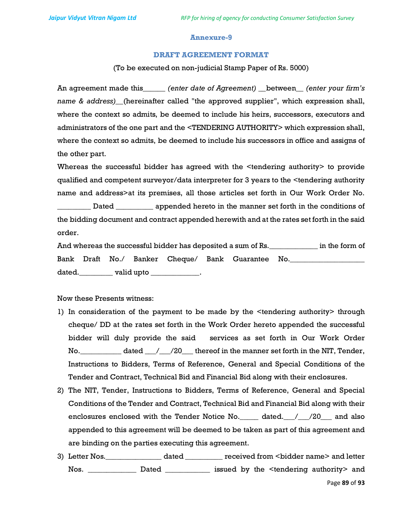#### Annexure-9

#### DRAFT AGREEMENT FORMAT

(To be executed on non-judicial Stamp Paper of Rs. 5000)

An agreement made this\_\_\_\_\_\_ (enter date of Agreement) \_\_between\_\_ (enter your firm's name & address)\_(hereinafter called "the approved supplier", which expression shall, where the context so admits, be deemed to include his heirs, successors, executors and administrators of the one part and the <TENDERING AUTHORITY> which expression shall, where the context so admits, be deemed to include his successors in office and assigns of the other part.

Whereas the successful bidder has agreed with the <tendering authority> to provide qualified and competent surveyor/data interpreter for 3 years to the <tendering authority name and address>at its premises, all those articles set forth in Our Work Order No.

\_\_\_\_\_\_\_\_\_ Dated \_\_\_\_\_\_\_\_\_\_ appended hereto in the manner set forth in the conditions of the bidding document and contract appended herewith and at the rates set forth in the said order.

And whereas the successful bidder has deposited a sum of Rs. \_\_\_\_\_\_\_\_\_\_\_\_\_\_ in the form of Bank Draft No./ Banker Cheque/ Bank Guarantee No. dated.\_\_\_\_\_\_\_\_\_\_\_ valid upto \_\_\_\_\_\_\_\_\_\_\_\_\_\_\_.

Now these Presents witness:

- 1) In consideration of the payment to be made by the <tendering authority> through cheque/ DD at the rates set forth in the Work Order hereto appended the successful bidder will duly provide the said services as set forth in Our Work Order No. \_\_\_\_\_\_\_\_\_\_\_\_ dated \_\_\_/\_\_\_\_/20\_\_\_\_ thereof in the manner set forth in the NIT, Tender, Instructions to Bidders, Terms of Reference, General and Special Conditions of the Tender and Contract, Technical Bid and Financial Bid along with their enclosures.
- 2) The NIT, Tender, Instructions to Bidders, Terms of Reference, General and Special Conditions of the Tender and Contract, Technical Bid and Financial Bid along with their enclosures enclosed with the Tender Notice No.\_\_\_\_\_ dated.\_\_\_/\_\_\_/20\_\_\_ and also appended to this agreement will be deemed to be taken as part of this agreement and are binding on the parties executing this agreement.
- 3) Letter Nos.\_\_\_\_\_\_\_\_\_\_\_\_\_\_\_ dated \_\_\_\_\_\_\_\_\_\_ received from <bidder name> and letter Nos. \_\_\_\_\_\_\_\_\_\_\_\_\_ Dated \_\_\_\_\_\_\_\_\_\_\_\_ issued by the <tendering authority> and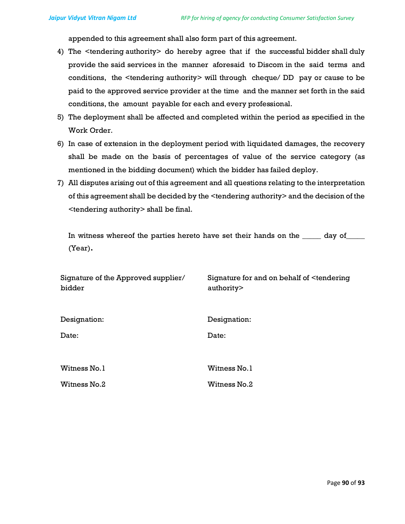appended to this agreement shall also form part of this agreement.

- 4) The <tendering authority> do hereby agree that if the successful bidder shall duly provide the said services in the manner aforesaid to Discom in the said terms and conditions, the <tendering authority> will through cheque/ DD pay or cause to be paid to the approved service provider at the time and the manner set forth in the said conditions, the amount payable for each and every professional.
- 5) The deployment shall be affected and completed within the period as specified in the Work Order.
- 6) In case of extension in the deployment period with liquidated damages, the recovery shall be made on the basis of percentages of value of the service category (as mentioned in the bidding document) which the bidder has failed deploy.
- 7) All disputes arising out of this agreement and all questions relating to the interpretation of this agreement shall be decided by the <tendering authority> and the decision of the <tendering authority> shall be final.

In witness whereof the parties hereto have set their hands on the \_\_\_\_\_ day of\_\_\_\_\_ (Year).

| Signature of the Approved supplier/<br>bidder | Signature for and on behalf of <tendering<br>authority&gt;</tendering<br> |
|-----------------------------------------------|---------------------------------------------------------------------------|
| Designation:                                  | Designation:                                                              |
| Date:                                         | Date:                                                                     |
| Witness No. 1                                 | Witness No.1                                                              |
| Witness No.2                                  | Witness No.2                                                              |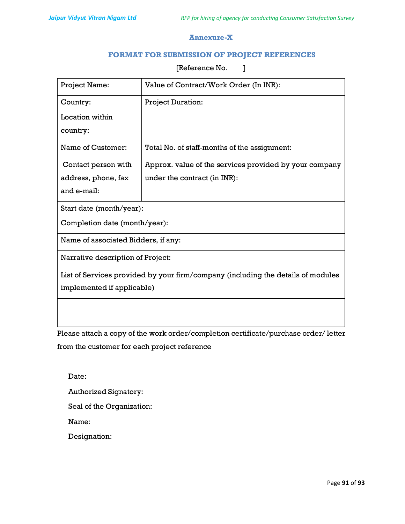# Annexure-X

# FORMAT FOR SUBMISSION OF PROJECT REFERENCES

[Reference No. ]

| Project Name:                                                                    | Value of Contract/Work Order (In INR):                 |  |  |
|----------------------------------------------------------------------------------|--------------------------------------------------------|--|--|
| Country:                                                                         | Project Duration:                                      |  |  |
| Location within                                                                  |                                                        |  |  |
| country:                                                                         |                                                        |  |  |
| Name of Customer:                                                                | Total No. of staff-months of the assignment:           |  |  |
| Contact person with                                                              | Approx. value of the services provided by your company |  |  |
| address, phone, fax                                                              | under the contract (in INR):                           |  |  |
| and e-mail:                                                                      |                                                        |  |  |
| Start date (month/year):                                                         |                                                        |  |  |
| Completion date (month/year):                                                    |                                                        |  |  |
| Name of associated Bidders, if any:                                              |                                                        |  |  |
| Narrative description of Project:                                                |                                                        |  |  |
| List of Services provided by your firm/company (including the details of modules |                                                        |  |  |
| implemented if applicable)                                                       |                                                        |  |  |
|                                                                                  |                                                        |  |  |
|                                                                                  |                                                        |  |  |

Please attach a copy of the work order/completion certificate/purchase order/ letter from the customer for each project reference

Date: Authorized Signatory: Seal of the Organization: Name:

Designation: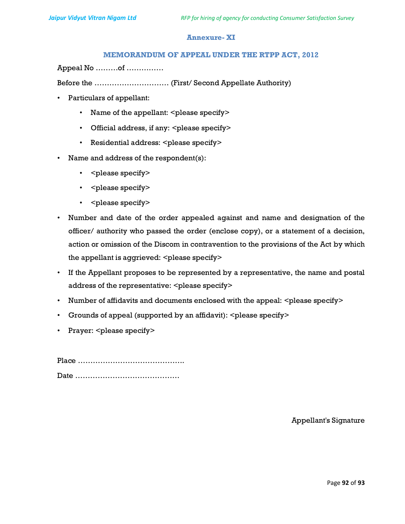# Annexure- XI

## MEMORANDUM OF APPEAL UNDER THE RTPP ACT, 2012

Appeal No ………of ……………

Before the ………………………… (First/ Second Appellate Authority)

- Particulars of appellant:
	- Name of the appellant: <please specify>
	- Official address, if any: <please specify>
	- Residential address: <please specify>
- Name and address of the respondent(s):
	- < please specify>
	- < please specify>
	- < please specify>
- Number and date of the order appealed against and name and designation of the officer/ authority who passed the order (enclose copy), or a statement of a decision, action or omission of the Discom in contravention to the provisions of the Act by which the appellant is aggrieved: <please specify>
- If the Appellant proposes to be represented by a representative, the name and postal address of the representative: <please specify>
- Number of affidavits and documents enclosed with the appeal:  $\leq$  please specify $\geq$
- Grounds of appeal (supported by an affidavit): <please specify>
- Prayer: < please specify>

Place …………………………………….

Date ……………………………………

Appellant's Signature